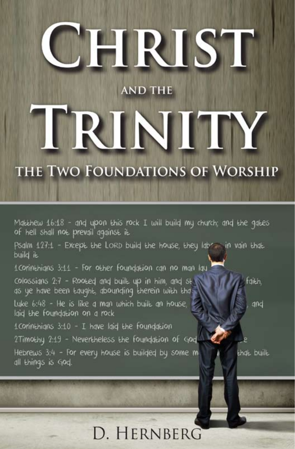# HRIST

# **AND THE**

# IRINITY

# THE TWO FOUNDATIONS OF WORSHIP

Matthew 16:18 - and upon this rock I will build my church; and the gates of hell shall not prevail against it

Psalm 127:1 - Except the LORD build the house, they labe in vain that build it.

1 Connthians 3:11 - For other foundation can no man lau

colossians 2:7 - Rooted and built up in him, and st.

Luke 6:48 - He is like a man which built an house, laid the foundation on a rock

1 Connthians 3:10 - I have laid the foundation

2Timothy 2:19 - Nevertheless the foundation of God Hebrews 3:4 - For every house is builded by some m all things is God.

qnd

faith.

that built

# D. HERNBERG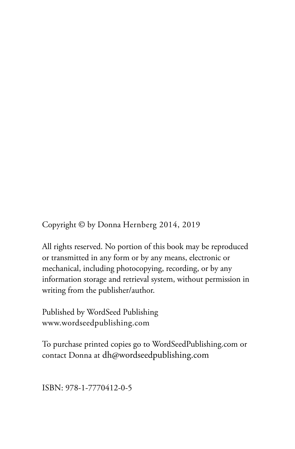Copyright © by Donna Hernberg 2014, 2019

All rights reserved. No portion of this book may be reproduced or transmitted in any form or by any means, electronic or mechanical, including photocopying, recording, or by any information storage and retrieval system, without permission in writing from the publisher/author.

Published by WordSeed Publishing www.wordseedpublishing.com

To purchase printed copies go to WordSeedPublishing.com or contact Donna at dh@wordseedpublishing.com

ISBN: 978-1-7770412-0-5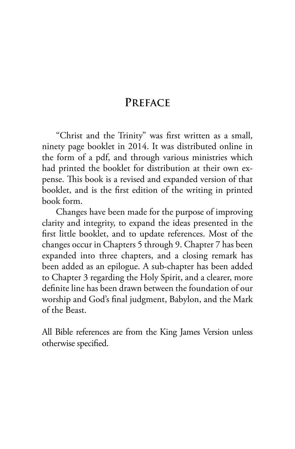### **PREFACE**

"Christ and the Trinity" was first written as a small, ninety page booklet in 2014. It was distributed online in the form of a pdf, and through various ministries which had printed the booklet for distribution at their own expense. This book is a revised and expanded version of that booklet, and is the first edition of the writing in printed book form.

Changes have been made for the purpose of improving clarity and integrity, to expand the ideas presented in the first little booklet, and to update references. Most of the changes occur in Chapters 5 through 9. Chapter 7 has been expanded into three chapters, and a closing remark has been added as an epilogue. A sub-chapter has been added to Chapter 3 regarding the Holy Spirit, and a clearer, more definite line has been drawn between the foundation of our worship and God's final judgment, Babylon, and the Mark of the Beast.

All Bible references are from the King James Version unless otherwise specified.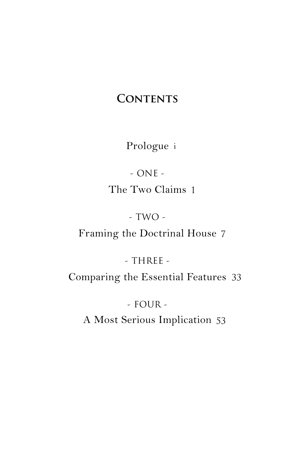# **CONTENTS**

Prologue i

- ONE - The Two Claims 1

- TWO -

Framing the Doctrinal House 7

 $-$  THREE  $-$ 

Comparing the Essential Features 33

- FOUR -

A Most Serious Implication 53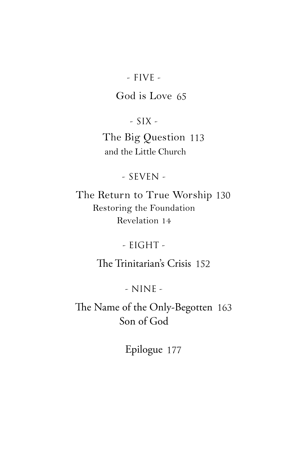#### - FIVE -

### God is Love 65

- SIX - The Big Question 113 and the Little Church

- SEVEN -

The Return to True Worship 130 Restoring the Foundation Revelation 14

- EIGHT -

The Trinitarian's Crisis 152

- NINE -

The Name of the Only-Begotten 163 Son of God

Epilogue 177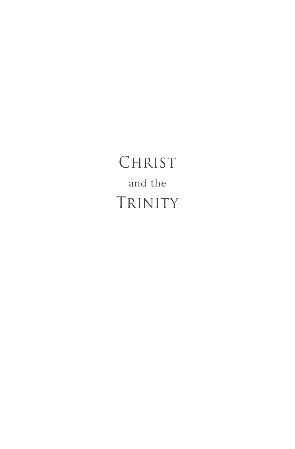CHRIST and the TRINITY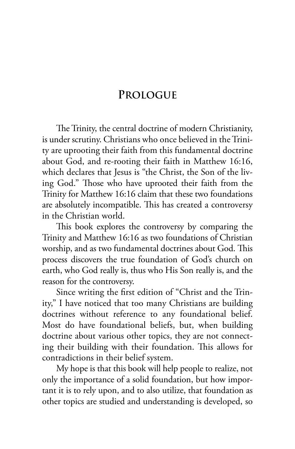# **PROLOGUE**

The Trinity, the central doctrine of modern Christianity, is under scrutiny. Christians who once believed in the Trinity are uprooting their faith from this fundamental doctrine about God, and re-rooting their faith in Matthew 16:16, which declares that Jesus is "the Christ, the Son of the living God." Those who have uprooted their faith from the Trinity for Matthew 16:16 claim that these two foundations are absolutely incompatible. This has created a controversy in the Christian world.

This book explores the controversy by comparing the Trinity and Matthew 16:16 as two foundations of Christian worship, and as two fundamental doctrines about God. This process discovers the true foundation of God's church on earth, who God really is, thus who His Son really is, and the reason for the controversy.

Since writing the first edition of "Christ and the Trinity," I have noticed that too many Christians are building doctrines without reference to any foundational belief. Most do have foundational beliefs, but, when building doctrine about various other topics, they are not connecting their building with their foundation. This allows for contradictions in their belief system.

My hope is that this book will help people to realize, not only the importance of a solid foundation, but how important it is to rely upon, and to also utilize, that foundation as other topics are studied and understanding is developed, so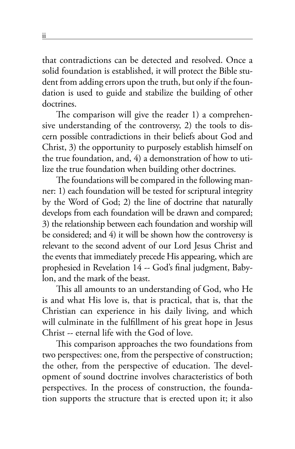that contradictions can be detected and resolved. Once a solid foundation is established, it will protect the Bible student from adding errors upon the truth, but only if the foundation is used to guide and stabilize the building of other doctrines.

The comparison will give the reader 1) a comprehensive understanding of the controversy, 2) the tools to discern possible contradictions in their beliefs about God and Christ, 3) the opportunity to purposely establish himself on the true foundation, and, 4) a demonstration of how to utilize the true foundation when building other doctrines.

The foundations will be compared in the following manner: 1) each foundation will be tested for scriptural integrity by the Word of God; 2) the line of doctrine that naturally develops from each foundation will be drawn and compared; 3) the relationship between each foundation and worship will be considered; and 4) it will be shown how the controversy is relevant to the second advent of our Lord Jesus Christ and the events that immediately precede His appearing, which are prophesied in Revelation 14 -- God's final judgment, Babylon, and the mark of the beast.

This all amounts to an understanding of God, who He is and what His love is, that is practical, that is, that the Christian can experience in his daily living, and which will culminate in the fulfillment of his great hope in Jesus Christ -- eternal life with the God of love.

This comparison approaches the two foundations from two perspectives: one, from the perspective of construction; the other, from the perspective of education. The development of sound doctrine involves characteristics of both perspectives. In the process of construction, the foundation supports the structure that is erected upon it; it also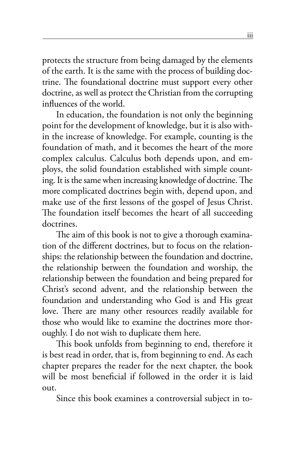protects the structure from being damaged by the elements of the earth. It is the same with the process of building doctrine. The foundational doctrine must support every other doctrine, as well as protect the Christian from the corrupting influences of the world.

In education, the foundation is not only the beginning point for the development of knowledge, but it is also within the increase of knowledge. For example, counting is the foundation of math, and it becomes the heart of the more complex calculus. Calculus both depends upon, and employs, the solid foundation established with simple counting. It is the same when increasing knowledge of doctrine. The more complicated doctrines begin with, depend upon, and make use of the first lessons of the gospel of Jesus Christ. The foundation itself becomes the heart of all succeeding doctrines.

The aim of this book is not to give a thorough examination of the different doctrines, but to focus on the relationships: the relationship between the foundation and doctrine, the relationship between the foundation and worship, the relationship between the foundation and being prepared for Christ's second advent, and the relationship between the foundation and understanding who God is and His great love. There are many other resources readily available for those who would like to examine the doctrines more thoroughly. I do not wish to duplicate them here.

This book unfolds from beginning to end, therefore it is best read in order, that is, from beginning to end. As each chapter prepares the reader for the next chapter, the book will be most beneficial if followed in the order it is laid out.

Since this book examines a controversial subject in to-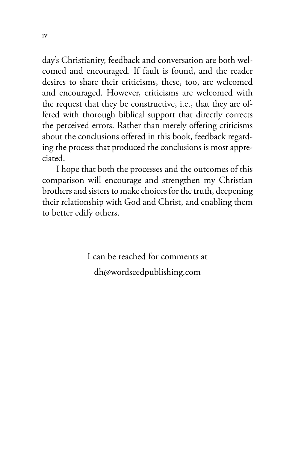day's Christianity, feedback and conversation are both welcomed and encouraged. If fault is found, and the reader desires to share their criticisms, these, too, are welcomed and encouraged. However, criticisms are welcomed with the request that they be constructive, i.e., that they are offered with thorough biblical support that directly corrects the perceived errors. Rather than merely offering criticisms about the conclusions offered in this book, feedback regarding the process that produced the conclusions is most appreciated.

I hope that both the processes and the outcomes of this comparison will encourage and strengthen my Christian brothers and sisters to make choices for the truth, deepening their relationship with God and Christ, and enabling them to better edify others.

> I can be reached for comments at dh@wordseedpublishing.com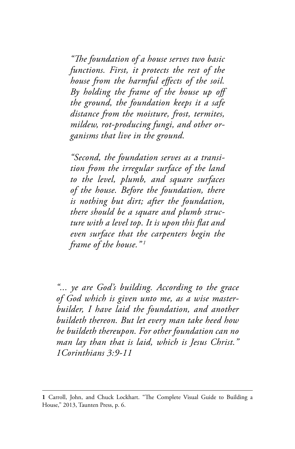*"The foundation of a house serves two basic functions. First, it protects the rest of the house from the harmful effects of the soil. By holding the frame of the house up off the ground, the foundation keeps it a safe distance from the moisture, frost, termites, mildew, rot-producing fungi, and other organisms that live in the ground.*

*"Second, the foundation serves as a transition from the irregular surface of the land to the level, plumb, and square surfaces of the house. Before the foundation, there is nothing but dirt; after the foundation, there should be a square and plumb structure with a level top. It is upon this flat and even surface that the carpenters begin the frame of the house." 1*

*"... ye are God's building. According to the grace of God which is given unto me, as a wise masterbuilder, I have laid the foundation, and another buildeth thereon. But let every man take heed how he buildeth thereupon. For other foundation can no man lay than that is laid, which is Jesus Christ." 1Corinthians 3:9-11*

**<sup>1</sup>** Carroll, John, and Chuck Lockhart. "The Complete Visual Guide to Building a House," 2013, Taunten Press, p. 6.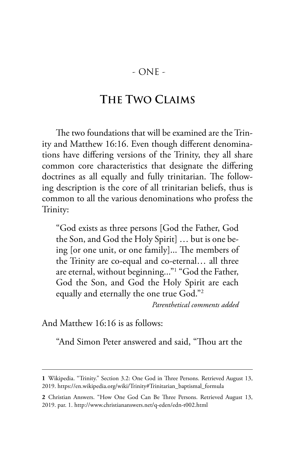- ONE -

# **THE TWO CLAIMS**

The two foundations that will be examined are the Trinity and Matthew 16:16. Even though different denominations have differing versions of the Trinity, they all share common core characteristics that designate the differing doctrines as all equally and fully trinitarian. The following description is the core of all trinitarian beliefs, thus is common to all the various denominations who profess the Trinity:

"God exists as three persons [God the Father, God the Son, and God the Holy Spirit] … but is one being [or one unit, or one family]... The members of the Trinity are co-equal and co-eternal… all three are eternal, without beginning..."1 "God the Father, God the Son, and God the Holy Spirit are each equally and eternally the one true God."2

*Parenthetical comments added*

And Matthew 16:16 is as follows:

"And Simon Peter answered and said, "Thou art the

**<sup>1</sup>** Wikipedia. "Trinity." Section 3.2: One God in Three Persons. Retrieved August 13, 2019. https://en.wikipedia.org/wiki/Trinity#Trinitarian\_baptismal\_formula

**<sup>2</sup>** Christian Answers. "How One God Can Be Three Persons. Retrieved August 13, 2019. par. 1. http://www.christiananswers.net/q-eden/edn-t002.html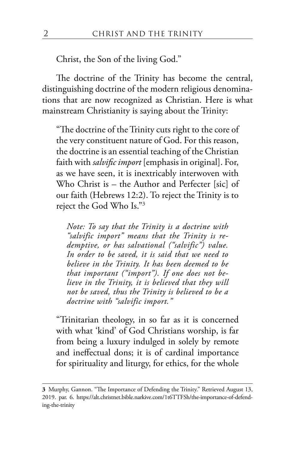Christ, the Son of the living God."

The doctrine of the Trinity has become the central, distinguishing doctrine of the modern religious denominations that are now recognized as Christian. Here is what mainstream Christianity is saying about the Trinity:

"The doctrine of the Trinity cuts right to the core of the very constituent nature of God. For this reason, the doctrine is an essential teaching of the Christian faith with *salvific import* [emphasis in original]. For, as we have seen, it is inextricably interwoven with Who Christ is – the Author and Perfecter [sic] of our faith (Hebrews 12:2). To reject the Trinity is to reject the God Who Is."3

*Note: To say that the Trinity is a doctrine with "salvific import" means that the Trinity is redemptive, or has salvational ("salvific") value. In order to be saved, it is said that we need to believe in the Trinity. It has been deemed to be that important ("import"). If one does not believe in the Trinity, it is believed that they will not be saved, thus the Trinity is believed to be a doctrine with "salvific import."*

"Trinitarian theology, in so far as it is concerned with what 'kind' of God Christians worship, is far from being a luxury indulged in solely by remote and ineffectual dons; it is of cardinal importance for spirituality and liturgy, for ethics, for the whole

**<sup>3</sup>** Murphy, Gannon. "The Importance of Defending the Trinity." Retrieved August 13, 2019. par. 6. https://alt.christnet.bible.narkive.com/1t6TTFSh/the-importance-of-defending-the-trinity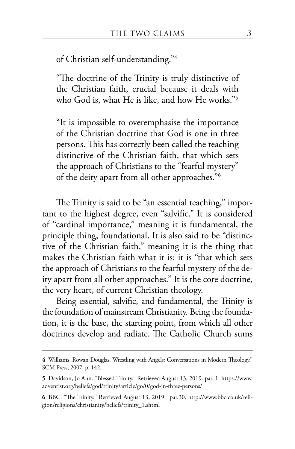of Christian self-understanding."4

"The doctrine of the Trinity is truly distinctive of the Christian faith, crucial because it deals with who God is, what He is like, and how He works."5

"It is impossible to overemphasise the importance of the Christian doctrine that God is one in three persons. This has correctly been called the teaching distinctive of the Christian faith, that which sets the approach of Christians to the "fearful mystery" of the deity apart from all other approaches."6

The Trinity is said to be "an essential teaching," important to the highest degree, even "salvific." It is considered of "cardinal importance," meaning it is fundamental, the principle thing, foundational. It is also said to be "distinctive of the Christian faith," meaning it is the thing that makes the Christian faith what it is; it is "that which sets the approach of Christians to the fearful mystery of the deity apart from all other approaches." It is the core doctrine, the very heart, of current Christian theology.

Being essential, salvific, and fundamental, the Trinity is the foundation of mainstream Christianity. Being the foundation, it is the base, the starting point, from which all other doctrines develop and radiate. The Catholic Church sums

**4** Williams, Rowan Douglas. Wrestling with Angels: Conversations in Modern Theology." SCM Press, 2007. p. 142.

**<sup>5</sup>** Davidson, Jo Ann. "Blessed Trinity." Retrieved August 13, 2019. par. 1. https://www. adventist.org/beliefs/god/trinity/article/go/0/god-in-three-persons/

**<sup>6</sup>** BBC. "The Trinity." Retrieved August 13, 2019. par.30. http://www.bbc.co.uk/religion/religions/christianity/beliefs/trinity\_1.shtml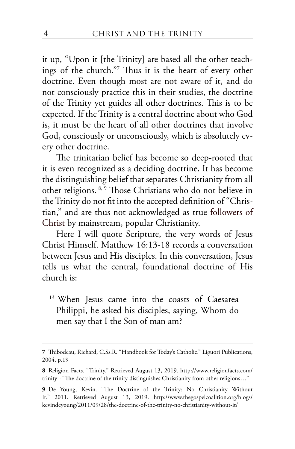it up, "Upon it [the Trinity] are based all the other teachings of the church."7 Thus it is the heart of every other doctrine. Even though most are not aware of it, and do not consciously practice this in their studies, the doctrine of the Trinity yet guides all other doctrines. This is to be expected. If the Trinity is a central doctrine about who God is, it must be the heart of all other doctrines that involve God, consciously or unconsciously, which is absolutely every other doctrine.

The trinitarian belief has become so deep-rooted that it is even recognized as a deciding doctrine. It has become the distinguishing belief that separates Christianity from all other religions. 8, 9 Those Christians who do not believe in the Trinity do not fit into the accepted definition of "Christian," and are thus not acknowledged as true followers of Christ by mainstream, popular Christianity.

Here I will quote Scripture, the very words of Jesus Christ Himself. Matthew 16:13-18 records a conversation between Jesus and His disciples. In this conversation, Jesus tells us what the central, foundational doctrine of His church is:

<sup>13</sup> When Jesus came into the coasts of Caesarea Philippi, he asked his disciples, saying, Whom do men say that I the Son of man am?

**<sup>7</sup>** Thibodeau, Richard, C.Ss.R. "Handbook for Today's Catholic." Liguori Publications, 2004. p.19

**<sup>8</sup>** Religion Facts. "Trinity." Retrieved August 13, 2019. http://www.religionfacts.com/ trinity - "The doctrine of the trinity distinguishes Christianity from other religions…"

**<sup>9</sup>** De Young, Kevin. "The Doctrine of the Trinity: No Christianity Without It." 2011. Retrieved August 13, 2019. http://www.thegospelcoalition.org/blogs/ kevindeyoung/2011/09/28/the-doctrine-of-the-trinity-no-christianity-without-it/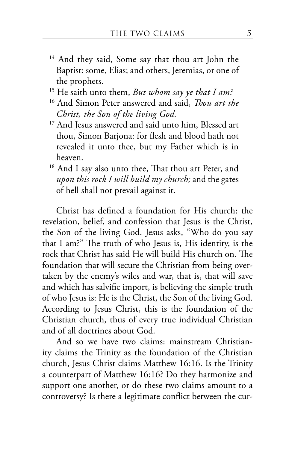- <sup>14</sup> And they said, Some say that thou art John the Baptist: some, Elias; and others, Jeremias, or one of the prophets.
- 15 He saith unto them, *But whom say ye that I am?*
- 16 And Simon Peter answered and said, *Thou art the Christ, the Son of the living God.*
- <sup>17</sup> And Jesus answered and said unto him, Blessed art thou, Simon Barjona: for flesh and blood hath not revealed it unto thee, but my Father which is in heaven.
- <sup>18</sup> And I say also unto thee, That thou art Peter, and *upon this rock I will build my church;* and the gates of hell shall not prevail against it.

Christ has defined a foundation for His church: the revelation, belief, and confession that Jesus is the Christ, the Son of the living God. Jesus asks, "Who do you say that I am?" The truth of who Jesus is, His identity, is the rock that Christ has said He will build His church on. The foundation that will secure the Christian from being overtaken by the enemy's wiles and war, that is, that will save and which has salvific import, is believing the simple truth of who Jesus is: He is the Christ, the Son of the living God. According to Jesus Christ, this is the foundation of the Christian church, thus of every true individual Christian and of all doctrines about God.

And so we have two claims: mainstream Christianity claims the Trinity as the foundation of the Christian church, Jesus Christ claims Matthew 16:16. Is the Trinity a counterpart of Matthew 16:16? Do they harmonize and support one another, or do these two claims amount to a controversy? Is there a legitimate conflict between the cur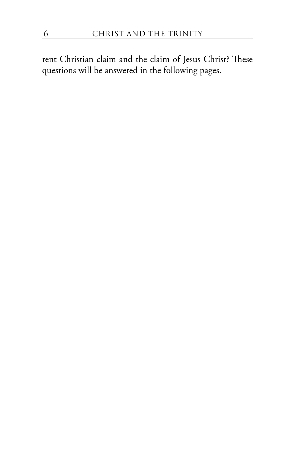rent Christian claim and the claim of Jesus Christ? These questions will be answered in the following pages.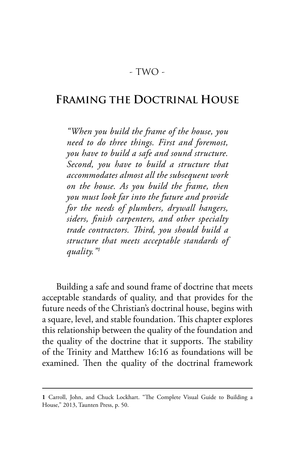## **FRAMING THE DOCTRINAL HOUSE**

*"When you build the frame of the house, you need to do three things. First and foremost, you have to build a safe and sound structure. Second, you have to build a structure that accommodates almost all the subsequent work on the house. As you build the frame, then you must look far into the future and provide for the needs of plumbers, drywall hangers, siders, finish carpenters, and other specialty trade contractors. Third, you should build a structure that meets acceptable standards of quality."1*

Building a safe and sound frame of doctrine that meets acceptable standards of quality, and that provides for the future needs of the Christian's doctrinal house, begins with a square, level, and stable foundation. This chapter explores this relationship between the quality of the foundation and the quality of the doctrine that it supports. The stability of the Trinity and Matthew 16:16 as foundations will be examined. Then the quality of the doctrinal framework

**<sup>1</sup>** Carroll, John, and Chuck Lockhart. "The Complete Visual Guide to Building a House," 2013, Taunten Press, p. 50.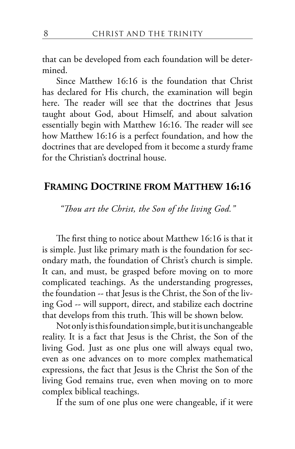that can be developed from each foundation will be determined.

Since Matthew 16:16 is the foundation that Christ has declared for His church, the examination will begin here. The reader will see that the doctrines that Jesus taught about God, about Himself, and about salvation essentially begin with Matthew 16:16. The reader will see how Matthew 16:16 is a perfect foundation, and how the doctrines that are developed from it become a sturdy frame for the Christian's doctrinal house.

#### **FRAMING DOCTRINE FROM MATTHEW 16:16**

*"Thou art the Christ, the Son of the living God."*

The first thing to notice about Matthew 16:16 is that it is simple. Just like primary math is the foundation for secondary math, the foundation of Christ's church is simple. It can, and must, be grasped before moving on to more complicated teachings. As the understanding progresses, the foundation -- that Jesus is the Christ, the Son of the living God -- will support, direct, and stabilize each doctrine that develops from this truth. This will be shown below.

Not only is this foundation simple, but it is unchangeable reality. It is a fact that Jesus is the Christ, the Son of the living God. Just as one plus one will always equal two, even as one advances on to more complex mathematical expressions, the fact that Jesus is the Christ the Son of the living God remains true, even when moving on to more complex biblical teachings.

If the sum of one plus one were changeable, if it were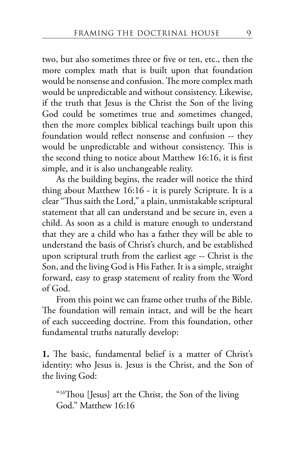two, but also sometimes three or five or ten, etc., then the more complex math that is built upon that foundation would be nonsense and confusion. The more complex math would be unpredictable and without consistency. Likewise, if the truth that Jesus is the Christ the Son of the living God could be sometimes true and sometimes changed, then the more complex biblical teachings built upon this foundation would reflect nonsense and confusion -- they would be unpredictable and without consistency. This is the second thing to notice about Matthew 16:16, it is first simple, and it is also unchangeable reality.

As the building begins, the reader will notice the third thing about Matthew 16:16 - it is purely Scripture. It is a clear "Thus saith the Lord," a plain, unmistakable scriptural statement that all can understand and be secure in, even a child. As soon as a child is mature enough to understand that they are a child who has a father they will be able to understand the basis of Christ's church, and be established upon scriptural truth from the earliest age -- Christ is the Son, and the living God is His Father. It is a simple, straight forward, easy to grasp statement of reality from the Word of God.

From this point we can frame other truths of the Bible. The foundation will remain intact, and will be the heart of each succeeding doctrine. From this foundation, other fundamental truths naturally develop:

**1.** The basic, fundamental belief is a matter of Christ's identity: who Jesus is. Jesus is the Christ, and the Son of the living God:

"<sup>16</sup>Thou [Jesus] art the Christ, the Son of the living God." Matthew 16:16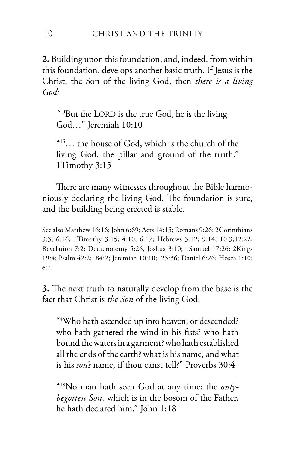**2.** Building upon this foundation, and, indeed, from within this foundation, develops another basic truth. If Jesus is the Christ, the Son of the living God, then *there is a living God:*

*"*10But the LORD is the true God, he is the living God…" Jeremiah 10:10

 $15...$  the house of God, which is the church of the living God, the pillar and ground of the truth." 1Timothy 3:15

There are many witnesses throughout the Bible harmoniously declaring the living God. The foundation is sure, and the building being erected is stable.

See also Matthew 16:16; John 6:69; Acts 14:15; Romans 9:26; 2Corinthians 3:3; 6:16; 1Timothy 3:15; 4:10; 6:17; Hebrews 3:12; 9:14; 10:3;12:22; Revelation 7:2; Deuteronomy 5:26, Joshua 3:10; 1Samuel 17:26; 2Kings 19:4; Psalm 42:2; 84:2; Jeremiah 10:10; 23:36; Daniel 6:26; Hosea 1:10; etc.

**3.** The next truth to naturally develop from the base is the fact that Christ is *the Son* of the living God:

"4 Who hath ascended up into heaven, or descended? who hath gathered the wind in his fists? who hath bound the waters in a garment? who hath established all the ends of the earth? what is his name, and what is his *son's* name, if thou canst tell?" Proverbs 30:4

"18No man hath seen God at any time; the *onlybegotten Son,* which is in the bosom of the Father, he hath declared him." John 1:18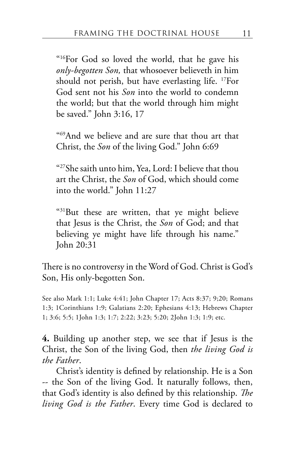"16For God so loved the world, that he gave his *only-begotten Son,* that whosoever believeth in him should not perish, but have everlasting life. 17For God sent not his *Son* into the world to condemn the world; but that the world through him might be saved." John 3:16, 17

"69And we believe and are sure that thou art that Christ, the *Son* of the living God." John 6:69

"27She saith unto him, Yea, Lord: I believe that thou art the Christ, the *Son* of God, which should come into the world." John 11:27

"31But these are written, that ye might believe that Jesus is the Christ, the *Son* of God; and that believing ye might have life through his name." John 20:31

There is no controversy in the Word of God. Christ is God's Son, His only-begotten Son.

See also Mark 1:1; Luke 4:41; John Chapter 17; Acts 8:37; 9;20; Romans 1:3; 1Corinthians 1:9; Galatians 2:20; Ephesians 4:13; Hebrews Chapter 1; 3:6; 5:5; 1John 1:3; 1:7; 2:22; 3:23; 5:20; 2John 1:3; 1:9; etc.

**4.** Building up another step, we see that if Jesus is the Christ, the Son of the living God, then *the living God is the Father*.

Christ's identity is defined by relationship. He is a Son -- the Son of the living God. It naturally follows, then, that God's identity is also defined by this relationship. *The living God is the Father*. Every time God is declared to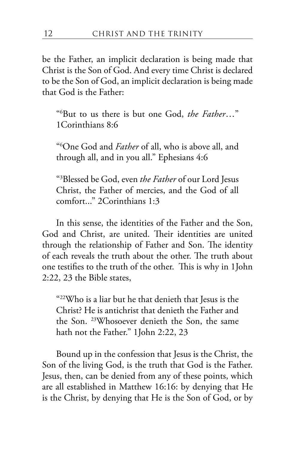be the Father, an implicit declaration is being made that Christ is the Son of God. And every time Christ is declared to be the Son of God, an implicit declaration is being made that God is the Father:

"6 But to us there is but one God, *the Father*…" 1Corinthians 8:6

"6 One God and *Father* of all, who is above all, and through all, and in you all." Ephesians 4:6

"3 Blessed be God, even *the Father* of our Lord Jesus Christ, the Father of mercies, and the God of all comfort..." 2Corinthians 1:3

In this sense, the identities of the Father and the Son, God and Christ, are united. Their identities are united through the relationship of Father and Son. The identity of each reveals the truth about the other. The truth about one testifies to the truth of the other. This is why in 1John 2:22, 23 the Bible states,

"22Who is a liar but he that denieth that Jesus is the Christ? He is antichrist that denieth the Father and the Son. 23Whosoever denieth the Son, the same hath not the Father." 1John 2:22, 23

Bound up in the confession that Jesus is the Christ, the Son of the living God, is the truth that God is the Father. Jesus, then, can be denied from any of these points, which are all established in Matthew 16:16: by denying that He is the Christ, by denying that He is the Son of God, or by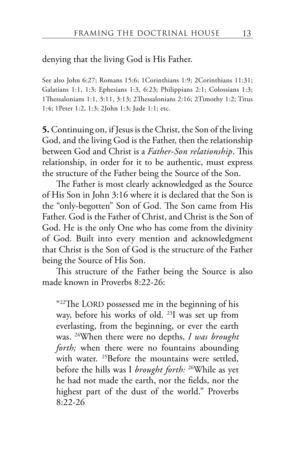#### denying that the living God is His Father.

See also John 6:27; Romans 15:6; 1Corinthians 1:9; 2Corinthians 11:31; Galatians 1:1, 1:3; Ephesians 1:3, 6:23; Philippians 2:1; Colossians 1:3; 1Thessalonians 1:1, 3:11, 3:13; 2Thessalonians 2:16; 2Timothy 1:2; Titus 1:4; 1Peter 1:2, 1:3; 2John 1:3; Jude 1:1; etc.

**5.** Continuing on, if Jesus is the Christ, the Son of the living God, and the living God is the Father, then the relationship between God and Christ is a *Father-Son relationship*. This relationship, in order for it to be authentic, must express the structure of the Father being the Source of the Son.

The Father is most clearly acknowledged as the Source of His Son in John 3:16 where it is declared that the Son is the "only-begotten" Son of God. The Son came from His Father. God is the Father of Christ, and Christ is the Son of God. He is the only One who has come from the divinity of God. Built into every mention and acknowledgment that Christ is the Son of God is the structure of the Father being the Source of His Son.

This structure of the Father being the Source is also made known in Proverbs 8:22-26:

 $422$ The LORD possessed me in the beginning of his way, before his works of old. 23I was set up from everlasting, from the beginning, or ever the earth was. 24When there were no depths, *I was brought forth;* when there were no fountains abounding with water. <sup>25</sup>Before the mountains were settled, before the hills was I *brought forth:* 26While as yet he had not made the earth, nor the fields, nor the highest part of the dust of the world." Proverbs 8:22-26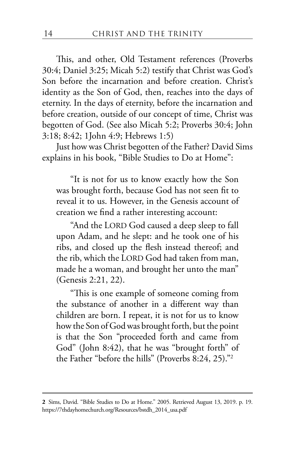This, and other, Old Testament references (Proverbs 30:4; Daniel 3:25; Micah 5:2) testify that Christ was God's Son before the incarnation and before creation. Christ's identity as the Son of God, then, reaches into the days of eternity. In the days of eternity, before the incarnation and before creation, outside of our concept of time, Christ was begotten of God. (See also Micah 5:2; Proverbs 30:4; John 3:18; 8:42; 1John 4:9; Hebrews 1:5)

Just how was Christ begotten of the Father? David Sims explains in his book, "Bible Studies to Do at Home":

"It is not for us to know exactly how the Son was brought forth, because God has not seen fit to reveal it to us. However, in the Genesis account of creation we find a rather interesting account:

"And the LORD God caused a deep sleep to fall upon Adam, and he slept: and he took one of his ribs, and closed up the flesh instead thereof; and the rib, which the LORD God had taken from man, made he a woman, and brought her unto the man" (Genesis 2:21, 22).

"This is one example of someone coming from the substance of another in a different way than children are born. I repeat, it is not for us to know how the Son of God was brought forth, but the point is that the Son "proceeded forth and came from God" (John 8:42), that he was "brought forth" of the Father "before the hills" (Proverbs 8:24, 25)."2

**<sup>2</sup>** Sims, David. "Bible Studies to Do at Home." 2005. Retrieved August 13, 2019. p. 19. https://7thdayhomechurch.org/Resources/bstdh\_2014\_usa.pdf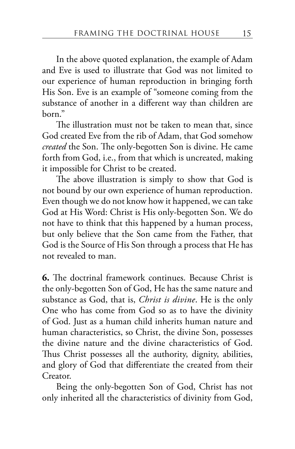In the above quoted explanation, the example of Adam and Eve is used to illustrate that God was not limited to our experience of human reproduction in bringing forth His Son. Eve is an example of "someone coming from the substance of another in a different way than children are born."

The illustration must not be taken to mean that, since God created Eve from the rib of Adam, that God somehow *created* the Son. The only-begotten Son is divine. He came forth from God, i.e., from that which is uncreated, making it impossible for Christ to be created.

The above illustration is simply to show that God is not bound by our own experience of human reproduction. Even though we do not know how it happened, we can take God at His Word: Christ is His only-begotten Son. We do not have to think that this happened by a human process, but only believe that the Son came from the Father, that God is the Source of His Son through a process that He has not revealed to man.

**6.** The doctrinal framework continues. Because Christ is the only-begotten Son of God, He has the same nature and substance as God, that is, *Christ is divine*. He is the only One who has come from God so as to have the divinity of God. Just as a human child inherits human nature and human characteristics, so Christ, the divine Son, possesses the divine nature and the divine characteristics of God. Thus Christ possesses all the authority, dignity, abilities, and glory of God that differentiate the created from their Creator.

Being the only-begotten Son of God, Christ has not only inherited all the characteristics of divinity from God,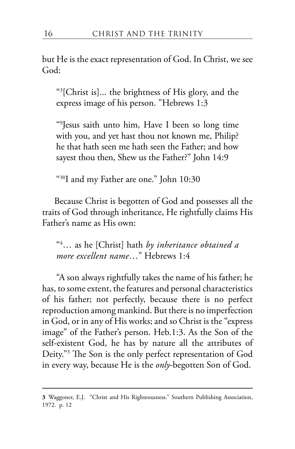but He is the exact representation of God. In Christ, we see God:

"3 [Christ is]... the brightness of His glory, and the express image of his person. "Hebrews 1:3

"9 Jesus saith unto him, Have I been so long time with you, and yet hast thou not known me, Philip? he that hath seen me hath seen the Father; and how sayest thou then, Shew us the Father?" John 14:9

"30I and my Father are one." John 10:30

 Because Christ is begotten of God and possesses all the traits of God through inheritance, He rightfully claims His Father's name as His own:

"4 … as he [Christ] hath *by inheritance obtained a more excellent name*…" Hebrews 1:4

"A son always rightfully takes the name of his father; he has, to some extent, the features and personal characteristics of his father; not perfectly, because there is no perfect reproduction among mankind. But there is no imperfection in God, or in any of His works; and so Christ is the "express image" of the Father's person. Heb.1:3. As the Son of the self-existent God, he has by nature all the attributes of Deity."3 The Son is the only perfect representation of God in every way, because He is the *only*-begotten Son of God.

**<sup>3</sup>** Waggoner, E.J. "Christ and His Righteousness." Southern Publishing Association, 1972. p. 12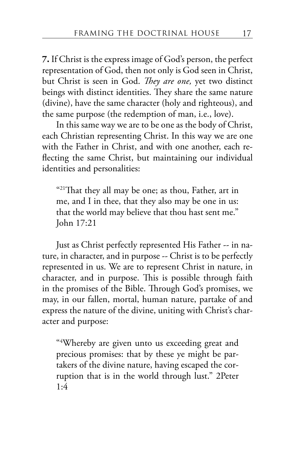**7.** If Christ is the express image of God's person, the perfect representation of God, then not only is God seen in Christ, but Christ is seen in God. *They are one,* yet two distinct beings with distinct identities. They share the same nature (divine), have the same character (holy and righteous), and the same purpose (the redemption of man, i.e., love).

In this same way we are to be one as the body of Christ, each Christian representing Christ. In this way we are one with the Father in Christ, and with one another, each reflecting the same Christ, but maintaining our individual identities and personalities:

" $21$ That they all may be one; as thou, Father, art in me, and I in thee, that they also may be one in us: that the world may believe that thou hast sent me." John 17:21

Just as Christ perfectly represented His Father -- in nature, in character, and in purpose -- Christ is to be perfectly represented in us. We are to represent Christ in nature, in character, and in purpose. This is possible through faith in the promises of the Bible. Through God's promises, we may, in our fallen, mortal, human nature, partake of and express the nature of the divine, uniting with Christ's character and purpose:

"4 Whereby are given unto us exceeding great and precious promises: that by these ye might be partakers of the divine nature, having escaped the corruption that is in the world through lust." 2Peter 1:4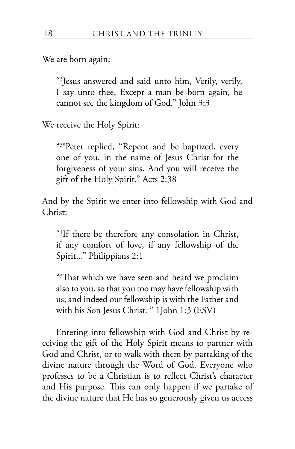We are born again:

"3 Jesus answered and said unto him, Verily, verily, I say unto thee, Except a man be born again, he cannot see the kingdom of God." John 3:3

We receive the Holy Spirit:

"38Peter replied, "Repent and be baptized, every one of you, in the name of Jesus Christ for the forgiveness of your sins. And you will receive the gift of the Holy Spirit." Acts 2:38

And by the Spirit we enter into fellowship with God and Christ:

"1 If there be therefore any consolation in Christ, if any comfort of love, if any fellowship of the Spirit..." Philippians 2:1

"3 That which we have seen and heard we proclaim also to you, so that you too may have fellowship with us; and indeed our fellowship is with the Father and with his Son Jesus Christ. " 1John 1:3 (ESV)

Entering into fellowship with God and Christ by receiving the gift of the Holy Spirit means to partner with God and Christ, or to walk with them by partaking of the divine nature through the Word of God. Everyone who professes to be a Christian is to reflect Christ's character and His purpose. This can only happen if we partake of the divine nature that He has so generously given us access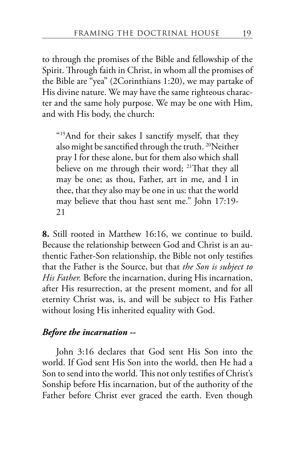to through the promises of the Bible and fellowship of the Spirit. Through faith in Christ, in whom all the promises of the Bible are "yea" (2Corinthians 1:20), we may partake of His divine nature. We may have the same righteous character and the same holy purpose. We may be one with Him, and with His body, the church:

"19And for their sakes I sanctify myself, that they also might be sanctified through the truth. 20Neither pray I for these alone, but for them also which shall believe on me through their word; <sup>21</sup>That they all may be one; as thou, Father, art in me, and I in thee, that they also may be one in us: that the world may believe that thou hast sent me." John 17:19- 21

**8.** Still rooted in Matthew 16:16, we continue to build. Because the relationship between God and Christ is an authentic Father-Son relationship, the Bible not only testifies that the Father is the Source, but that *the Son is subject to His Father.* Before the incarnation, during His incarnation, after His resurrection, at the present moment, and for all eternity Christ was, is, and will be subject to His Father without losing His inherited equality with God.

#### *Before the incarnation --*

John 3:16 declares that God sent His Son into the world. If God sent His Son into the world, then He had a Son to send into the world. This not only testifies of Christ's Sonship before His incarnation, but of the authority of the Father before Christ ever graced the earth. Even though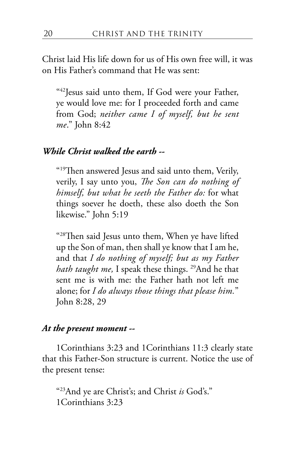Christ laid His life down for us of His own free will, it was on His Father's command that He was sent:

"42Jesus said unto them, If God were your Father, ye would love me: for I proceeded forth and came from God; *neither came I of myself, but he sent me*." John 8:42

#### *While Christ walked the earth --*

"19Then answered Jesus and said unto them, Verily, verily, I say unto you, *The Son can do nothing of himself, but what he seeth the Father do:* for what things soever he doeth, these also doeth the Son likewise." John 5:19

"28Then said Jesus unto them, When ye have lifted up the Son of man, then shall ye know that I am he, and that *I do nothing of myself; but as my Father hath taught me*, I speak these things. <sup>29</sup>And he that sent me is with me: the Father hath not left me alone; for *I do always those things that please him.*" John 8:28, 29

#### *At the present moment --*

1Corinthians 3:23 and 1Corinthians 11:3 clearly state that this Father-Son structure is current. Notice the use of the present tense:

"23And ye are Christ's; and Christ *is* God's." 1Corinthians 3:23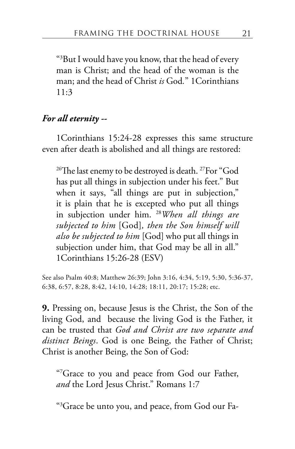"3 But I would have you know, that the head of every man is Christ; and the head of the woman is the man; and the head of Christ *is* God*.*" 1Corinthians  $11:3$ 

#### *For all eternity --*

1Corinthians 15:24-28 expresses this same structure even after death is abolished and all things are restored:

<sup>26</sup>The last enemy to be destroyed is death. <sup>27</sup>For "God" has put all things in subjection under his feet." But when it says, "all things are put in subjection," it is plain that he is excepted who put all things in subjection under him. 28*When all things are subjected to him* [God]*, then the Son himself will also be subjected to him* [God] who put all things in subjection under him, that God may be all in all." 1Corinthians 15:26-28 (ESV)

See also Psalm 40:8; Matthew 26:39; John 3:16, 4:34, 5:19, 5:30, 5:36-37, 6:38, 6:57, 8:28, 8:42, 14:10, 14:28; 18:11, 20:17; 15:28; etc.

**9.** Pressing on, because Jesus is the Christ, the Son of the living God, and because the living God is the Father, it can be trusted that *God and Christ are two separate and distinct Beings*. God is one Being, the Father of Christ; Christ is another Being, the Son of God:

"7 Grace to you and peace from God our Father, *and* the Lord Jesus Christ." Romans 1:7

"3 Grace be unto you, and peace, from God our Fa-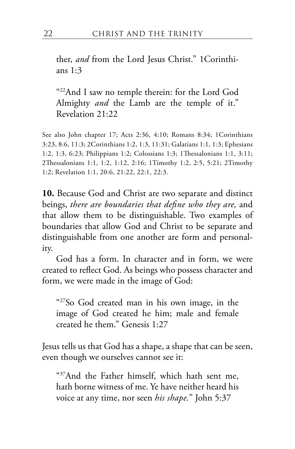ther, *and* from the Lord Jesus Christ." 1Corinthians 1:3

"22And I saw no temple therein: for the Lord God Almighty *and* the Lamb are the temple of it." Revelation 21:22

See also John chapter 17; Acts 2:36, 4:10; Romans 8:34; 1Corinthians 3:23, 8:6, 11:3; 2Corinthians 1:2, 1:3, 11:31; Galatians 1:1, 1:3; Ephesians 1:2, 1:3, 6:23; Philippians 1:2; Colossians 1:3; 1Thessalonians 1:1, 3:11; 2Thessalonians 1:1, 1:2, 1:12, 2:16; 1Timothy 1:2, 2:5, 5:21; 2Timothy 1:2; Revelation 1:1, 20:6, 21:22, 22:1, 22:3.

**10.** Because God and Christ are two separate and distinct beings, *there are boundaries that define who they are,* and that allow them to be distinguishable. Two examples of boundaries that allow God and Christ to be separate and distinguishable from one another are form and personality.

God has a form. In character and in form, we were created to reflect God. As beings who possess character and form, we were made in the image of God:

"27So God created man in his own image, in the image of God created he him; male and female created he them." Genesis 1:27

Jesus tells us that God has a shape, a shape that can be seen, even though we ourselves cannot see it:

"37And the Father himself, which hath sent me, hath borne witness of me. Ye have neither heard his voice at any time, nor seen *his shape.*" John 5:37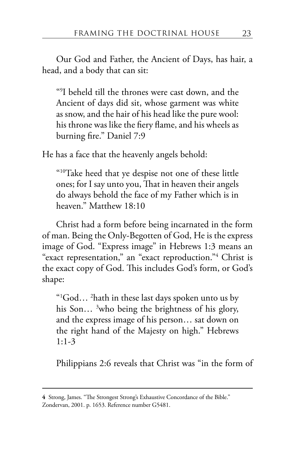Our God and Father, the Ancient of Days, has hair, a head, and a body that can sit:

"9 I beheld till the thrones were cast down, and the Ancient of days did sit, whose garment was white as snow, and the hair of his head like the pure wool: his throne was like the fiery flame, and his wheels as burning fire." Daniel 7:9

He has a face that the heavenly angels behold:

"10Take heed that ye despise not one of these little ones; for I say unto you, That in heaven their angels do always behold the face of my Father which is in heaven." Matthew 18:10

Christ had a form before being incarnated in the form of man. Being the Only-Begotten of God, He is the express image of God. "Express image" in Hebrews 1:3 means an "exact representation," an "exact reproduction."4 Christ is the exact copy of God. This includes God's form, or God's shape:

"1 God… 2 hath in these last days spoken unto us by his Son... <sup>3</sup>who being the brightness of his glory, and the express image of his person… sat down on the right hand of the Majesty on high." Hebrews 1:1-3

Philippians 2:6 reveals that Christ was "in the form of

**<sup>4</sup>** Strong, James. "The Strongest Strong's Exhaustive Concordance of the Bible." Zondervan, 2001. p. 1653. Reference number G5481.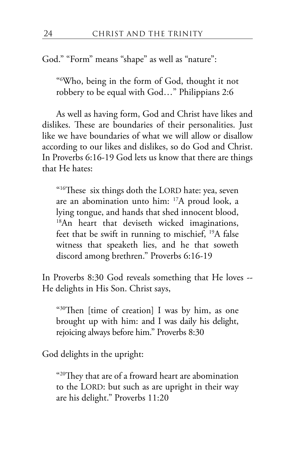God." "Form" means "shape" as well as "nature":

"6 Who, being in the form of God, thought it not robbery to be equal with God…" Philippians 2:6

As well as having form, God and Christ have likes and dislikes. These are boundaries of their personalities. Just like we have boundaries of what we will allow or disallow according to our likes and dislikes, so do God and Christ. In Proverbs 6:16-19 God lets us know that there are things that He hates:

"16These six things doth the LORD hate: yea, seven are an abomination unto him: 17A proud look, a lying tongue, and hands that shed innocent blood, <sup>18</sup>An heart that deviseth wicked imaginations, feet that be swift in running to mischief, 19A false witness that speaketh lies, and he that soweth discord among brethren." Proverbs 6:16-19

In Proverbs 8:30 God reveals something that He loves -- He delights in His Son. Christ says,

"30Then [time of creation] I was by him, as one brought up with him: and I was daily his delight, rejoicing always before him." Proverbs 8:30

God delights in the upright:

"20They that are of a froward heart are abomination to the LORD: but such as are upright in their way are his delight." Proverbs 11:20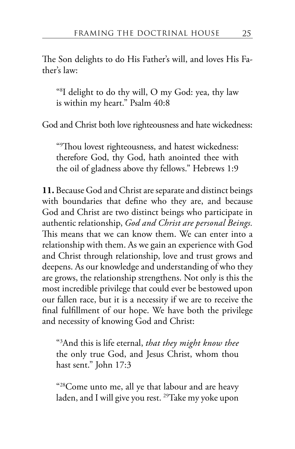The Son delights to do His Father's will, and loves His Father's law:

"8 I delight to do thy will, O my God: yea, thy law is within my heart." Psalm 40:8

God and Christ both love righteousness and hate wickedness:

"9 Thou lovest righteousness, and hatest wickedness: therefore God, thy God, hath anointed thee with the oil of gladness above thy fellows." Hebrews 1:9

**11.** Because God and Christ are separate and distinct beings with boundaries that define who they are, and because God and Christ are two distinct beings who participate in authentic relationship, *God and Christ are personal Beings.* This means that we can know them. We can enter into a relationship with them. As we gain an experience with God and Christ through relationship, love and trust grows and deepens. As our knowledge and understanding of who they are grows, the relationship strengthens. Not only is this the most incredible privilege that could ever be bestowed upon our fallen race, but it is a necessity if we are to receive the final fulfillment of our hope. We have both the privilege and necessity of knowing God and Christ:

"3 And this is life eternal, *that they might know thee* the only true God, and Jesus Christ, whom thou hast sent." John 17:3

"28Come unto me, all ye that labour and are heavy laden, and I will give you rest. 29Take my yoke upon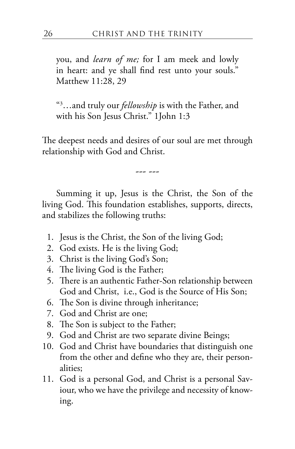you, and *learn of me;* for I am meek and lowly in heart: and ye shall find rest unto your souls." Matthew 11:28, 29

"3 …and truly our *fellowship* is with the Father, and with his Son Jesus Christ." 1John 1:3

The deepest needs and desires of our soul are met through relationship with God and Christ.

--- ---

Summing it up, Jesus is the Christ, the Son of the living God. This foundation establishes, supports, directs, and stabilizes the following truths:

- 1. Jesus is the Christ, the Son of the living God;
- 2. God exists. He is the living God;
- 3. Christ is the living God's Son;
- 4. The living God is the Father;
- 5. There is an authentic Father-Son relationship between God and Christ, i.e., God is the Source of His Son;
- 6. The Son is divine through inheritance;
- 7. God and Christ are one;
- 8. The Son is subject to the Father;
- 9. God and Christ are two separate divine Beings;
- 10. God and Christ have boundaries that distinguish one from the other and define who they are, their personalities;
- 11. God is a personal God, and Christ is a personal Saviour, who we have the privilege and necessity of knowing.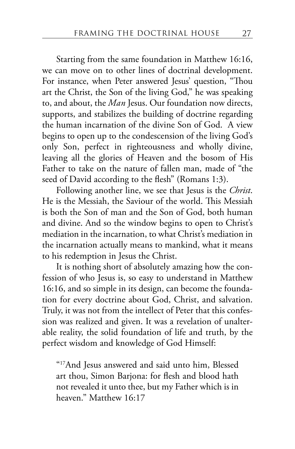Starting from the same foundation in Matthew 16:16, we can move on to other lines of doctrinal development. For instance, when Peter answered Jesus' question, "Thou art the Christ, the Son of the living God," he was speaking to, and about, the *Man* Jesus. Our foundation now directs, supports, and stabilizes the building of doctrine regarding the human incarnation of the divine Son of God. A view begins to open up to the condescension of the living God's only Son, perfect in righteousness and wholly divine, leaving all the glories of Heaven and the bosom of His Father to take on the nature of fallen man, made of "the seed of David according to the flesh" (Romans 1:3).

Following another line, we see that Jesus is the *Christ*. He is the Messiah, the Saviour of the world. This Messiah is both the Son of man and the Son of God, both human and divine. And so the window begins to open to Christ's mediation in the incarnation, to what Christ's mediation in the incarnation actually means to mankind, what it means to his redemption in Jesus the Christ.

It is nothing short of absolutely amazing how the confession of who Jesus is, so easy to understand in Matthew 16:16, and so simple in its design, can become the foundation for every doctrine about God, Christ, and salvation. Truly, it was not from the intellect of Peter that this confession was realized and given. It was a revelation of unalterable reality, the solid foundation of life and truth, by the perfect wisdom and knowledge of God Himself:

"17And Jesus answered and said unto him, Blessed art thou, Simon Barjona: for flesh and blood hath not revealed it unto thee, but my Father which is in heaven." Matthew 16:17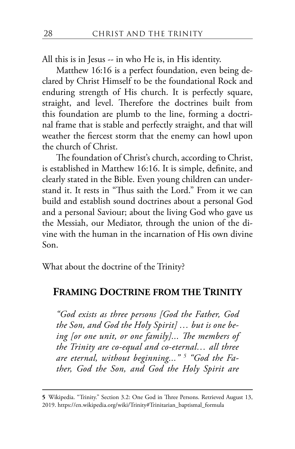All this is in Jesus -- in who He is, in His identity.

Matthew 16:16 is a perfect foundation, even being declared by Christ Himself to be the foundational Rock and enduring strength of His church. It is perfectly square, straight, and level. Therefore the doctrines built from this foundation are plumb to the line, forming a doctrinal frame that is stable and perfectly straight, and that will weather the fiercest storm that the enemy can howl upon the church of Christ.

The foundation of Christ's church, according to Christ, is established in Matthew 16:16. It is simple, definite, and clearly stated in the Bible. Even young children can understand it. It rests in "Thus saith the Lord." From it we can build and establish sound doctrines about a personal God and a personal Saviour; about the living God who gave us the Messiah, our Mediator, through the union of the divine with the human in the incarnation of His own divine Son.

What about the doctrine of the Trinity?

## **FRAMING DOCTRINE FROM THE TRINITY**

*"God exists as three persons [God the Father, God the Son, and God the Holy Spirit] … but is one being [or one unit, or one family]... The members of the Trinity are co-equal and co-eternal… all three are eternal, without beginning..." 5 "God the Father, God the Son, and God the Holy Spirit are* 

**<sup>5</sup>** Wikipedia. "Trinity." Section 3.2: One God in Three Persons. Retrieved August 13, 2019. https://en.wikipedia.org/wiki/Trinity#Trinitarian\_baptismal\_formula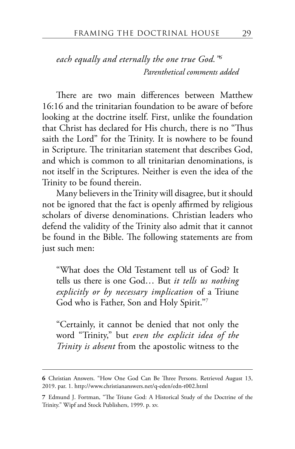*each equally and eternally the one true God."6 Parenthetical comments added*

There are two main differences between Matthew 16:16 and the trinitarian foundation to be aware of before looking at the doctrine itself. First, unlike the foundation that Christ has declared for His church, there is no "Thus saith the Lord" for the Trinity. It is nowhere to be found in Scripture. The trinitarian statement that describes God, and which is common to all trinitarian denominations, is not itself in the Scriptures. Neither is even the idea of the Trinity to be found therein.

Many believers in the Trinity will disagree, but it should not be ignored that the fact is openly affirmed by religious scholars of diverse denominations. Christian leaders who defend the validity of the Trinity also admit that it cannot be found in the Bible. The following statements are from just such men:

"What does the Old Testament tell us of God? It tells us there is one God… But *it tells us nothing explicitly or by necessary implication* of a Triune God who is Father, Son and Holy Spirit."7

"Certainly, it cannot be denied that not only the word "Trinity," but *even the explicit idea of the Trinity is absent* from the apostolic witness to the

**<sup>6</sup>** Christian Answers. "How One God Can Be Three Persons. Retrieved August 13, 2019. par. 1. http://www.christiananswers.net/q-eden/edn-t002.html

**<sup>7</sup>** Edmund J. Fortman, "The Triune God: A Historical Study of the Doctrine of the Trinity." Wipf and Stock Publishers, 1999. p. xv.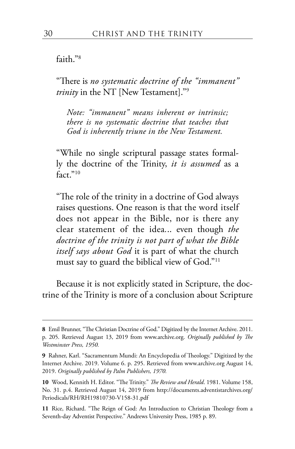#### faith<sup>"8</sup>

"There is *no systematic doctrine of the "immanent" trinity* in the NT [New Testament]."9

*Note: "immanent" means inherent or intrinsic; there is no systematic doctrine that teaches that God is inherently triune in the New Testament.*

"While no single scriptural passage states formally the doctrine of the Trinity, *it is assumed* as a fact."10

"The role of the trinity in a doctrine of God always raises questions. One reason is that the word itself does not appear in the Bible, nor is there any clear statement of the idea*.*.. even though *the doctrine of the trinity is not part of what the Bible itself says about God* it is part of what the church must say to guard the biblical view of God."11

Because it is not explicitly stated in Scripture, the doctrine of the Trinity is more of a conclusion about Scripture

**<sup>8</sup>** Emil Brunner, "The Christian Doctrine of God." Digitized by the Internet Archive. 2011. p. 205. Retrieved August 13, 2019 from www.archive.org. *Originally published by The Westminster Press, 1950.*

**<sup>9</sup>** Rahner, Karl. "Sacramentum Mundi: An Encyclopedia of Theology." Digitized by the Internet Archive. 2019. Volume 6. p. 295. Retrieved from www.archive.org August 14, 2019. *Originally published by Palm Publishers, 1970.*

**<sup>10</sup>** Wood, Kennith H. Editor. "The Trinity." *The Review and Herald*. 1981. Volume 158, No. 31. p.4. Retrieved August 14, 2019 from http://documents.adventistarchives.org/ Periodicals/RH/RH19810730-V158-31.pdf

**<sup>11</sup>** Rice, Richard. "The Reign of God: An Introduction to Christian Theology from a Seventh-day Adventist Perspective." Andrews University Press, 1985 p. 89.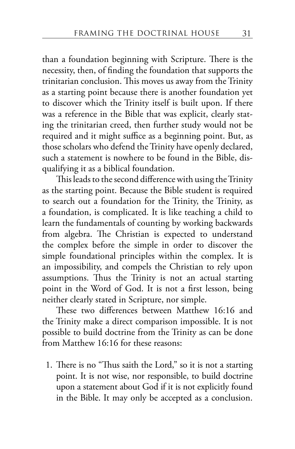than a foundation beginning with Scripture. There is the necessity, then, of finding the foundation that supports the trinitarian conclusion. This moves us away from the Trinity as a starting point because there is another foundation yet to discover which the Trinity itself is built upon. If there was a reference in the Bible that was explicit, clearly stating the trinitarian creed, then further study would not be required and it might suffice as a beginning point. But, as those scholars who defend the Trinity have openly declared, such a statement is nowhere to be found in the Bible, disqualifying it as a biblical foundation.

This leads to the second difference with using the Trinity as the starting point. Because the Bible student is required to search out a foundation for the Trinity, the Trinity, as a foundation, is complicated. It is like teaching a child to learn the fundamentals of counting by working backwards from algebra. The Christian is expected to understand the complex before the simple in order to discover the simple foundational principles within the complex. It is an impossibility, and compels the Christian to rely upon assumptions. Thus the Trinity is not an actual starting point in the Word of God. It is not a first lesson, being neither clearly stated in Scripture, nor simple.

These two differences between Matthew 16:16 and the Trinity make a direct comparison impossible. It is not possible to build doctrine from the Trinity as can be done from Matthew 16:16 for these reasons:

1. There is no "Thus saith the Lord," so it is not a starting point. It is not wise, nor responsible, to build doctrine upon a statement about God if it is not explicitly found in the Bible. It may only be accepted as a conclusion.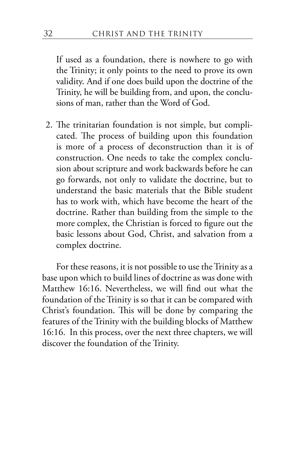If used as a foundation, there is nowhere to go with the Trinity; it only points to the need to prove its own validity. And if one does build upon the doctrine of the Trinity, he will be building from, and upon, the conclusions of man, rather than the Word of God.

2. The trinitarian foundation is not simple, but complicated. The process of building upon this foundation is more of a process of deconstruction than it is of construction. One needs to take the complex conclusion about scripture and work backwards before he can go forwards, not only to validate the doctrine, but to understand the basic materials that the Bible student has to work with, which have become the heart of the doctrine. Rather than building from the simple to the more complex, the Christian is forced to figure out the basic lessons about God, Christ, and salvation from a complex doctrine.

For these reasons, it is not possible to use the Trinity as a base upon which to build lines of doctrine as was done with Matthew 16:16. Nevertheless, we will find out what the foundation of the Trinity is so that it can be compared with Christ's foundation. This will be done by comparing the features of the Trinity with the building blocks of Matthew 16:16. In this process, over the next three chapters, we will discover the foundation of the Trinity.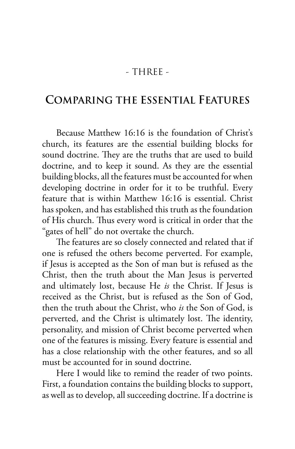## - THREE -

# **COMPARING THE ESSENTIAL FEATURES**

Because Matthew 16:16 is the foundation of Christ's church, its features are the essential building blocks for sound doctrine. They are the truths that are used to build doctrine, and to keep it sound. As they are the essential building blocks, all the features must be accounted for when developing doctrine in order for it to be truthful. Every feature that is within Matthew 16:16 is essential. Christ has spoken, and has established this truth as the foundation of His church. Thus every word is critical in order that the "gates of hell" do not overtake the church.

The features are so closely connected and related that if one is refused the others become perverted. For example, if Jesus is accepted as the Son of man but is refused as the Christ, then the truth about the Man Jesus is perverted and ultimately lost, because He *is* the Christ. If Jesus is received as the Christ, but is refused as the Son of God, then the truth about the Christ, who *is* the Son of God, is perverted, and the Christ is ultimately lost. The identity, personality, and mission of Christ become perverted when one of the features is missing. Every feature is essential and has a close relationship with the other features, and so all must be accounted for in sound doctrine.

Here I would like to remind the reader of two points. First, a foundation contains the building blocks to support, as well as to develop, all succeeding doctrine. If a doctrine is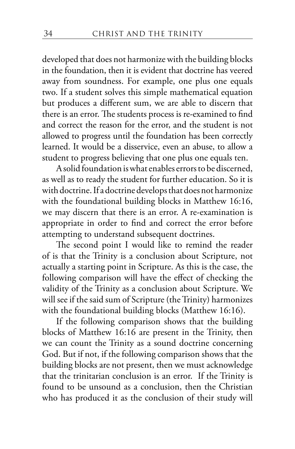developed that does not harmonize with the building blocks in the foundation, then it is evident that doctrine has veered away from soundness. For example, one plus one equals two. If a student solves this simple mathematical equation but produces a different sum, we are able to discern that there is an error. The students process is re-examined to find and correct the reason for the error, and the student is not allowed to progress until the foundation has been correctly learned. It would be a disservice, even an abuse, to allow a student to progress believing that one plus one equals ten.

A solid foundation is what enables errors to be discerned, as well as to ready the student for further education. So it is with doctrine. If a doctrine develops that does not harmonize with the foundational building blocks in Matthew 16:16, we may discern that there is an error. A re-examination is appropriate in order to find and correct the error before attempting to understand subsequent doctrines.

The second point I would like to remind the reader of is that the Trinity is a conclusion about Scripture, not actually a starting point in Scripture. As this is the case, the following comparison will have the effect of checking the validity of the Trinity as a conclusion about Scripture. We will see if the said sum of Scripture (the Trinity) harmonizes with the foundational building blocks (Matthew 16:16).

If the following comparison shows that the building blocks of Matthew 16:16 are present in the Trinity, then we can count the Trinity as a sound doctrine concerning God. But if not, if the following comparison shows that the building blocks are not present, then we must acknowledge that the trinitarian conclusion is an error. If the Trinity is found to be unsound as a conclusion, then the Christian who has produced it as the conclusion of their study will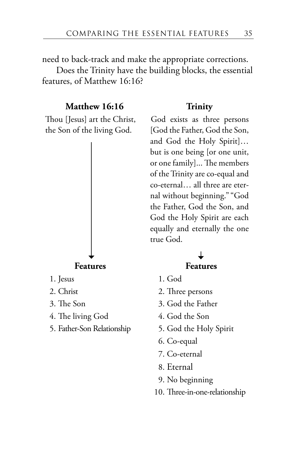need to back-track and make the appropriate corrections.

Does the Trinity have the building blocks, the essential features, of Matthew 16:16?

#### **Matthew 16:16 Trinity**

Thou [Jesus] art the Christ, the Son of the living God.



- 
- 
- 
- 4. The living God 4. God the Son
- 5. Father-Son Relationship 5. God the Holy Spirit

God exists as three persons [God the Father, God the Son, and God the Holy Spirit]… but is one being [or one unit, or one family]... The members of the Trinity are co-equal and co-eternal… all three are eternal without beginning." "God the Father, God the Son, and God the Holy Spirit are each equally and eternally the one true God.

- 1. Jesus 1. God
- 2. Christ 2. Three persons
- 3. The Son 3. God the Father
	-
	-
	- 6. Co-equal
	- 7. Co-eternal
	- 8. Eternal
	- 9. No beginning
	- 10. Three-in-one-relationship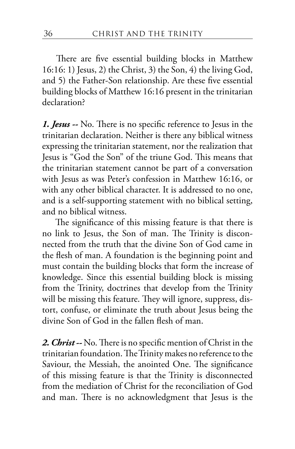There are five essential building blocks in Matthew 16:16: 1) Jesus, 2) the Christ, 3) the Son, 4) the living God, and 5) the Father-Son relationship. Are these five essential building blocks of Matthew 16:16 present in the trinitarian declaration?

*1. Jesus --* No. There is no specific reference to Jesus in the trinitarian declaration. Neither is there any biblical witness expressing the trinitarian statement, nor the realization that Jesus is "God the Son" of the triune God. This means that the trinitarian statement cannot be part of a conversation with Jesus as was Peter's confession in Matthew 16:16, or with any other biblical character. It is addressed to no one, and is a self-supporting statement with no biblical setting, and no biblical witness.

The significance of this missing feature is that there is no link to Jesus, the Son of man. The Trinity is disconnected from the truth that the divine Son of God came in the flesh of man. A foundation is the beginning point and must contain the building blocks that form the increase of knowledge. Since this essential building block is missing from the Trinity, doctrines that develop from the Trinity will be missing this feature. They will ignore, suppress, distort, confuse, or eliminate the truth about Jesus being the divine Son of God in the fallen flesh of man.

*2. Christ --* No. There is no specific mention of Christ in the trinitarian foundation. The Trinity makes no reference to the Saviour, the Messiah, the anointed One. The significance of this missing feature is that the Trinity is disconnected from the mediation of Christ for the reconciliation of God and man. There is no acknowledgment that Jesus is the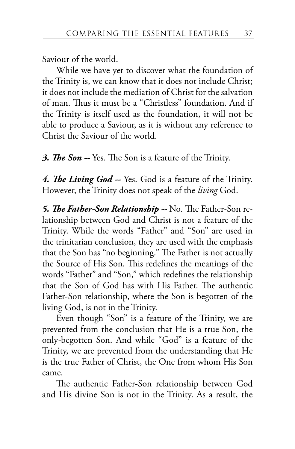Saviour of the world.

While we have yet to discover what the foundation of the Trinity is, we can know that it does not include Christ; it does not include the mediation of Christ for the salvation of man. Thus it must be a "Christless" foundation. And if the Trinity is itself used as the foundation, it will not be able to produce a Saviour, as it is without any reference to Christ the Saviour of the world.

*3. The Son --* Yes*.* The Son is a feature of the Trinity.

*4. The Living God --* Yes. God is a feature of the Trinity. However, the Trinity does not speak of the *living* God.

*5. The Father-Son Relationship --* No. The Father-Son relationship between God and Christ is not a feature of the Trinity. While the words "Father" and "Son" are used in the trinitarian conclusion, they are used with the emphasis that the Son has "no beginning." The Father is not actually the Source of His Son. This redefines the meanings of the words "Father" and "Son," which redefines the relationship that the Son of God has with His Father. The authentic Father-Son relationship, where the Son is begotten of the living God, is not in the Trinity.

Even though "Son" is a feature of the Trinity, we are prevented from the conclusion that He is a true Son, the only-begotten Son. And while "God" is a feature of the Trinity, we are prevented from the understanding that He is the true Father of Christ, the One from whom His Son came.

The authentic Father-Son relationship between God and His divine Son is not in the Trinity. As a result, the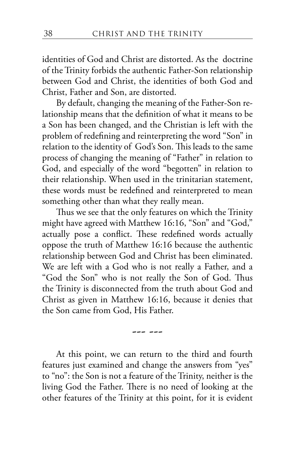identities of God and Christ are distorted. As the doctrine of the Trinity forbids the authentic Father-Son relationship between God and Christ, the identities of both God and Christ, Father and Son, are distorted.

By default, changing the meaning of the Father-Son relationship means that the definition of what it means to be a Son has been changed, and the Christian is left with the problem of redefining and reinterpreting the word "Son" in relation to the identity of God's Son. This leads to the same process of changing the meaning of "Father" in relation to God, and especially of the word "begotten" in relation to their relationship. When used in the trinitarian statement, these words must be redefined and reinterpreted to mean something other than what they really mean.

Thus we see that the only features on which the Trinity might have agreed with Matthew 16:16, "Son" and "God," actually pose a conflict. These redefined words actually oppose the truth of Matthew 16:16 because the authentic relationship between God and Christ has been eliminated. We are left with a God who is not really a Father, and a "God the Son" who is not really the Son of God. Thus the Trinity is disconnected from the truth about God and Christ as given in Matthew 16:16, because it denies that the Son came from God, His Father.

--- ---

At this point, we can return to the third and fourth features just examined and change the answers from "yes" to "no": the Son is not a feature of the Trinity, neither is the living God the Father. There is no need of looking at the other features of the Trinity at this point, for it is evident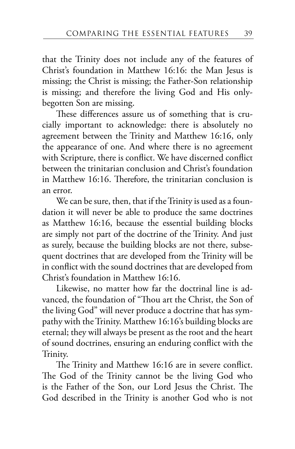that the Trinity does not include any of the features of Christ's foundation in Matthew 16:16: the Man Jesus is missing; the Christ is missing; the Father-Son relationship is missing; and therefore the living God and His onlybegotten Son are missing.

These differences assure us of something that is crucially important to acknowledge: there is absolutely no agreement between the Trinity and Matthew 16:16, only the appearance of one. And where there is no agreement with Scripture, there is conflict. We have discerned conflict between the trinitarian conclusion and Christ's foundation in Matthew 16:16. Therefore, the trinitarian conclusion is an error.

We can be sure, then, that if the Trinity is used as a foundation it will never be able to produce the same doctrines as Matthew 16:16, because the essential building blocks are simply not part of the doctrine of the Trinity. And just as surely, because the building blocks are not there, subsequent doctrines that are developed from the Trinity will be in conflict with the sound doctrines that are developed from Christ's foundation in Matthew 16:16.

Likewise, no matter how far the doctrinal line is advanced, the foundation of "Thou art the Christ, the Son of the living God" will never produce a doctrine that has sympathy with the Trinity. Matthew 16:16's building blocks are eternal; they will always be present as the root and the heart of sound doctrines, ensuring an enduring conflict with the Trinity.

The Trinity and Matthew 16:16 are in severe conflict. The God of the Trinity cannot be the living God who is the Father of the Son, our Lord Jesus the Christ. The God described in the Trinity is another God who is not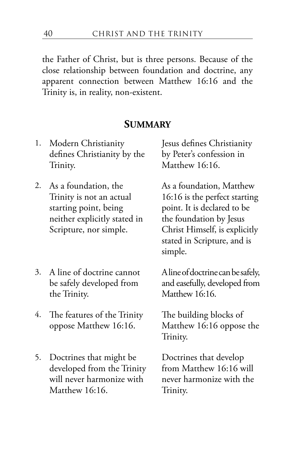the Father of Christ, but is three persons. Because of the close relationship between foundation and doctrine, any apparent connection between Matthew 16:16 and the Trinity is, in reality, non-existent.

## **SUMMARY**

- 1. Modern Christianity defines Christianity by the Trinity.
- 2. As a foundation, the Trinity is not an actual starting point, being neither explicitly stated in Scripture, nor simple.
- 3. A line of doctrine cannot be safely developed from the Trinity.
- 4. The features of the Trinity oppose Matthew 16:16.
- 5. Doctrines that might be developed from the Trinity will never harmonize with Matthew 16:16.

Jesus defines Christianity by Peter's confession in Matthew 16:16.

As a foundation, Matthew 16:16 is the perfect starting point. It is declared to be the foundation by Jesus Christ Himself, is explicitly stated in Scripture, and is simple.

A line of doctrine can be safely, and easefully, developed from Matthew 16:16.

The building blocks of Matthew 16:16 oppose the Trinity.

Doctrines that develop from Matthew 16:16 will never harmonize with the Trinity.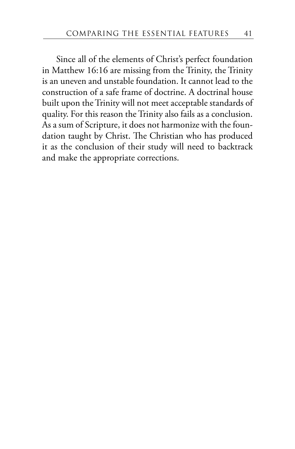Since all of the elements of Christ's perfect foundation in Matthew 16:16 are missing from the Trinity, the Trinity is an uneven and unstable foundation. It cannot lead to the construction of a safe frame of doctrine. A doctrinal house built upon the Trinity will not meet acceptable standards of quality. For this reason the Trinity also fails as a conclusion. As a sum of Scripture, it does not harmonize with the foundation taught by Christ. The Christian who has produced it as the conclusion of their study will need to backtrack and make the appropriate corrections.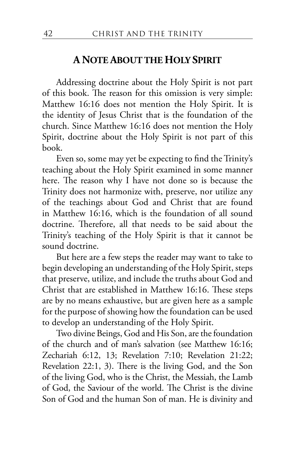## **A NOTE ABOUT THE HOLY SPIRIT**

Addressing doctrine about the Holy Spirit is not part of this book. The reason for this omission is very simple: Matthew 16:16 does not mention the Holy Spirit. It is the identity of Jesus Christ that is the foundation of the church. Since Matthew 16:16 does not mention the Holy Spirit, doctrine about the Holy Spirit is not part of this book.

Even so, some may yet be expecting to find the Trinity's teaching about the Holy Spirit examined in some manner here. The reason why I have not done so is because the Trinity does not harmonize with, preserve, nor utilize any of the teachings about God and Christ that are found in Matthew 16:16, which is the foundation of all sound doctrine. Therefore, all that needs to be said about the Trinity's teaching of the Holy Spirit is that it cannot be sound doctrine.

But here are a few steps the reader may want to take to begin developing an understanding of the Holy Spirit, steps that preserve, utilize, and include the truths about God and Christ that are established in Matthew 16:16. These steps are by no means exhaustive, but are given here as a sample for the purpose of showing how the foundation can be used to develop an understanding of the Holy Spirit.

Two divine Beings, God and His Son, are the foundation of the church and of man's salvation (see Matthew 16:16; Zechariah 6:12, 13; Revelation 7:10; Revelation 21:22; Revelation 22:1, 3). There is the living God, and the Son of the living God, who is the Christ, the Messiah, the Lamb of God, the Saviour of the world. The Christ is the divine Son of God and the human Son of man. He is divinity and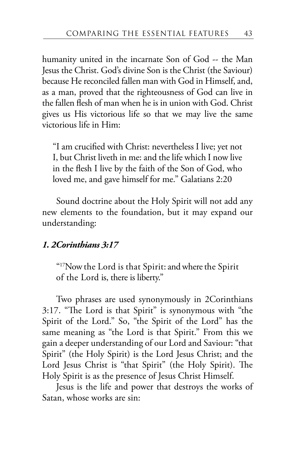humanity united in the incarnate Son of God -- the Man Jesus the Christ. God's divine Son is the Christ (the Saviour) because He reconciled fallen man with God in Himself, and, as a man, proved that the righteousness of God can live in the fallen flesh of man when he is in union with God. Christ gives us His victorious life so that we may live the same victorious life in Him:

"I am crucified with Christ: nevertheless I live; yet not I, but Christ liveth in me: and the life which I now live in the flesh I live by the faith of the Son of God, who loved me, and gave himself for me." Galatians 2:20

Sound doctrine about the Holy Spirit will not add any new elements to the foundation, but it may expand our understanding:

### *1. 2Corinthians 3:17*

"<sup>17</sup>Now the Lord is that Spirit: and where the Spirit of the Lord is, there is liberty."

Two phrases are used synonymously in 2Corinthians 3:17. "The Lord is that Spirit" is synonymous with "the Spirit of the Lord." So, "the Spirit of the Lord" has the same meaning as "the Lord is that Spirit." From this we gain a deeper understanding of our Lord and Saviour: "that Spirit" (the Holy Spirit) is the Lord Jesus Christ; and the Lord Jesus Christ is "that Spirit" (the Holy Spirit). The Holy Spirit is as the presence of Jesus Christ Himself.

Jesus is the life and power that destroys the works of Satan, whose works are sin: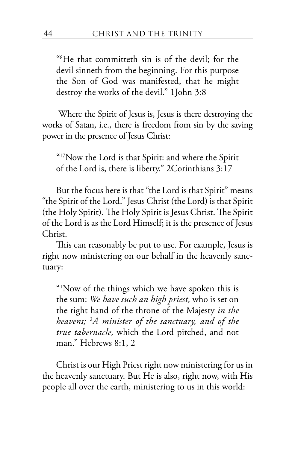"8 He that committeth sin is of the devil; for the devil sinneth from the beginning. For this purpose the Son of God was manifested, that he might destroy the works of the devil." 1John 3:8

 Where the Spirit of Jesus is, Jesus is there destroying the works of Satan, i.e., there is freedom from sin by the saving power in the presence of Jesus Christ:

"17Now the Lord is that Spirit: and where the Spirit of the Lord is, there is liberty." 2Corinthians 3:17

But the focus here is that "the Lord is that Spirit" means "the Spirit of the Lord." Jesus Christ (the Lord) is that Spirit (the Holy Spirit). The Holy Spirit is Jesus Christ. The Spirit of the Lord is as the Lord Himself; it is the presence of Jesus Christ.

This can reasonably be put to use. For example, Jesus is right now ministering on our behalf in the heavenly sanctuary:

"1 Now of the things which we have spoken this is the sum: *We have such an high priest,* who is set on the right hand of the throne of the Majesty *in the heavens;* <sup>2</sup> *A minister of the sanctuary, and of the true tabernacle,* which the Lord pitched, and not man." Hebrews 8:1, 2

Christ is our High Priest right now ministering for us in the heavenly sanctuary. But He is also, right now, with His people all over the earth, ministering to us in this world: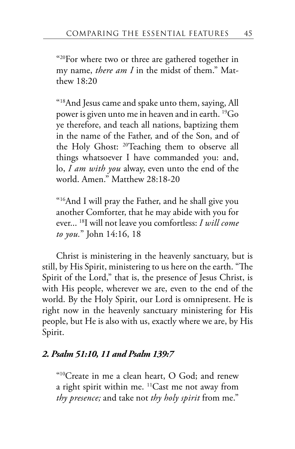" $^{20}$ For where two or three are gathered together in my name, *there am I* in the midst of them." Matthew 18:20

"18And Jesus came and spake unto them, saying, All power is given unto me in heaven and in earth. 19Go ye therefore, and teach all nations, baptizing them in the name of the Father, and of the Son, and of the Holy Ghost: 20Teaching them to observe all things whatsoever I have commanded you: and, lo, *I am with you* alway, even unto the end of the world. Amen." Matthew 28:18-20

"16And I will pray the Father, and he shall give you another Comforter, that he may abide with you for ever... 18I will not leave you comfortless: *I will come to you.*" John 14:16, 18

Christ is ministering in the heavenly sanctuary, but is still, by His Spirit, ministering to us here on the earth. "The Spirit of the Lord," that is, the presence of Jesus Christ, is with His people, wherever we are, even to the end of the world. By the Holy Spirit, our Lord is omnipresent. He is right now in the heavenly sanctuary ministering for His people, but He is also with us, exactly where we are, by His Spirit.

### *2. Psalm 51:10, 11 and Psalm 139:7*

"10Create in me a clean heart, O God; and renew a right spirit within me. 11Cast me not away from *thy presence;* and take not *thy holy spirit* from me."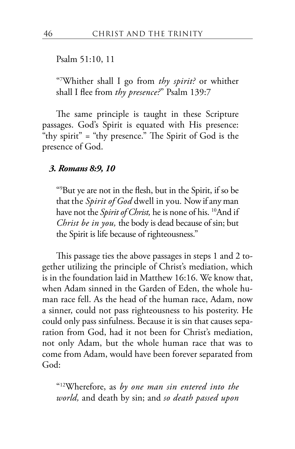#### Psalm 51:10, 11

"7 Whither shall I go from *thy spirit?* or whither shall I flee from *thy presence?*" Psalm 139:7

The same principle is taught in these Scripture passages. God's Spirit is equated with His presence: "thy spirit" = "thy presence." The Spirit of God is the presence of God.

#### *3. Romans 8:9, 10*

"9 But ye are not in the flesh, but in the Spirit, if so be that the *Spirit of God* dwell in you*.* Now if any man have not the *Spirit of Christ,* he is none of his. 10And if *Christ be in you,* the body is dead because of sin; but the Spirit is life because of righteousness."

This passage ties the above passages in steps 1 and 2 together utilizing the principle of Christ's mediation, which is in the foundation laid in Matthew 16:16. We know that, when Adam sinned in the Garden of Eden, the whole human race fell. As the head of the human race, Adam, now a sinner, could not pass righteousness to his posterity. He could only pass sinfulness. Because it is sin that causes separation from God, had it not been for Christ's mediation, not only Adam, but the whole human race that was to come from Adam, would have been forever separated from God:

"12Wherefore, as *by one man sin entered into the world,* and death by sin; and *so death passed upon*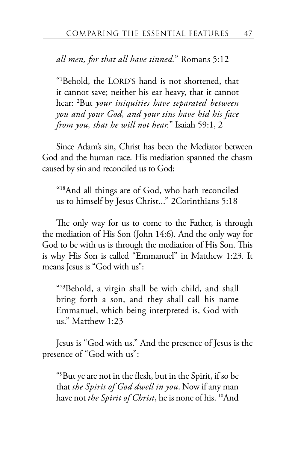*all men, for that all have sinned.*" Romans 5:12

"1 Behold, the LORD'S hand is not shortened, that it cannot save; neither his ear heavy, that it cannot hear: <sup>2</sup> But *your iniquities have separated between you and your God, and your sins have hid his face from you, that he will not hear.*" Isaiah 59:1, 2

Since Adam's sin, Christ has been the Mediator between God and the human race. His mediation spanned the chasm caused by sin and reconciled us to God:

"18And all things are of God, who hath reconciled us to himself by Jesus Christ..." 2Corinthians 5:18

The only way for us to come to the Father, is through the mediation of His Son (John 14:6). And the only way for God to be with us is through the mediation of His Son. This is why His Son is called "Emmanuel" in Matthew 1:23. It means Jesus is "God with us":

"23Behold, a virgin shall be with child, and shall bring forth a son, and they shall call his name Emmanuel, which being interpreted is, God with us." Matthew 1:23

Jesus is "God with us." And the presence of Jesus is the presence of "God with us":

"9 But ye are not in the flesh, but in the Spirit, if so be that *the Spirit of God dwell in you*. Now if any man have not *the Spirit of Christ*, he is none of his. <sup>10</sup>And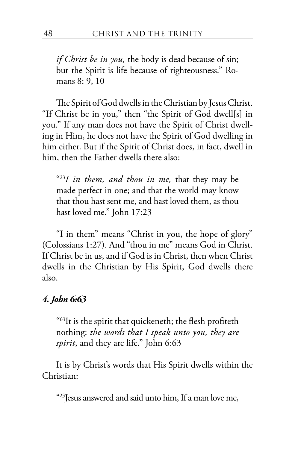*if Christ be in you,* the body is dead because of sin; but the Spirit is life because of righteousness." Romans 8: 9, 10

The Spirit of God dwells in the Christian by Jesus Christ. "If Christ be in you," then "the Spirit of God dwell[s] in you." If any man does not have the Spirit of Christ dwelling in Him, he does not have the Spirit of God dwelling in him either. But if the Spirit of Christ does, in fact, dwell in him, then the Father dwells there also:

"23*I in them, and thou in me,* that they may be made perfect in one; and that the world may know that thou hast sent me, and hast loved them, as thou hast loved me." John 17:23

"I in them" means "Christ in you, the hope of glory" (Colossians 1:27). And "thou in me" means God in Christ. If Christ be in us, and if God is in Christ, then when Christ dwells in the Christian by His Spirit, God dwells there also.

### *4. John 6:63*

"63It is the spirit that quickeneth; the flesh profiteth nothing: *the words that I speak unto you, they are spirit*, and they are life." John 6:63

It is by Christ's words that His Spirit dwells within the Christian:

"23Jesus answered and said unto him, If a man love me,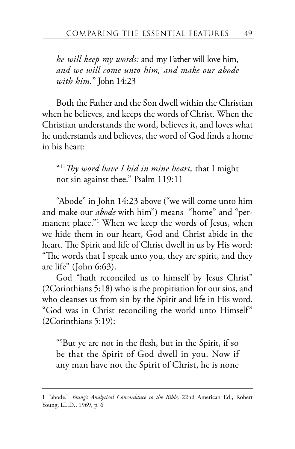*he will keep my words:* and my Father will love him, *and we will come unto him, and make our abode with him.*" John 14:23

Both the Father and the Son dwell within the Christian when he believes, and keeps the words of Christ. When the Christian understands the word, believes it, and loves what he understands and believes, the word of God finds a home in his heart:

"11*Thy word have I hid in mine heart,* that I might not sin against thee." Psalm 119:11

"Abode" in John 14:23 above ("we will come unto him and make our *abode* with him") means "home" and "permanent place."1 When we keep the words of Jesus, when we hide them in our heart, God and Christ abide in the heart. The Spirit and life of Christ dwell in us by His word: "The words that I speak unto you, they are spirit, and they are life" (John 6:63).

God "hath reconciled us to himself by Jesus Christ" (2Corinthians 5:18) who is the propitiation for our sins, and who cleanses us from sin by the Spirit and life in His word. "God was in Christ reconciling the world unto Himself" (2Corinthians 5:19):

"9 But ye are not in the flesh, but in the Spirit, if so be that the Spirit of God dwell in you. Now if any man have not the Spirit of Christ, he is none

**<sup>1</sup>** "abode." *Young's Analytical Concordance to the Bible,* 22nd American Ed., Robert Young, LL.D., 1969, p. 6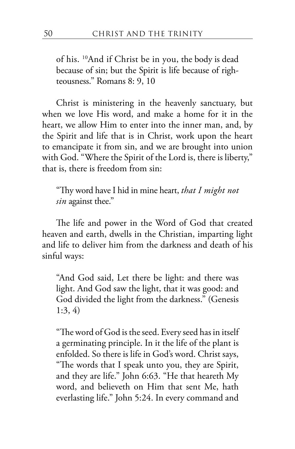of his. 10And if Christ be in you, the body is dead because of sin; but the Spirit is life because of righteousness." Romans 8: 9, 10

Christ is ministering in the heavenly sanctuary, but when we love His word, and make a home for it in the heart, we allow Him to enter into the inner man, and, by the Spirit and life that is in Christ, work upon the heart to emancipate it from sin, and we are brought into union with God. "Where the Spirit of the Lord is, there is liberty," that is, there is freedom from sin:

"Thy word have I hid in mine heart, *that I might not sin* against thee."

The life and power in the Word of God that created heaven and earth, dwells in the Christian, imparting light and life to deliver him from the darkness and death of his sinful ways:

"And God said, Let there be light: and there was light. And God saw the light, that it was good: and God divided the light from the darkness." (Genesis 1:3, 4)

"The word of God is the seed. Every seed has in itself a germinating principle. In it the life of the plant is enfolded. So there is life in God's word. Christ says, "The words that I speak unto you, they are Spirit, and they are life." John 6:63. "He that heareth My word, and believeth on Him that sent Me, hath everlasting life." John 5:24. In every command and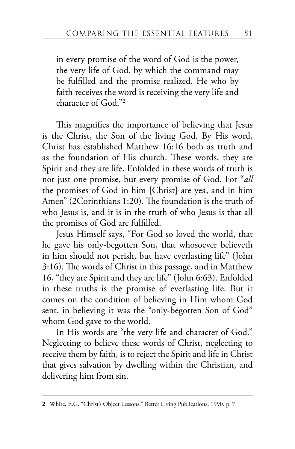in every promise of the word of God is the power, the very life of God, by which the command may be fulfilled and the promise realized. He who by faith receives the word is receiving the very life and character of God."2

This magnifies the importance of believing that Jesus is the Christ, the Son of the living God. By His word, Christ has established Matthew 16:16 both as truth and as the foundation of His church. These words, they are Spirit and they are life. Enfolded in these words of truth is not just one promise, but every promise of God. For "*all* the promises of God in him [Christ] are yea, and in him Amen" (2Corinthians 1:20). The foundation is the truth of who Jesus is, and it is in the truth of who Jesus is that all the promises of God are fulfilled.

Jesus Himself says, "For God so loved the world, that he gave his only-begotten Son, that whosoever believeth in him should not perish, but have everlasting life" (John 3:16). The words of Christ in this passage, and in Matthew 16, "they are Spirit and they are life" (John 6:63). Enfolded in these truths is the promise of everlasting life. But it comes on the condition of believing in Him whom God sent, in believing it was the "only-begotten Son of God" whom God gave to the world.

In His words are "the very life and character of God." Neglecting to believe these words of Christ, neglecting to receive them by faith, is to reject the Spirit and life in Christ that gives salvation by dwelling within the Christian, and delivering him from sin.

**<sup>2</sup>** White, E.G. "Christ's Object Lessons." Better Living Publications, 1990. p. 7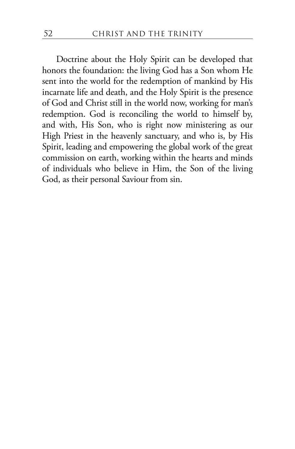Doctrine about the Holy Spirit can be developed that honors the foundation: the living God has a Son whom He sent into the world for the redemption of mankind by His incarnate life and death, and the Holy Spirit is the presence of God and Christ still in the world now, working for man's redemption. God is reconciling the world to himself by, and with, His Son, who is right now ministering as our High Priest in the heavenly sanctuary, and who is, by His Spirit, leading and empowering the global work of the great commission on earth, working within the hearts and minds of individuals who believe in Him, the Son of the living God, as their personal Saviour from sin.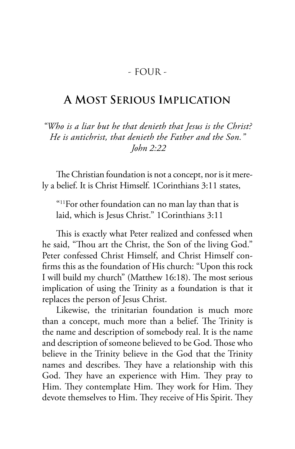## - FOUR -

# **A MOST SERIOUS IMPLICATION**

*"Who is a liar but he that denieth that Jesus is the Christ? He is antichrist, that denieth the Father and the Son." John 2:22*

The Christian foundation is not a concept, nor is it merely a belief. It is Christ Himself. 1Corinthians 3:11 states,

"11For other foundation can no man lay than that is laid, which is Jesus Christ." 1Corinthians 3:11

This is exactly what Peter realized and confessed when he said, "Thou art the Christ, the Son of the living God." Peter confessed Christ Himself, and Christ Himself confirms this as the foundation of His church: "Upon this rock I will build my church" (Matthew 16:18). The most serious implication of using the Trinity as a foundation is that it replaces the person of Jesus Christ.

Likewise, the trinitarian foundation is much more than a concept, much more than a belief. The Trinity is the name and description of somebody real. It is the name and description of someone believed to be God. Those who believe in the Trinity believe in the God that the Trinity names and describes. They have a relationship with this God. They have an experience with Him. They pray to Him. They contemplate Him. They work for Him. They devote themselves to Him. They receive of His Spirit. They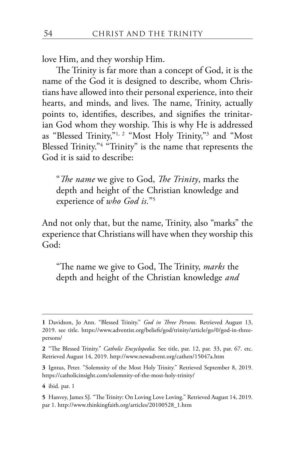love Him, and they worship Him.

The Trinity is far more than a concept of God, it is the name of the God it is designed to describe, whom Christians have allowed into their personal experience, into their hearts, and minds, and lives. The name, Trinity, actually points to, identifies, describes, and signifies the trinitarian God whom they worship. This is why He is addressed as "Blessed Trinity,"1, 2 "Most Holy Trinity,"3 and "Most Blessed Trinity."<sup>4</sup> "Trinity" is the name that represents the God it is said to describe:

"*The name* we give to God, *The Trinity*, marks the depth and height of the Christian knowledge and experience of *who God is.*"5

And not only that, but the name, Trinity, also "marks" the experience that Christians will have when they worship this God:

"The name we give to God, The Trinity, *marks* the depth and height of the Christian knowledge *and* 

**<sup>1</sup>** Davidson, Jo Ann. "Blessed Trinity." *God in Three Persons*. Retrieved August 13, 2019. see title. https://www.adventist.org/beliefs/god/trinity/article/go/0/god-in-threepersons/

**<sup>2</sup>** "The Blessed Trinity." *Catholic Encyclopedia.* See title, par. 12, par. 33, par. 67. etc. Retrieved August 14, 2019. http://www.newadvent.org/cathen/15047a.htm

**<sup>3</sup>** Igntus, Peter. "Solemnity of the Most Holy Trinity." Retrieved September 8, 2019. https://catholicinsight.com/solemnity-of-the-most-holy-trinity/

**<sup>4</sup>** ibid. par. 1

**<sup>5</sup>** Hanvey, James SJ. "The Trinity: On Loving Love Loving." Retrieved August 14, 2019. par 1. http://www.thinkingfaith.org/articles/20100528\_1.htm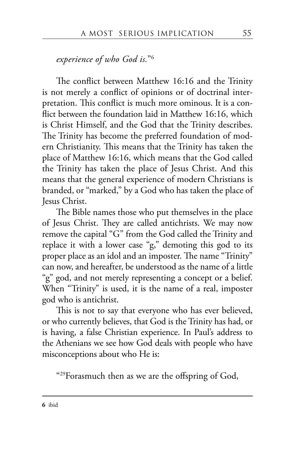#### *experience of who God is.*"6

The conflict between Matthew 16:16 and the Trinity is not merely a conflict of opinions or of doctrinal interpretation. This conflict is much more ominous. It is a conflict between the foundation laid in Matthew 16:16, which is Christ Himself, and the God that the Trinity describes. The Trinity has become the preferred foundation of modern Christianity. This means that the Trinity has taken the place of Matthew 16:16, which means that the God called the Trinity has taken the place of Jesus Christ. And this means that the general experience of modern Christians is branded, or "marked," by a God who has taken the place of Jesus Christ.

The Bible names those who put themselves in the place of Jesus Christ. They are called antichrists. We may now remove the capital "G" from the God called the Trinity and replace it with a lower case "g," demoting this god to its proper place as an idol and an imposter. The name "Trinity" can now, and hereafter, be understood as the name of a little "g" god, and not merely representing a concept or a belief. When "Trinity" is used, it is the name of a real, imposter god who is antichrist.

This is not to say that everyone who has ever believed, or who currently believes, that God is the Trinity has had, or is having, a false Christian experience. In Paul's address to the Athenians we see how God deals with people who have misconceptions about who He is:

"29Forasmuch then as we are the offspring of God,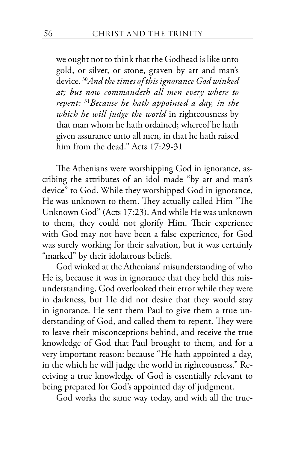we ought not to think that the Godhead is like unto gold, or silver, or stone, graven by art and man's device. <sup>30</sup>*And the times of this ignorance God winked at; but now commandeth all men every where to repent:* <sup>31</sup>*Because he hath appointed a day, in the which he will judge the world* in righteousness by that man whom he hath ordained; whereof he hath given assurance unto all men, in that he hath raised him from the dead." Acts 17:29-31

The Athenians were worshipping God in ignorance, ascribing the attributes of an idol made "by art and man's device" to God. While they worshipped God in ignorance, He was unknown to them. They actually called Him "The Unknown God" (Acts 17:23). And while He was unknown to them, they could not glorify Him. Their experience with God may not have been a false experience, for God was surely working for their salvation, but it was certainly "marked" by their idolatrous beliefs.

God winked at the Athenians' misunderstanding of who He is, because it was in ignorance that they held this misunderstanding. God overlooked their error while they were in darkness, but He did not desire that they would stay in ignorance. He sent them Paul to give them a true understanding of God, and called them to repent. They were to leave their misconceptions behind, and receive the true knowledge of God that Paul brought to them, and for a very important reason: because "He hath appointed a day, in the which he will judge the world in righteousness." Receiving a true knowledge of God is essentially relevant to being prepared for God's appointed day of judgment.

God works the same way today, and with all the true-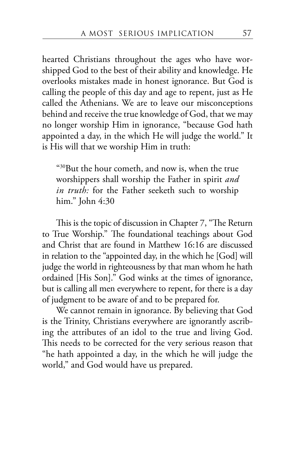hearted Christians throughout the ages who have worshipped God to the best of their ability and knowledge. He overlooks mistakes made in honest ignorance. But God is calling the people of this day and age to repent, just as He called the Athenians. We are to leave our misconceptions behind and receive the true knowledge of God, that we may no longer worship Him in ignorance, "because God hath appointed a day, in the which He will judge the world." It is His will that we worship Him in truth:

"30But the hour cometh, and now is, when the true worshippers shall worship the Father in spirit *and in truth:* for the Father seeketh such to worship him." John 4:30

This is the topic of discussion in Chapter 7, "The Return to True Worship." The foundational teachings about God and Christ that are found in Matthew 16:16 are discussed in relation to the "appointed day, in the which he [God] will judge the world in righteousness by that man whom he hath ordained [His Son]." God winks at the times of ignorance, but is calling all men everywhere to repent, for there is a day of judgment to be aware of and to be prepared for.

We cannot remain in ignorance. By believing that God is the Trinity, Christians everywhere are ignorantly ascribing the attributes of an idol to the true and living God. This needs to be corrected for the very serious reason that "he hath appointed a day, in the which he will judge the world," and God would have us prepared.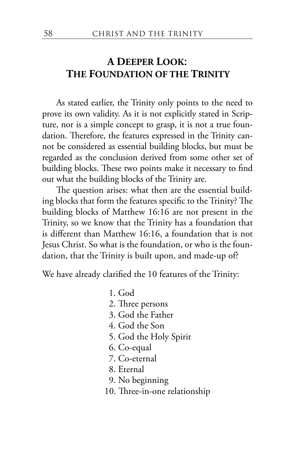# **A DEEPER LOOK**: **THE FOUNDATION OF THE TRINITY**

As stated earlier, the Trinity only points to the need to prove its own validity. As it is not explicitly stated in Scripture, nor is a simple concept to grasp, it is not a true foundation. Therefore, the features expressed in the Trinity cannot be considered as essential building blocks, but must be regarded as the conclusion derived from some other set of building blocks. These two points make it necessary to find out what the building blocks of the Trinity are.

The question arises: what then are the essential building blocks that form the features specific to the Trinity? The building blocks of Matthew 16:16 are not present in the Trinity, so we know that the Trinity has a foundation that is different than Matthew 16:16, a foundation that is not Jesus Christ. So what is the foundation, or who is the foundation, that the Trinity is built upon, and made-up of?

We have already clarified the 10 features of the Trinity:

1. God 2. Three persons 3. God the Father 4. God the Son 5. God the Holy Spirit 6. Co-equal 7. Co-eternal 8. Eternal 9. No beginning 10. Three-in-one relationship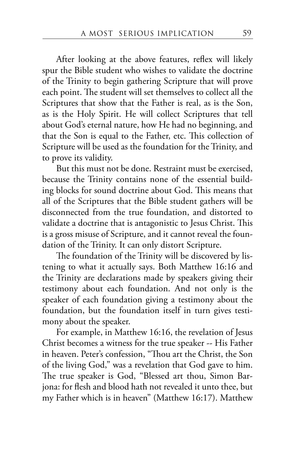After looking at the above features, reflex will likely spur the Bible student who wishes to validate the doctrine of the Trinity to begin gathering Scripture that will prove each point. The student will set themselves to collect all the Scriptures that show that the Father is real, as is the Son, as is the Holy Spirit. He will collect Scriptures that tell about God's eternal nature, how He had no beginning, and that the Son is equal to the Father, etc. This collection of Scripture will be used as the foundation for the Trinity, and to prove its validity.

But this must not be done. Restraint must be exercised, because the Trinity contains none of the essential building blocks for sound doctrine about God. This means that all of the Scriptures that the Bible student gathers will be disconnected from the true foundation, and distorted to validate a doctrine that is antagonistic to Jesus Christ. This is a gross misuse of Scripture, and it cannot reveal the foundation of the Trinity. It can only distort Scripture.

The foundation of the Trinity will be discovered by listening to what it actually says. Both Matthew 16:16 and the Trinity are declarations made by speakers giving their testimony about each foundation. And not only is the speaker of each foundation giving a testimony about the foundation, but the foundation itself in turn gives testimony about the speaker.

For example, in Matthew 16:16, the revelation of Jesus Christ becomes a witness for the true speaker -- His Father in heaven. Peter's confession, "Thou art the Christ, the Son of the living God," was a revelation that God gave to him. The true speaker is God, "Blessed art thou, Simon Barjona: for flesh and blood hath not revealed it unto thee, but my Father which is in heaven" (Matthew 16:17). Matthew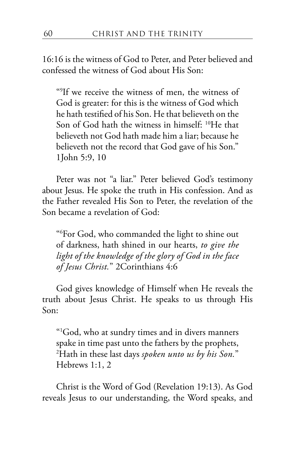16:16 is the witness of God to Peter, and Peter believed and confessed the witness of God about His Son:

"9 If we receive the witness of men, the witness of God is greater: for this is the witness of God which he hath testified of his Son. He that believeth on the Son of God hath the witness in himself: 10He that believeth not God hath made him a liar; because he believeth not the record that God gave of his Son." 1John 5:9, 10

Peter was not "a liar." Peter believed God's testimony about Jesus. He spoke the truth in His confession. And as the Father revealed His Son to Peter, the revelation of the Son became a revelation of God:

"6 For God, who commanded the light to shine out of darkness, hath shined in our hearts, *to give the light of the knowledge of the glory of God in the face of Jesus Christ.*" 2Corinthians 4:6

God gives knowledge of Himself when He reveals the truth about Jesus Christ. He speaks to us through His Son:

"1 God, who at sundry times and in divers manners spake in time past unto the fathers by the prophets, 2 Hath in these last days *spoken unto us by his Son.*" Hebrews 1:1, 2

Christ is the Word of God (Revelation 19:13). As God reveals Jesus to our understanding, the Word speaks, and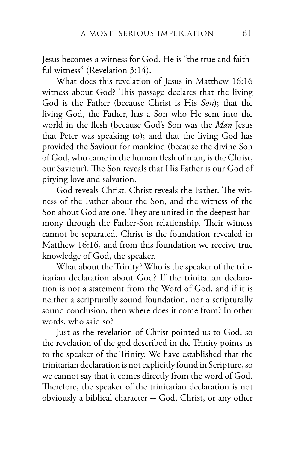Jesus becomes a witness for God. He is "the true and faithful witness" (Revelation 3:14).

What does this revelation of Jesus in Matthew 16:16 witness about God? This passage declares that the living God is the Father (because Christ is His *Son*); that the living God, the Father, has a Son who He sent into the world in the flesh (because God's Son was the *Man* Jesus that Peter was speaking to); and that the living God has provided the Saviour for mankind (because the divine Son of God, who came in the human flesh of man, is the Christ, our Saviour). The Son reveals that His Father is our God of pitying love and salvation.

God reveals Christ. Christ reveals the Father. The witness of the Father about the Son, and the witness of the Son about God are one. They are united in the deepest harmony through the Father-Son relationship. Their witness cannot be separated. Christ is the foundation revealed in Matthew 16:16, and from this foundation we receive true knowledge of God, the speaker.

What about the Trinity? Who is the speaker of the trinitarian declaration about God? If the trinitarian declaration is not a statement from the Word of God, and if it is neither a scripturally sound foundation, nor a scripturally sound conclusion, then where does it come from? In other words, who said so?

Just as the revelation of Christ pointed us to God, so the revelation of the god described in the Trinity points us to the speaker of the Trinity. We have established that the trinitarian declaration is not explicitly found in Scripture, so we cannot say that it comes directly from the word of God. Therefore, the speaker of the trinitarian declaration is not obviously a biblical character -- God, Christ, or any other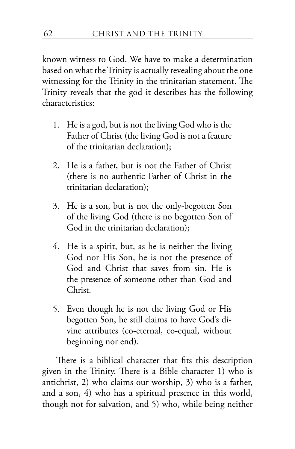known witness to God. We have to make a determination based on what the Trinity is actually revealing about the one witnessing for the Trinity in the trinitarian statement. The Trinity reveals that the god it describes has the following characteristics:

- 1. He is a god, but is not the living God who is the Father of Christ (the living God is not a feature of the trinitarian declaration);
- 2. He is a father, but is not the Father of Christ (there is no authentic Father of Christ in the trinitarian declaration);
- 3. He is a son, but is not the only-begotten Son of the living God (there is no begotten Son of God in the trinitarian declaration);
- 4. He is a spirit, but, as he is neither the living God nor His Son, he is not the presence of God and Christ that saves from sin. He is the presence of someone other than God and Christ.
- 5. Even though he is not the living God or His begotten Son, he still claims to have God's divine attributes (co-eternal, co-equal, without beginning nor end).

There is a biblical character that fits this description given in the Trinity. There is a Bible character 1) who is antichrist, 2) who claims our worship, 3) who is a father, and a son, 4) who has a spiritual presence in this world, though not for salvation, and 5) who, while being neither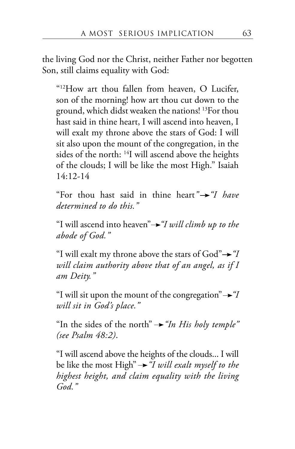the living God nor the Christ, neither Father nor begotten Son, still claims equality with God:

"12How art thou fallen from heaven, O Lucifer, son of the morning! how art thou cut down to the ground, which didst weaken the nations! 13For thou hast said in thine heart, I will ascend into heaven, I will exalt my throne above the stars of God: I will sit also upon the mount of the congregation, in the sides of the north: 14I will ascend above the heights of the clouds; I will be like the most High." Isaiah  $14:12-14$ 

"For thou hast said in thine heart*" "I have determined to do this."*

"I will ascend into heaven" *"I will climb up to the abode of God."*

"I will exalt my throne above the stars of  $God \rightarrow "I$ *will claim authority above that of an angel, as if I am Deity."*

"I will sit upon the mount of the congregation" $\rightarrow$ "I *will sit in God's place."*

"In the sides of the north"  $\rightarrow$  "In His holy temple" *(see Psalm 48:2)*.

"I will ascend above the heights of the clouds... I will be like the most High" *"I will exalt myself to the highest height, and claim equality with the living God."*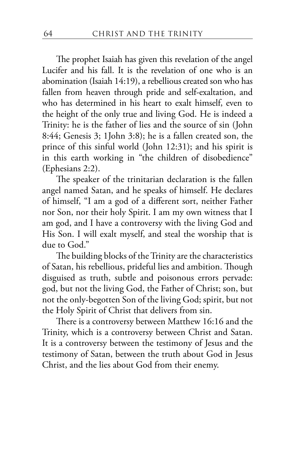The prophet Isaiah has given this revelation of the angel Lucifer and his fall. It is the revelation of one who is an abomination (Isaiah 14:19), a rebellious created son who has fallen from heaven through pride and self-exaltation, and who has determined in his heart to exalt himself, even to the height of the only true and living God. He is indeed a Trinity: he is the father of lies and the source of sin (John 8:44; Genesis 3; 1John 3:8); he is a fallen created son, the prince of this sinful world (John 12:31); and his spirit is in this earth working in "the children of disobedience" (Ephesians 2:2).

The speaker of the trinitarian declaration is the fallen angel named Satan, and he speaks of himself. He declares of himself, "I am a god of a different sort, neither Father nor Son, nor their holy Spirit. I am my own witness that I am god, and I have a controversy with the living God and His Son. I will exalt myself, and steal the worship that is due to God."

The building blocks of the Trinity are the characteristics of Satan, his rebellious, prideful lies and ambition. Though disguised as truth, subtle and poisonous errors pervade: god, but not the living God, the Father of Christ; son, but not the only-begotten Son of the living God; spirit, but not the Holy Spirit of Christ that delivers from sin.

There is a controversy between Matthew 16:16 and the Trinity, which is a controversy between Christ and Satan. It is a controversy between the testimony of Jesus and the testimony of Satan, between the truth about God in Jesus Christ, and the lies about God from their enemy.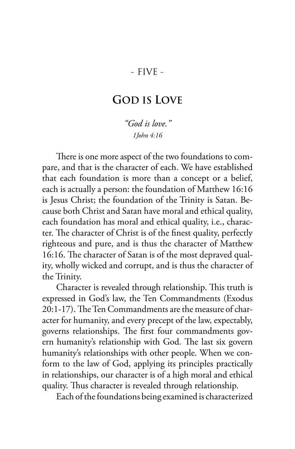## - FIVE -

## **GOD IS LOVE**

*"God is love." 1John 4:16*

There is one more aspect of the two foundations to compare, and that is the character of each. We have established that each foundation is more than a concept or a belief, each is actually a person: the foundation of Matthew 16:16 is Jesus Christ; the foundation of the Trinity is Satan. Because both Christ and Satan have moral and ethical quality, each foundation has moral and ethical quality, i.e., character. The character of Christ is of the finest quality, perfectly righteous and pure, and is thus the character of Matthew 16:16. The character of Satan is of the most depraved quality, wholly wicked and corrupt, and is thus the character of the Trinity.

Character is revealed through relationship. This truth is expressed in God's law, the Ten Commandments (Exodus 20:1-17). The Ten Commandments are the measure of character for humanity, and every precept of the law, expectably, governs relationships. The first four commandments govern humanity's relationship with God. The last six govern humanity's relationships with other people. When we conform to the law of God, applying its principles practically in relationships, our character is of a high moral and ethical quality. Thus character is revealed through relationship.

Each of the foundations being examined is characterized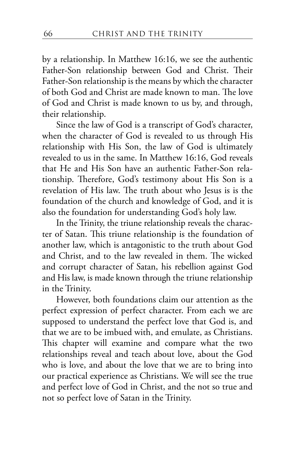by a relationship. In Matthew 16:16, we see the authentic Father-Son relationship between God and Christ. Their Father-Son relationship is the means by which the character of both God and Christ are made known to man. The love of God and Christ is made known to us by, and through, their relationship.

Since the law of God is a transcript of God's character, when the character of God is revealed to us through His relationship with His Son, the law of God is ultimately revealed to us in the same. In Matthew 16:16, God reveals that He and His Son have an authentic Father-Son relationship. Therefore, God's testimony about His Son is a revelation of His law. The truth about who Jesus is is the foundation of the church and knowledge of God, and it is also the foundation for understanding God's holy law.

In the Trinity, the triune relationship reveals the character of Satan. This triune relationship is the foundation of another law, which is antagonistic to the truth about God and Christ, and to the law revealed in them. The wicked and corrupt character of Satan, his rebellion against God and His law, is made known through the triune relationship in the Trinity.

However, both foundations claim our attention as the perfect expression of perfect character. From each we are supposed to understand the perfect love that God is, and that we are to be imbued with, and emulate, as Christians. This chapter will examine and compare what the two relationships reveal and teach about love, about the God who is love, and about the love that we are to bring into our practical experience as Christians. We will see the true and perfect love of God in Christ, and the not so true and not so perfect love of Satan in the Trinity.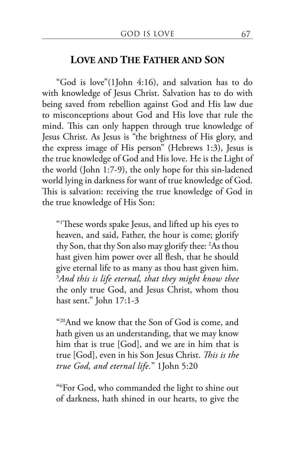## **LOVE AND THE FATHER AND SON**

"God is love"(1John 4:16), and salvation has to do with knowledge of Jesus Christ. Salvation has to do with being saved from rebellion against God and His law due to misconceptions about God and His love that rule the mind. This can only happen through true knowledge of Jesus Christ. As Jesus is "the brightness of His glory, and the express image of His person" (Hebrews 1:3), Jesus is the true knowledge of God and His love. He is the Light of the world (John 1:7-9), the only hope for this sin-ladened world lying in darkness for want of true knowledge of God. This is salvation: receiving the true knowledge of God in the true knowledge of His Son:

"1 These words spake Jesus, and lifted up his eyes to heaven, and said, Father, the hour is come; glorify thy Son, that thy Son also may glorify thee: <sup>2</sup> As thou hast given him power over all flesh, that he should give eternal life to as many as thou hast given him. 3 *And this is life eternal, that they might know thee* the only true God, and Jesus Christ, whom thou hast sent." John 17:1-3

"20And we know that the Son of God is come, and hath given us an understanding, that we may know him that is true [God], and we are in him that is true [God], even in his Son Jesus Christ. *This is the true God, and eternal life.*" 1John 5:20

"6 For God, who commanded the light to shine out of darkness, hath shined in our hearts, to give the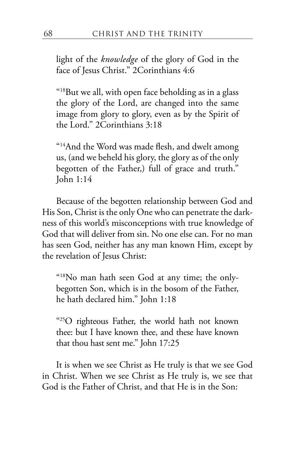light of the *knowledge* of the glory of God in the face of Jesus Christ." 2Corinthians 4:6

 $418$ But we all, with open face beholding as in a glass the glory of the Lord, are changed into the same image from glory to glory, even as by the Spirit of the Lord." 2Corinthians 3:18

"14And the Word was made flesh, and dwelt among us, (and we beheld his glory, the glory as of the only begotten of the Father,) full of grace and truth." John 1:14

Because of the begotten relationship between God and His Son, Christ is the only One who can penetrate the darkness of this world's misconceptions with true knowledge of God that will deliver from sin. No one else can. For no man has seen God, neither has any man known Him, except by the revelation of Jesus Christ:

"18No man hath seen God at any time; the onlybegotten Son, which is in the bosom of the Father, he hath declared him." John 1:18

"25O righteous Father, the world hath not known thee: but I have known thee, and these have known that thou hast sent me." John 17:25

It is when we see Christ as He truly is that we see God in Christ. When we see Christ as He truly is, we see that God is the Father of Christ, and that He is in the Son: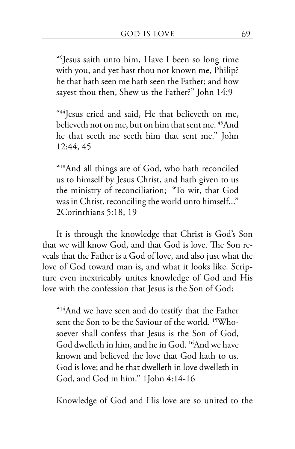"9 Jesus saith unto him, Have I been so long time with you, and yet hast thou not known me, Philip? he that hath seen me hath seen the Father; and how sayest thou then, Shew us the Father?" John 14:9

"44Jesus cried and said, He that believeth on me, believeth not on me, but on him that sent me. 45And he that seeth me seeth him that sent me." John 12:44, 45

"18And all things are of God, who hath reconciled us to himself by Jesus Christ, and hath given to us the ministry of reconciliation; 19To wit, that God was in Christ, reconciling the world unto himself..." 2Corinthians 5:18, 19

It is through the knowledge that Christ is God's Son that we will know God, and that God is love. The Son reveals that the Father is a God of love, and also just what the love of God toward man is, and what it looks like. Scripture even inextricably unites knowledge of God and His love with the confession that Jesus is the Son of God:

"<sup>14</sup>And we have seen and do testify that the Father sent the Son to be the Saviour of the world. 15Whosoever shall confess that Jesus is the Son of God, God dwelleth in him, and he in God. 16And we have known and believed the love that God hath to us. God is love; and he that dwelleth in love dwelleth in God, and God in him." 1John 4:14-16

Knowledge of God and His love are so united to the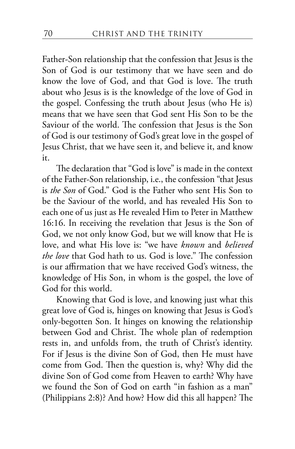Father-Son relationship that the confession that Jesus is the Son of God is our testimony that we have seen and do know the love of God, and that God is love. The truth about who Jesus is is the knowledge of the love of God in the gospel. Confessing the truth about Jesus (who He is) means that we have seen that God sent His Son to be the Saviour of the world. The confession that Jesus is the Son of God is our testimony of God's great love in the gospel of Jesus Christ, that we have seen it, and believe it, and know it.

The declaration that "God is love" is made in the context of the Father-Son relationship, i.e., the confession "that Jesus is *the Son* of God." God is the Father who sent His Son to be the Saviour of the world, and has revealed His Son to each one of us just as He revealed Him to Peter in Matthew 16:16. In receiving the revelation that Jesus is the Son of God, we not only know God, but we will know that He is love, and what His love is: "we have *known* and *believed the love* that God hath to us. God is love." The confession is our affirmation that we have received God's witness, the knowledge of His Son, in whom is the gospel, the love of God for this world.

Knowing that God is love, and knowing just what this great love of God is*,* hinges on knowing that Jesus is God's only-begotten Son. It hinges on knowing the relationship between God and Christ. The whole plan of redemption rests in, and unfolds from, the truth of Christ's identity. For if Jesus is the divine Son of God, then He must have come from God. Then the question is, why? Why did the divine Son of God come from Heaven to earth? Why have we found the Son of God on earth "in fashion as a man" (Philippians 2:8)? And how? How did this all happen? The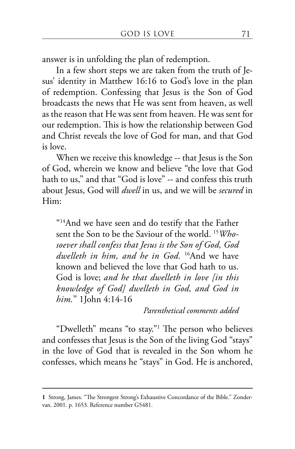answer is in unfolding the plan of redemption.

In a few short steps we are taken from the truth of Jesus' identity in Matthew 16:16 to God's love in the plan of redemption. Confessing that Jesus is the Son of God broadcasts the news that He was sent from heaven, as well as the reason that He was sent from heaven. He was sent for our redemption. This is how the relationship between God and Christ reveals the love of God for man, and that God is love.

When we receive this knowledge -- that Jesus is the Son of God, wherein we know and believe "the love that God hath to us," and that "God is love" -- and confess this truth about Jesus, God will *dwell* in us, and we will be *secured* in Him:

"14And we have seen and do testify that the Father sent the Son to be the Saviour of the world. 15*Whosoever shall confess that Jesus is the Son of God, God dwelleth in him, and he in God.* 16And we have known and believed the love that God hath to us. God is love; *and he that dwelleth in love [in this knowledge of God] dwelleth in God, and God in him.*" 1John 4:14-16

*Parenthetical comments added*

"Dwelleth" means "to stay."1 The person who believes and confesses that Jesus is the Son of the living God "stays" in the love of God that is revealed in the Son whom he confesses, which means he "stays" in God. He is anchored,

**<sup>1</sup>** Strong, James. "The Strongest Strong's Exhaustive Concordance of the Bible." Zondervan. 2001. p. 1653. Reference number G5481.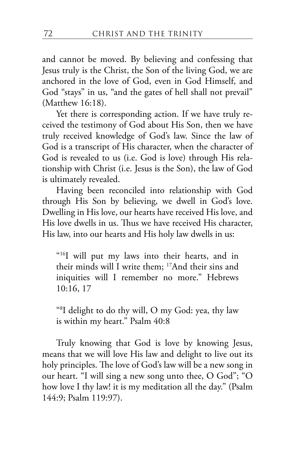and cannot be moved. By believing and confessing that Jesus truly is the Christ, the Son of the living God, we are anchored in the love of God, even in God Himself, and God "stays" in us, "and the gates of hell shall not prevail" (Matthew 16:18).

Yet there is corresponding action. If we have truly received the testimony of God about His Son, then we have truly received knowledge of God's law. Since the law of God is a transcript of His character, when the character of God is revealed to us (i.e. God is love) through His relationship with Christ (i.e. Jesus is the Son), the law of God is ultimately revealed.

Having been reconciled into relationship with God through His Son by believing, we dwell in God's love. Dwelling in His love, our hearts have received His love, and His love dwells in us. Thus we have received His character, His law, into our hearts and His holy law dwells in us:

"16I will put my laws into their hearts, and in their minds will I write them; 17And their sins and iniquities will I remember no more." Hebrews 10:16, 17

"8 I delight to do thy will, O my God: yea, thy law is within my heart." Psalm 40:8

Truly knowing that God is love by knowing Jesus, means that we will love His law and delight to live out its holy principles. The love of God's law will be a new song in our heart. "I will sing a new song unto thee, O God"; "O how love I thy law! it is my meditation all the day." (Psalm 144:9; Psalm 119:97).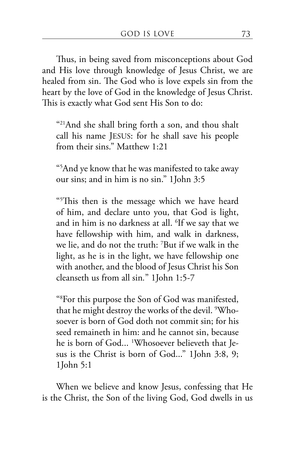Thus, in being saved from misconceptions about God and His love through knowledge of Jesus Christ, we are healed from sin. The God who is love expels sin from the heart by the love of God in the knowledge of Jesus Christ. This is exactly what God sent His Son to do:

"21And she shall bring forth a son, and thou shalt call his name JESUS: for he shall save his people from their sins." Matthew 1:21

"5 And ye know that he was manifested to take away our sins; and in him is no sin." 1John 3:5

"5 This then is the message which we have heard of him, and declare unto you, that God is light, and in him is no darkness at all. <sup>6</sup>If we say that we have fellowship with him, and walk in darkness, we lie, and do not the truth: <sup>7</sup> But if we walk in the light, as he is in the light, we have fellowship one with another, and the blood of Jesus Christ his Son cleanseth us from all sin*.*" 1John 1:5-7

"8 For this purpose the Son of God was manifested, that he might destroy the works of the devil. 9 Whosoever is born of God doth not commit sin; for his seed remaineth in him: and he cannot sin, because he is born of God... 1 Whosoever believeth that Jesus is the Christ is born of God..." 1John 3:8, 9; 1John 5:1

When we believe and know Jesus, confessing that He is the Christ, the Son of the living God, God dwells in us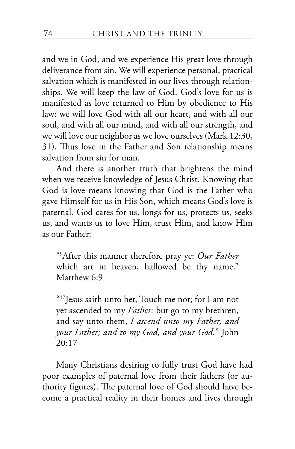and we in God, and we experience His great love through deliverance from sin. We will experience personal, practical salvation which is manifested in our lives through relationships. We will keep the law of God. God's love for us is manifested as love returned to Him by obedience to His law: we will love God with all our heart, and with all our soul, and with all our mind, and with all our strength, and we will love our neighbor as we love ourselves (Mark 12:30, 31). Thus love in the Father and Son relationship means salvation from sin for man.

And there is another truth that brightens the mind when we receive knowledge of Jesus Christ. Knowing that God is love means knowing that God is the Father who gave Himself for us in His Son, which means God's love is paternal. God cares for us, longs for us, protects us, seeks us, and wants us to love Him, trust Him, and know Him as our Father:

"9 After this manner therefore pray ye: *Our Father* which art in heaven, hallowed be thy name." Matthew 6:9

"17Jesus saith unto her, Touch me not; for I am not yet ascended to my *Father:* but go to my brethren, and say unto them, *I ascend unto my Father, and your Father; and to my God, and your God.*" John 20:17

Many Christians desiring to fully trust God have had poor examples of paternal love from their fathers (or authority figures). The paternal love of God should have become a practical reality in their homes and lives through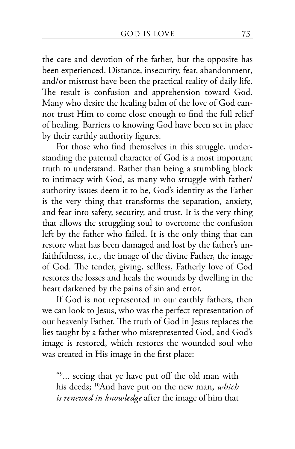the care and devotion of the father, but the opposite has been experienced. Distance, insecurity, fear, abandonment, and/or mistrust have been the practical reality of daily life. The result is confusion and apprehension toward God. Many who desire the healing balm of the love of God cannot trust Him to come close enough to find the full relief of healing. Barriers to knowing God have been set in place by their earthly authority figures.

For those who find themselves in this struggle, understanding the paternal character of God is a most important truth to understand. Rather than being a stumbling block to intimacy with God, as many who struggle with father/ authority issues deem it to be, God's identity as the Father is the very thing that transforms the separation, anxiety, and fear into safety, security, and trust. It is the very thing that allows the struggling soul to overcome the confusion left by the father who failed. It is the only thing that can restore what has been damaged and lost by the father's unfaithfulness, i.e., the image of the divine Father, the image of God. The tender, giving, selfless, Fatherly love of God restores the losses and heals the wounds by dwelling in the heart darkened by the pains of sin and error.

If God is not represented in our earthly fathers, then we can look to Jesus, who was the perfect representation of our heavenly Father. The truth of God in Jesus replaces the lies taught by a father who misrepresented God, and God's image is restored, which restores the wounded soul who was created in His image in the first place:

"9 ... seeing that ye have put off the old man with his deeds; 10And have put on the new man, *which is renewed in knowledge* after the image of him that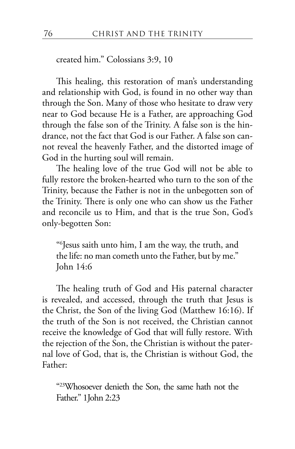created him." Colossians 3:9, 10

This healing, this restoration of man's understanding and relationship with God, is found in no other way than through the Son. Many of those who hesitate to draw very near to God because He is a Father, are approaching God through the false son of the Trinity. A false son is the hindrance, not the fact that God is our Father. A false son cannot reveal the heavenly Father, and the distorted image of God in the hurting soul will remain.

The healing love of the true God will not be able to fully restore the broken-hearted who turn to the son of the Trinity, because the Father is not in the unbegotten son of the Trinity. There is only one who can show us the Father and reconcile us to Him, and that is the true Son, God's only-begotten Son:

"6 Jesus saith unto him, I am the way, the truth, and the life: no man cometh unto the Father, but by me." John 14:6

The healing truth of God and His paternal character is revealed, and accessed, through the truth that Jesus is the Christ, the Son of the living God (Matthew 16:16). If the truth of the Son is not received, the Christian cannot receive the knowledge of God that will fully restore. With the rejection of the Son, the Christian is without the paternal love of God, that is, the Christian is without God, the Father:

"23Whosoever denieth the Son, the same hath not the Father." 1John 2:23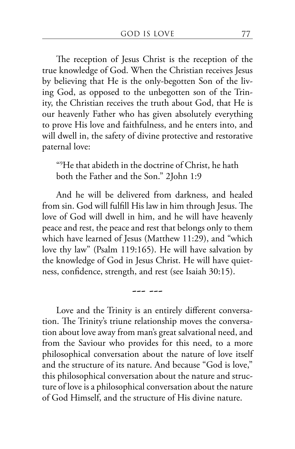The reception of Jesus Christ is the reception of the true knowledge of God. When the Christian receives Jesus by believing that He is the only-begotten Son of the living God, as opposed to the unbegotten son of the Trinity, the Christian receives the truth about God, that He is our heavenly Father who has given absolutely everything to prove His love and faithfulness, and he enters into, and will dwell in, the safety of divine protective and restorative paternal love:

"9 He that abideth in the doctrine of Christ, he hath both the Father and the Son." 2John 1:9

And he will be delivered from darkness, and healed from sin. God will fulfill His law in him through Jesus. The love of God will dwell in him, and he will have heavenly peace and rest, the peace and rest that belongs only to them which have learned of Jesus (Matthew 11:29), and "which love thy law" (Psalm 119:165). He will have salvation by the knowledge of God in Jesus Christ. He will have quietness, confidence, strength, and rest (see Isaiah 30:15).

--- ---

Love and the Trinity is an entirely different conversation. The Trinity's triune relationship moves the conversation about love away from man's great salvational need, and from the Saviour who provides for this need, to a more philosophical conversation about the nature of love itself and the structure of its nature. And because "God is love," this philosophical conversation about the nature and structure of love is a philosophical conversation about the nature of God Himself, and the structure of His divine nature.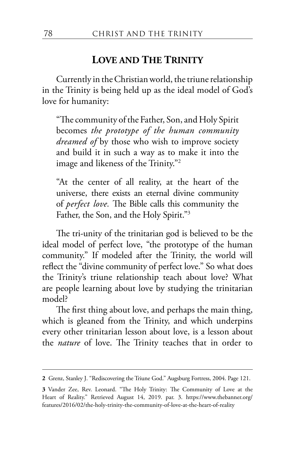## **LOVE AND THE TRINITY**

Currently in the Christian world, the triune relationship in the Trinity is being held up as the ideal model of God's love for humanity:

"The community of the Father, Son, and Holy Spirit becomes *the prototype of the human community dreamed of* by those who wish to improve society and build it in such a way as to make it into the image and likeness of the Trinity."2

"At the center of all reality, at the heart of the universe, there exists an eternal divine community of *perfect love.* The Bible calls this community the Father, the Son, and the Holy Spirit."3

The tri-unity of the trinitarian god is believed to be the ideal model of perfect love, "the prototype of the human community." If modeled after the Trinity, the world will reflect the "divine community of perfect love." So what does the Trinity's triune relationship teach about love? What are people learning about love by studying the trinitarian model?

The first thing about love, and perhaps the main thing, which is gleaned from the Trinity, and which underpins every other trinitarian lesson about love, is a lesson about the *nature* of love. The Trinity teaches that in order to

**<sup>2</sup>** Grenz, Stanley J. "Rediscovering the Triune God." Augsburg Fortress, 2004. Page 121.

**<sup>3</sup>** Vander Zee, Rev. Leonard. "The Holy Trinity: The Community of Love at the Heart of Reality." Retrieved August 14, 2019. par. 3. https://www.thebanner.org/ features/2016/02/the-holy-trinity-the-community-of-love-at-the-heart-of-reality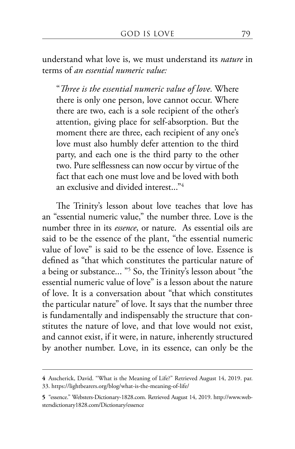understand what love is, we must understand its *nature* in terms of *an essential numeric value:*

"*Three is the essential numeric value of love.* Where there is only one person, love cannot occur. Where there are two, each is a sole recipient of the other's attention, giving place for self-absorption. But the moment there are three, each recipient of any one's love must also humbly defer attention to the third party, and each one is the third party to the other two. Pure selflessness can now occur by virtue of the fact that each one must love and be loved with both an exclusive and divided interest..."4

The Trinity's lesson about love teaches that love has an "essential numeric value," the number three. Love is the number three in its *essence*, or nature. As essential oils are said to be the essence of the plant, "the essential numeric value of love" is said to be the essence of love. Essence is defined as "that which constitutes the particular nature of a being or substance... "5 So, the Trinity's lesson about "the essential numeric value of love" is a lesson about the nature of love. It is a conversation about "that which constitutes the particular nature" of love. It says that the number three is fundamentally and indispensably the structure that constitutes the nature of love, and that love would not exist, and cannot exist, if it were, in nature, inherently structured by another number. Love, in its essence, can only be the

**<sup>4</sup>** Asscherick, David. "What is the Meaning of Life?" Retrieved August 14, 2019. par. 33. https://lightbearers.org/blog/what-is-the-meaning-of-life/

**<sup>5</sup>** "essence." Websters-Dictionary-1828.com. Retrieved August 14, 2019. http://www.webstersdictionary1828.com/Dictionary/essence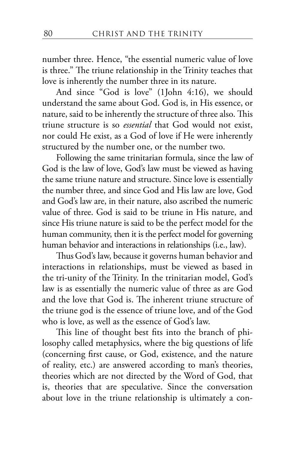number three. Hence, "the essential numeric value of love is three." The triune relationship in the Trinity teaches that love is inherently the number three in its nature.

And since "God is love" (1John 4:16), we should understand the same about God. God is, in His essence, or nature, said to be inherently the structure of three also. This triune structure is so *essential* that God would not exist, nor could He exist, as a God of love if He were inherently structured by the number one, or the number two.

Following the same trinitarian formula, since the law of God is the law of love, God's law must be viewed as having the same triune nature and structure. Since love is essentially the number three, and since God and His law are love, God and God's law are, in their nature, also ascribed the numeric value of three. God is said to be triune in His nature, and since His triune nature is said to be the perfect model for the human community, then it is the perfect model for governing human behavior and interactions in relationships (i.e., law).

Thus God's law, because it governs human behavior and interactions in relationships, must be viewed as based in the tri-unity of the Trinity. In the trinitarian model, God's law is as essentially the numeric value of three as are God and the love that God is. The inherent triune structure of the triune god is the essence of triune love, and of the God who is love, as well as the essence of God's law.

This line of thought best fits into the branch of philosophy called metaphysics, where the big questions of life (concerning first cause, or God, existence, and the nature of reality, etc.) are answered according to man's theories, theories which are not directed by the Word of God, that is, theories that are speculative. Since the conversation about love in the triune relationship is ultimately a con-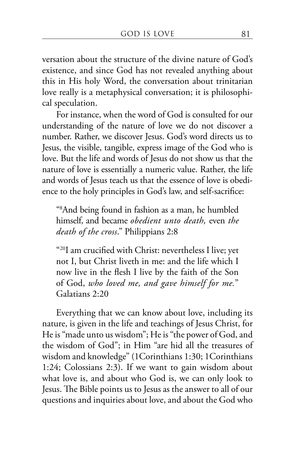versation about the structure of the divine nature of God's existence, and since God has not revealed anything about this in His holy Word, the conversation about trinitarian love really is a metaphysical conversation; it is philosophical speculation.

For instance, when the word of God is consulted for our understanding of the nature of love we do not discover a number. Rather, we discover Jesus. God's word directs us to Jesus, the visible, tangible, express image of the God who is love. But the life and words of Jesus do not show us that the nature of love is essentially a numeric value. Rather, the life and words of Jesus teach us that the essence of love is obedience to the holy principles in God's law, and self-sacrifice:

"8 And being found in fashion as a man, he humbled himself, and became *obedient unto death,* even *the death of the cross*." Philippians 2:8

"20I am crucified with Christ: nevertheless I live; yet not I, but Christ liveth in me: and the life which I now live in the flesh I live by the faith of the Son of God, *who loved me, and gave himself for me.*" Galatians 2:20

Everything that we can know about love, including its nature, is given in the life and teachings of Jesus Christ, for He is "made unto us wisdom"; He is "the power of God, and the wisdom of God"; in Him "are hid all the treasures of wisdom and knowledge" (1Corinthians 1:30; 1Corinthians 1:24; Colossians 2:3). If we want to gain wisdom about what love is, and about who God is, we can only look to Jesus. The Bible points us to Jesus as the answer to all of our questions and inquiries about love, and about the God who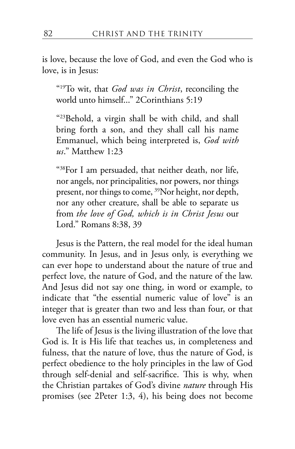is love, because the love of God, and even the God who is love, is in Jesus:

"19To wit, that *God was in Christ*, reconciling the world unto himself..." 2Corinthians 5:19

"23Behold, a virgin shall be with child, and shall bring forth a son, and they shall call his name Emmanuel, which being interpreted is, *God with us*." Matthew 1:23

"38For I am persuaded, that neither death, nor life, nor angels, nor principalities, nor powers, nor things present, nor things to come, <sup>39</sup>Nor height, nor depth, nor any other creature, shall be able to separate us from *the love of God, which is in Christ Jesus* our Lord." Romans 8:38, 39

Jesus is the Pattern, the real model for the ideal human community. In Jesus, and in Jesus only, is everything we can ever hope to understand about the nature of true and perfect love, the nature of God, and the nature of the law. And Jesus did not say one thing, in word or example, to indicate that "the essential numeric value of love" is an integer that is greater than two and less than four, or that love even has an essential numeric value.

The life of Jesus is the living illustration of the love that God is. It is His life that teaches us, in completeness and fulness, that the nature of love, thus the nature of God, is perfect obedience to the holy principles in the law of God through self-denial and self-sacrifice. This is why, when the Christian partakes of God's divine *nature* through His promises (see 2Peter 1:3, 4), his being does not become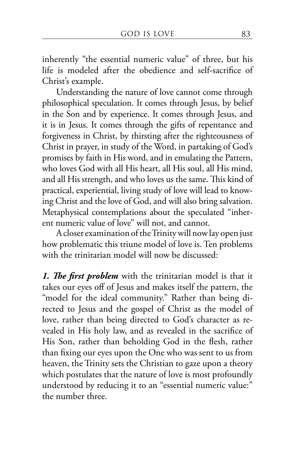inherently "the essential numeric value" of three, but his life is modeled after the obedience and self-sacrifice of Christ's example.

Understanding the nature of love cannot come through philosophical speculation. It comes through Jesus, by belief in the Son and by experience. It comes through Jesus, and it is in Jesus. It comes through the gifts of repentance and forgiveness in Christ, by thirsting after the righteousness of Christ in prayer, in study of the Word, in partaking of God's promises by faith in His word, and in emulating the Pattern, who loves God with all His heart, all His soul, all His mind, and all His strength, and who loves us the same. This kind of practical, experiential, living study of love will lead to knowing Christ and the love of God, and will also bring salvation. Metaphysical contemplations about the speculated "inherent numeric value of love" will not, and cannot.

A closer examination of the Trinity will now lay open just how problematic this triune model of love is. Ten problems with the trinitarian model will now be discussed:

*1. The first problem* with the trinitarian model is that it takes our eyes off of Jesus and makes itself the pattern, the "model for the ideal community." Rather than being directed to Jesus and the gospel of Christ as the model of love, rather than being directed to God's character as revealed in His holy law, and as revealed in the sacrifice of His Son, rather than beholding God in the flesh, rather than fixing our eyes upon the One who was sent to us from heaven, the Trinity sets the Christian to gaze upon a theory which postulates that the nature of love is most profoundly understood by reducing it to an "essential numeric value:" the number three.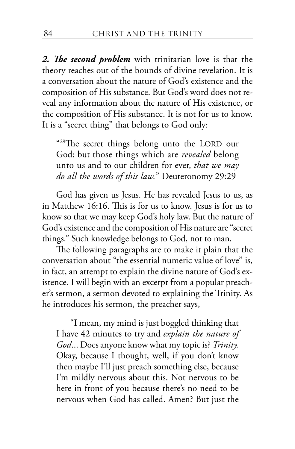*2. The second problem* with trinitarian love is that the theory reaches out of the bounds of divine revelation. It is a conversation about the nature of God's existence and the composition of His substance. But God's word does not reveal any information about the nature of His existence, or the composition of His substance. It is not for us to know. It is a "secret thing" that belongs to God only:

"29The secret things belong unto the LORD our God: but those things which are *revealed* belong unto us and to our children for ever, *that we may do all the words of this law.*" Deuteronomy 29:29

God has given us Jesus. He has revealed Jesus to us, as in Matthew 16:16. This is for us to know. Jesus is for us to know so that we may keep God's holy law. But the nature of God's existence and the composition of His nature are "secret things." Such knowledge belongs to God, not to man.

The following paragraphs are to make it plain that the conversation about "the essential numeric value of love" is, in fact, an attempt to explain the divine nature of God's existence. I will begin with an excerpt from a popular preacher's sermon, a sermon devoted to explaining the Trinity. As he introduces his sermon, the preacher says,

"I mean, my mind is just boggled thinking that I have 42 minutes to try and *explain the nature of God*... Does anyone know what my topic is? *Trinity.*  Okay, because I thought, well, if you don't know then maybe I'll just preach something else, because I'm mildly nervous about this. Not nervous to be here in front of you because there's no need to be nervous when God has called. Amen? But just the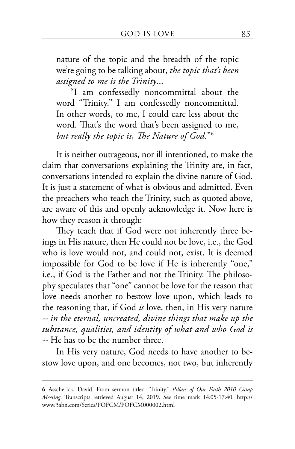nature of the topic and the breadth of the topic we're going to be talking about, *the topic that's been assigned to me is the Trinity*...

"I am confessedly noncommittal about the word "Trinity." I am confessedly noncommittal. In other words, to me, I could care less about the word. That's the word that's been assigned to me, *but really the topic is, The Nature of God.*"6

It is neither outrageous, nor ill intentioned, to make the claim that conversations explaining the Trinity are, in fact, conversations intended to explain the divine nature of God. It is just a statement of what is obvious and admitted. Even the preachers who teach the Trinity, such as quoted above, are aware of this and openly acknowledge it. Now here is how they reason it through:

They teach that if God were not inherently three beings in His nature, then He could not be love, i.e., the God who is love would not, and could not, exist. It is deemed impossible for God to be love if He is inherently "one," i.e., if God is the Father and not the Trinity. The philosophy speculates that "one" cannot be love for the reason that love needs another to bestow love upon, which leads to the reasoning that, if God *is* love, then, in His very nature -- *in the eternal, uncreated, divine things that make up the substance, qualities, and identity of what and who God is* -- He has to be the number three.

In His very nature, God needs to have another to bestow love upon, and one becomes, not two, but inherently

**<sup>6</sup>** Asscherick, David. From sermon titled "Trinity." *Pillars of Our Faith 2010 Camp Meeting*. Transcripts retrieved August 14, 2019. See time mark 14:05-17:40. http:// www.3abn.com/Series/POFCM/POFCM000002.html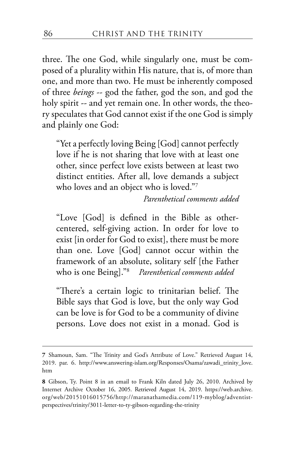three. The one God, while singularly one, must be composed of a plurality within His nature, that is, of more than one, and more than two. He must be inherently composed of three *beings* -- god the father, god the son, and god the holy spirit -- and yet remain one. In other words, the theory speculates that God cannot exist if the one God is simply and plainly one God:

"Yet a perfectly loving Being [God] cannot perfectly love if he is not sharing that love with at least one other, since perfect love exists between at least two distinct entities. After all, love demands a subject who loves and an object who is loved."7

*Parenthetical comments added*

"Love [God] is defined in the Bible as othercentered, self-giving action. In order for love to exist [in order for God to exist], there must be more than one. Love [God] cannot occur within the framework of an absolute, solitary self [the Father who is one Being]."8 *Parenthetical comments added*

"There's a certain logic to trinitarian belief. The Bible says that God is love, but the only way God can be love is for God to be a community of divine persons. Love does not exist in a monad. God is

**<sup>7</sup>** Shamoun, Sam. "The Trinity and God's Attribute of Love." Retrieved August 14, 2019. par. 6. http://www.answering-islam.org/Responses/Osama/zawadi\_trinity\_love. htm

**<sup>8</sup>** Gibson, Ty. Point 8 in an email to Frank Kiln dated July 26, 2010. Archived by Internet Archive October 16, 2005. Retrieved August 14, 2019. https://web.archive. org/web/20151016015756/http://maranathamedia.com/119-myblog/adventistperspectives/trinity/3011-letter-to-ty-gibson-regarding-the-trinity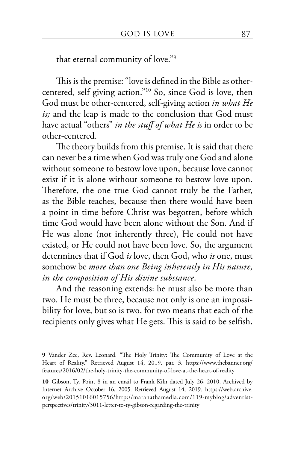that eternal community of love."9

This is the premise: "love is defined in the Bible as othercentered, self giving action."10 So, since God is love, then God must be other-centered, self-giving action *in what He is;* and the leap is made to the conclusion that God must have actual "others" *in the stuff of what He is* in order to be other-centered.

The theory builds from this premise. It is said that there can never be a time when God was truly one God and alone without someone to bestow love upon, because love cannot exist if it is alone without someone to bestow love upon. Therefore, the one true God cannot truly be the Father, as the Bible teaches, because then there would have been a point in time before Christ was begotten, before which time God would have been alone without the Son. And if He was alone (not inherently three), He could not have existed, or He could not have been love. So, the argument determines that if God *is* love, then God, who *is* one, must somehow be *more than one Being inherently in His nature, in the composition of His divine substance*.

And the reasoning extends: he must also be more than two. He must be three, because not only is one an impossibility for love, but so is two, for two means that each of the recipients only gives what He gets. This is said to be selfish.

**<sup>9</sup>** Vander Zee, Rev. Leonard. "The Holy Trinity: The Community of Love at the Heart of Reality." Retrieved August 14, 2019. par. 3. https://www.thebanner.org/ features/2016/02/the-holy-trinity-the-community-of-love-at-the-heart-of-reality

**<sup>10</sup>** Gibson, Ty. Point 8 in an email to Frank Kiln dated July 26, 2010. Archived by Internet Archive October 16, 2005. Retrieved August 14, 2019. https://web.archive. org/web/20151016015756/http://maranathamedia.com/119-myblog/adventistperspectives/trinity/3011-letter-to-ty-gibson-regarding-the-trinity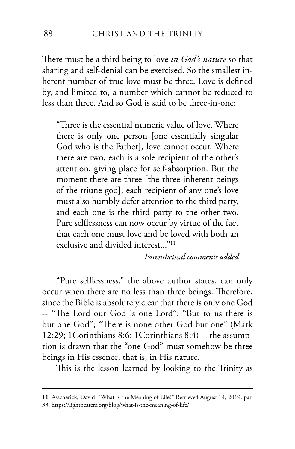There must be a third being to love *in God's nature* so that sharing and self-denial can be exercised. So the smallest inherent number of true love must be three. Love is defined by, and limited to, a number which cannot be reduced to less than three. And so God is said to be three-in-one:

"Three is the essential numeric value of love. Where there is only one person [one essentially singular God who is the Father], love cannot occur. Where there are two, each is a sole recipient of the other's attention, giving place for self-absorption. But the moment there are three [the three inherent beings] of the triune god], each recipient of any one's love must also humbly defer attention to the third party, and each one is the third party to the other two. Pure selflessness can now occur by virtue of the fact that each one must love and be loved with both an exclusive and divided interest..."<sup>11</sup>

*Parenthetical comments added*

"Pure selflessness," the above author states, can only occur when there are no less than three beings. Therefore, since the Bible is absolutely clear that there is only one God -- "The Lord our God is one Lord"; "But to us there is but one God"; "There is none other God but one" (Mark 12:29; 1Corinthians 8:6; 1Corinthians 8:4) -- the assumption is drawn that the "one God" must somehow be three beings in His essence, that is, in His nature.

This is the lesson learned by looking to the Trinity as

**<sup>11</sup>** Asscherick, David. "What is the Meaning of Life?" Retrieved August 14, 2019. par. 33. https://lightbearers.org/blog/what-is-the-meaning-of-life/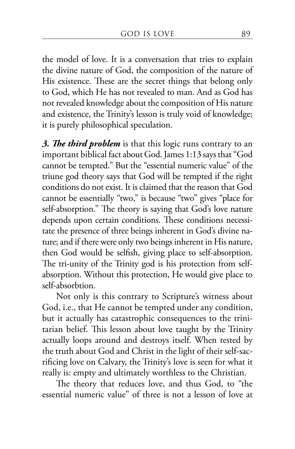the model of love. It is a conversation that tries to explain the divine nature of God, the composition of the nature of His existence. These are the secret things that belong only to God, which He has not revealed to man. And as God has not revealed knowledge about the composition of His nature and existence, the Trinity's lesson is truly void of knowledge; it is purely philosophical speculation.

*3. The third problem* is that this logic runs contrary to an important biblical fact about God. James 1:13 says that "God cannot be tempted." But the "essential numeric value" of the triune god theory says that God will be tempted if the right conditions do not exist. It is claimed that the reason that God cannot be essentially "two," is because "two" gives "place for self-absorption." The theory is saying that God's love nature depends upon certain conditions. These conditions necessitate the presence of three beings inherent in God's divine nature; and if there were only two beings inherent in His nature, then God would be selfish, giving place to self-absorption. The tri-unity of the Trinity god is his protection from selfabsorption. Without this protection, He would give place to self-absorbtion.

Not only is this contrary to Scripture's witness about God, i.e., that He cannot be tempted under any condition, but it actually has catastrophic consequences to the trinitarian belief. This lesson about love taught by the Trinity actually loops around and destroys itself. When tested by the truth about God and Christ in the light of their self-sacrificing love on Calvary, the Trinity's love is seen for what it really is: empty and ultimately worthless to the Christian.

The theory that reduces love, and thus God, to "the essential numeric value" of three is not a lesson of love at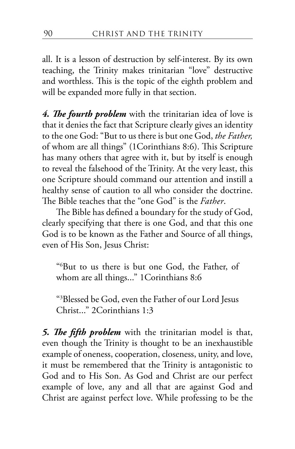all. It is a lesson of destruction by self-interest. By its own teaching, the Trinity makes trinitarian "love" destructive and worthless. This is the topic of the eighth problem and will be expanded more fully in that section.

*4. The fourth problem* with the trinitarian idea of love is that it denies the fact that Scripture clearly gives an identity to the one God: "But to us there is but one God, *the Father,*  of whom are all things" (1Corinthians 8:6). This Scripture has many others that agree with it, but by itself is enough to reveal the falsehood of the Trinity. At the very least, this one Scripture should command our attention and instill a healthy sense of caution to all who consider the doctrine. The Bible teaches that the "one God" is the *Father*.

The Bible has defined a boundary for the study of God, clearly specifying that there is one God, and that this one God is to be known as the Father and Source of all things, even of His Son, Jesus Christ:

"6 But to us there is but one God, the Father, of whom are all things..." 1 Corinthians 8:6

"3 Blessed be God, even the Father of our Lord Jesus Christ..." 2Corinthians 1:3

*5. The fifth problem* with the trinitarian model is that, even though the Trinity is thought to be an inexhaustible example of oneness, cooperation, closeness, unity, and love, it must be remembered that the Trinity is antagonistic to God and to His Son. As God and Christ are our perfect example of love, any and all that are against God and Christ are against perfect love. While professing to be the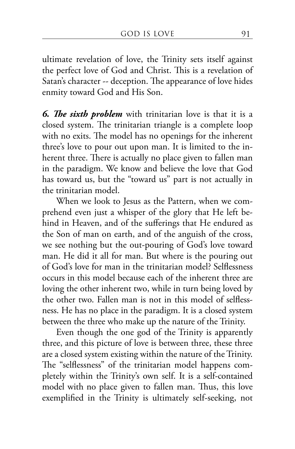ultimate revelation of love, the Trinity sets itself against the perfect love of God and Christ. This is a revelation of Satan's character -- deception. The appearance of love hides enmity toward God and His Son.

*6. The sixth problem* with trinitarian love is that it is a closed system. The trinitarian triangle is a complete loop with no exits. The model has no openings for the inherent three's love to pour out upon man. It is limited to the inherent three. There is actually no place given to fallen man in the paradigm. We know and believe the love that God has toward us, but the "toward us" part is not actually in the trinitarian model.

When we look to Jesus as the Pattern, when we comprehend even just a whisper of the glory that He left behind in Heaven, and of the sufferings that He endured as the Son of man on earth, and of the anguish of the cross, we see nothing but the out-pouring of God's love toward man. He did it all for man. But where is the pouring out of God's love for man in the trinitarian model? Selflessness occurs in this model because each of the inherent three are loving the other inherent two, while in turn being loved by the other two. Fallen man is not in this model of selflessness. He has no place in the paradigm. It is a closed system between the three who make up the nature of the Trinity.

Even though the one god of the Trinity is apparently three, and this picture of love is between three, these three are a closed system existing within the nature of the Trinity. The "selflessness" of the trinitarian model happens completely within the Trinity's own self. It is a self-contained model with no place given to fallen man. Thus, this love exemplified in the Trinity is ultimately self-seeking, not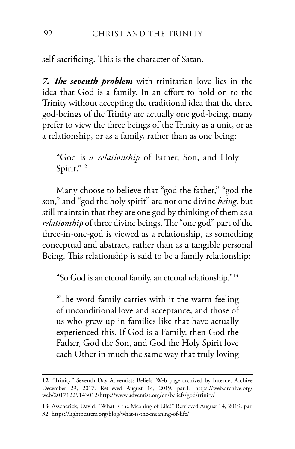self-sacrificing. This is the character of Satan.

*7. The seventh problem* with trinitarian love lies in the idea that God is a family. In an effort to hold on to the Trinity without accepting the traditional idea that the three god-beings of the Trinity are actually one god-being, many prefer to view the three beings of the Trinity as a unit, or as a relationship, or as a family, rather than as one being:

"God is *a relationship* of Father, Son, and Holy Spirit."<sup>12</sup>

Many choose to believe that "god the father," "god the son," and "god the holy spirit" are not one divine *being*, but still maintain that they are one god by thinking of them as a *relationship* of three divine beings. The "one god" part of the three-in-one-god is viewed as a relationship, as something conceptual and abstract, rather than as a tangible personal Being. This relationship is said to be a family relationship:

"So God is an eternal family, an eternal relationship."13

"The word family carries with it the warm feeling of unconditional love and acceptance; and those of us who grew up in families like that have actually experienced this. If God is a Family, then God the Father, God the Son, and God the Holy Spirit love each Other in much the same way that truly loving

**<sup>12</sup>** "Trinity." Seventh Day Adventists Beliefs. Web page archived by Internet Archive December 29, 2017. Retrieved August 14, 2019. par.1. https://web.archive.org/ web/20171229143012/http://www.adventist.org/en/beliefs/god/trinity/

**<sup>13</sup>** Asscherick, David. "What is the Meaning of Life?" Retrieved August 14, 2019. par. 32. https://lightbearers.org/blog/what-is-the-meaning-of-life/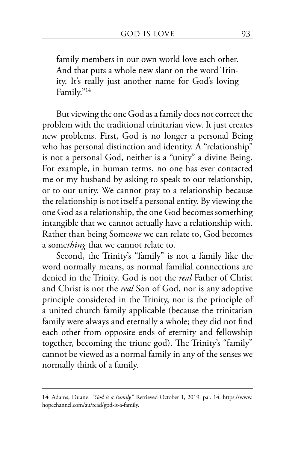family members in our own world love each other. And that puts a whole new slant on the word Trinity. It's really just another name for God's loving Family."14

But viewing the one God as a family does not correct the problem with the traditional trinitarian view. It just creates new problems. First, God is no longer a personal Being who has personal distinction and identity. A "relationship" is not a personal God, neither is a "unity" a divine Being. For example, in human terms, no one has ever contacted me or my husband by asking to speak to our relationship, or to our unity. We cannot pray to a relationship because the relationship is not itself a personal entity. By viewing the one God as a relationship, the one God becomes something intangible that we cannot actually have a relationship with. Rather than being Some*one* we can relate to, God becomes a some*thing* that we cannot relate to.

Second, the Trinity's "family" is not a family like the word normally means, as normal familial connections are denied in the Trinity. God is not the *real* Father of Christ and Christ is not the *real* Son of God, nor is any adoptive principle considered in the Trinity, nor is the principle of a united church family applicable (because the trinitarian family were always and eternally a whole; they did not find each other from opposite ends of eternity and fellowship together, becoming the triune god). The Trinity's "family" cannot be viewed as a normal family in any of the senses we normally think of a family.

**<sup>14</sup>** Adams, Duane. *"God is a Family.*" Retrieved October 1, 2019. par. 14. https://www. hopechannel.com/au/read/god-is-a-family.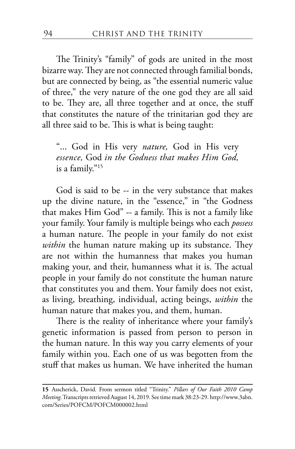The Trinity's "family" of gods are united in the most bizarre way. They are not connected through familial bonds, but are connected by being, as "the essential numeric value of three," the very nature of the one god they are all said to be. They are, all three together and at once, the stuff that constitutes the nature of the trinitarian god they are all three said to be. This is what is being taught:

"... God in His very *nature,* God in His very *essence,* God *in the Godness that makes Him God,* is a family."15

God is said to be -- in the very substance that makes up the divine nature, in the "essence," in "the Godness that makes Him God" -- a family. This is not a family like your family. Your family is multiple beings who each *possess* a human nature. The people in your family do not exist *within* the human nature making up its substance. They are not within the humanness that makes you human making your, and their, humanness what it is. The actual people in your family do not constitute the human nature that constitutes you and them. Your family does not exist, as living, breathing, individual, acting beings, *within* the human nature that makes you, and them, human.

There is the reality of inheritance where your family's genetic information is passed from person to person in the human nature. In this way you carry elements of your family within you. Each one of us was begotten from the stuff that makes us human. We have inherited the human

**<sup>15</sup>** Asscherick, David. From sermon titled "Trinity." *Pillars of Our Faith 2010 Camp Meeting*. Transcripts retrieved August 14, 2019. See time mark 38:23-29. http://www.3abn. com/Series/POFCM/POFCM000002.html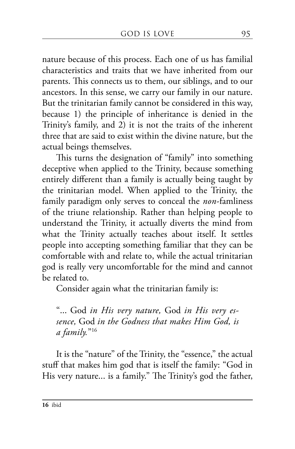nature because of this process. Each one of us has familial characteristics and traits that we have inherited from our parents. This connects us to them, our siblings, and to our ancestors. In this sense, we carry our family in our nature. But the trinitarian family cannot be considered in this way, because 1) the principle of inheritance is denied in the Trinity's family, and 2) it is not the traits of the inherent three that are said to exist within the divine nature, but the actual beings themselves.

This turns the designation of "family" into something deceptive when applied to the Trinity, because something entirely different than a family is actually being taught by the trinitarian model. When applied to the Trinity, the family paradigm only serves to conceal the *non*-famliness of the triune relationship. Rather than helping people to understand the Trinity, it actually diverts the mind from what the Trinity actually teaches about itself. It settles people into accepting something familiar that they can be comfortable with and relate to, while the actual trinitarian god is really very uncomfortable for the mind and cannot be related to.

Consider again what the trinitarian family is:

"... God *in His very nature,* God *in His very essence,* God *in the Godness that makes Him God, is a family.*"16

It is the "nature" of the Trinity, the "essence," the actual stuff that makes him god that is itself the family: "God in His very nature... is a family." The Trinity's god the father,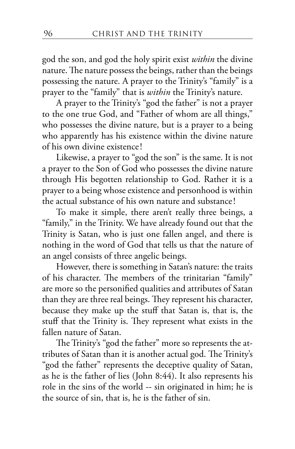god the son, and god the holy spirit exist *within* the divine nature. The nature possess the beings, rather than the beings possessing the nature. A prayer to the Trinity's "family" is a prayer to the "family" that is *within* the Trinity's nature.

A prayer to the Trinity's "god the father" is not a prayer to the one true God, and "Father of whom are all things," who possesses the divine nature, but is a prayer to a being who apparently has his existence within the divine nature of his own divine existence!

Likewise, a prayer to "god the son" is the same. It is not a prayer to the Son of God who possesses the divine nature through His begotten relationship to God. Rather it is a prayer to a being whose existence and personhood is within the actual substance of his own nature and substance!

To make it simple, there aren't really three beings, a "family," in the Trinity. We have already found out that the Trinity is Satan, who is just one fallen angel, and there is nothing in the word of God that tells us that the nature of an angel consists of three angelic beings.

However, there is something in Satan's nature: the traits of his character. The members of the trinitarian "family" are more so the personified qualities and attributes of Satan than they are three real beings. They represent his character, because they make up the stuff that Satan is, that is, the stuff that the Trinity is. They represent what exists in the fallen nature of Satan.

The Trinity's "god the father" more so represents the attributes of Satan than it is another actual god. The Trinity's "god the father" represents the deceptive quality of Satan, as he is the father of lies (John 8:44). It also represents his role in the sins of the world -- sin originated in him; he is the source of sin, that is, he is the father of sin.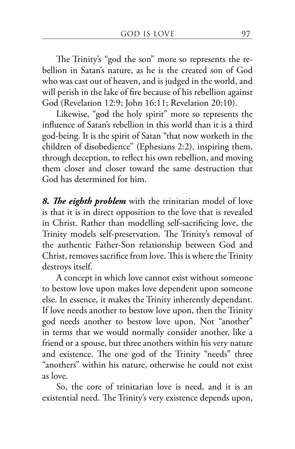The Trinity's "god the son" more so represents the rebellion in Satan's nature, as he is the created son of God who was cast out of heaven, and is judged in the world, and will perish in the lake of fire because of his rebellion against God (Revelation 12:9; John 16:11; Revelation 20:10).

Likewise, "god the holy spirit" more so represents the influence of Satan's rebellion in this world than it is a third god-being. It is the spirit of Satan "that now worketh in the children of disobedience" (Ephesians 2:2), inspiring them, through deception, to reflect his own rebellion, and moving them closer and closer toward the same destruction that God has determined for him.

*8. The eighth problem* with the trinitarian model of love is that it is in direct opposition to the love that is revealed in Christ. Rather than modelling self-sacrificing love, the Trinity models self-preservation. The Trinity's removal of the authentic Father-Son relationship between God and Christ, removes sacrifice from love. This is where the Trinity destroys itself.

A concept in which love cannot exist without someone to bestow love upon makes love dependent upon someone else. In essence, it makes the Trinity inherently dependant. If love needs another to bestow love upon, then the Trinity god needs another to bestow love upon. Not "another" in terms that we would normally consider another, like a friend or a spouse, but three anothers within his very nature and existence. The one god of the Trinity "needs" three "anothers" within his nature, otherwise he could not exist as love.

So, the core of trinitarian love is need, and it is an existential need. The Trinity's very existence depends upon,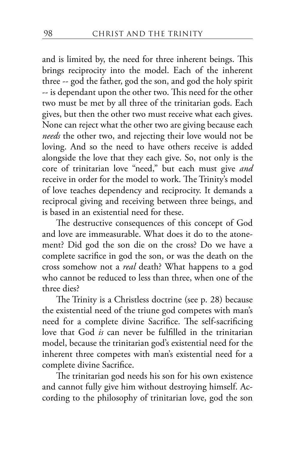and is limited by, the need for three inherent beings. This brings reciprocity into the model. Each of the inherent three -- god the father, god the son, and god the holy spirit -- is dependant upon the other two. This need for the other two must be met by all three of the trinitarian gods. Each gives, but then the other two must receive what each gives. None can reject what the other two are giving because each *needs* the other two, and rejecting their love would not be loving. And so the need to have others receive is added alongside the love that they each give. So, not only is the core of trinitarian love "need," but each must give *and*  receive in order for the model to work. The Trinity's model of love teaches dependency and reciprocity. It demands a reciprocal giving and receiving between three beings, and is based in an existential need for these.

The destructive consequences of this concept of God and love are immeasurable. What does it do to the atonement? Did god the son die on the cross? Do we have a complete sacrifice in god the son, or was the death on the cross somehow not a *real* death? What happens to a god who cannot be reduced to less than three, when one of the three dies?

The Trinity is a Christless doctrine (see p. 28) because the existential need of the triune god competes with man's need for a complete divine Sacrifice. The self-sacrificing love that God *is* can never be fulfilled in the trinitarian model, because the trinitarian god's existential need for the inherent three competes with man's existential need for a complete divine Sacrifice.

The trinitarian god needs his son for his own existence and cannot fully give him without destroying himself. According to the philosophy of trinitarian love, god the son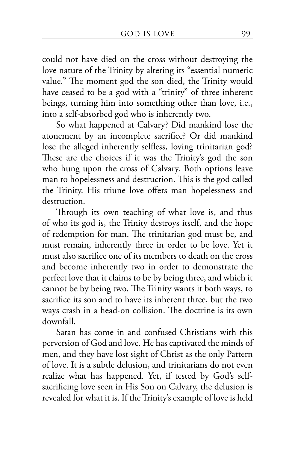could not have died on the cross without destroying the love nature of the Trinity by altering its "essential numeric value." The moment god the son died, the Trinity would have ceased to be a god with a "trinity" of three inherent beings, turning him into something other than love, i.e., into a self-absorbed god who is inherently two.

So what happened at Calvary? Did mankind lose the atonement by an incomplete sacrifice? Or did mankind lose the alleged inherently selfless, loving trinitarian god? These are the choices if it was the Trinity's god the son who hung upon the cross of Calvary. Both options leave man to hopelessness and destruction. This is the god called the Trinity. His triune love offers man hopelessness and destruction.

Through its own teaching of what love is, and thus of who its god is, the Trinity destroys itself, and the hope of redemption for man. The trinitarian god must be, and must remain, inherently three in order to be love. Yet it must also sacrifice one of its members to death on the cross and become inherently two in order to demonstrate the perfect love that it claims to be by being three, and which it cannot be by being two. The Trinity wants it both ways, to sacrifice its son and to have its inherent three, but the two ways crash in a head-on collision. The doctrine is its own downfall.

Satan has come in and confused Christians with this perversion of God and love. He has captivated the minds of men, and they have lost sight of Christ as the only Pattern of love. It is a subtle delusion, and trinitarians do not even realize what has happened. Yet, if tested by God's selfsacrificing love seen in His Son on Calvary, the delusion is revealed for what it is. If the Trinity's example of love is held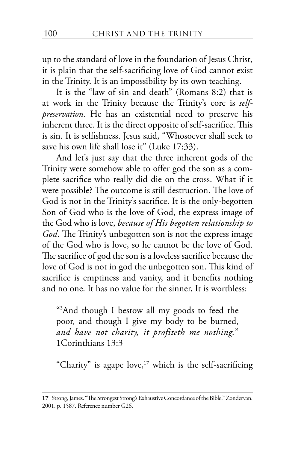up to the standard of love in the foundation of Jesus Christ, it is plain that the self-sacrificing love of God cannot exist in the Trinity. It is an impossibility by its own teaching.

It is the "law of sin and death" (Romans 8:2) that is at work in the Trinity because the Trinity's core is *selfpreservation.* He has an existential need to preserve his inherent three. It is the direct opposite of self-sacrifice. This is sin. It is selfishness. Jesus said, "Whosoever shall seek to save his own life shall lose it" (Luke 17:33).

And let's just say that the three inherent gods of the Trinity were somehow able to offer god the son as a complete sacrifice who really did die on the cross. What if it were possible? The outcome is still destruction. The love of God is not in the Trinity's sacrifice. It is the only-begotten Son of God who is the love of God, the express image of the God who is love, *because of His begotten relationship to God*. The Trinity's unbegotten son is not the express image of the God who is love, so he cannot be the love of God. The sacrifice of god the son is a loveless sacrifice because the love of God is not in god the unbegotten son. This kind of sacrifice is emptiness and vanity, and it benefits nothing and no one. It has no value for the sinner. It is worthless:

"3 And though I bestow all my goods to feed the poor, and though I give my body to be burned, *and have not charity, it profiteth me nothing.*" 1Corinthians 13:3

"Charity" is agape love,<sup>17</sup> which is the self-sacrificing

**<sup>17</sup>** Strong, James. "The Strongest Strong's Exhaustive Concordance of the Bible." Zondervan. 2001. p. 1587. Reference number G26.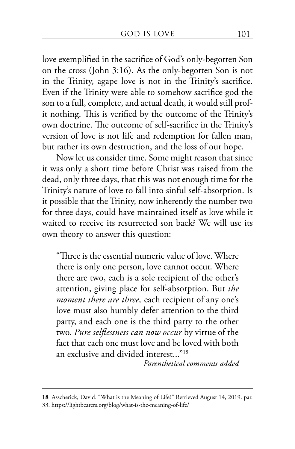love exemplified in the sacrifice of God's only-begotten Son on the cross (John 3:16). As the only-begotten Son is not in the Trinity, agape love is not in the Trinity's sacrifice. Even if the Trinity were able to somehow sacrifice god the son to a full, complete, and actual death, it would still profit nothing. This is verified by the outcome of the Trinity's own doctrine. The outcome of self-sacrifice in the Trinity's version of love is not life and redemption for fallen man, but rather its own destruction, and the loss of our hope.

Now let us consider time. Some might reason that since it was only a short time before Christ was raised from the dead, only three days, that this was not enough time for the Trinity's nature of love to fall into sinful self-absorption. Is it possible that the Trinity, now inherently the number two for three days, could have maintained itself as love while it waited to receive its resurrected son back? We will use its own theory to answer this question:

"Three is the essential numeric value of love. Where there is only one person, love cannot occur. Where there are two, each is a sole recipient of the other's attention, giving place for self-absorption. But *the moment there are three,* each recipient of any one's love must also humbly defer attention to the third party, and each one is the third party to the other two. *Pure selflessness can now occur* by virtue of the fact that each one must love and be loved with both an exclusive and divided interest..."18

*Parenthetical comments added*

**<sup>18</sup>** Asscherick, David. "What is the Meaning of Life?" Retrieved August 14, 2019. par. 33. https://lightbearers.org/blog/what-is-the-meaning-of-life/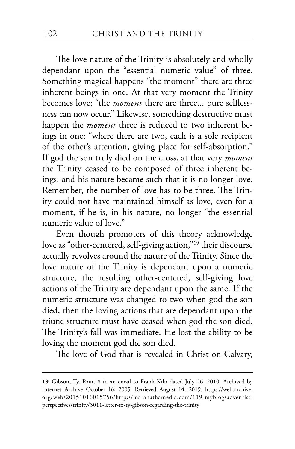The love nature of the Trinity is absolutely and wholly dependant upon the "essential numeric value" of three. Something magical happens "the moment" there are three inherent beings in one. At that very moment the Trinity becomes love: "the *moment* there are three... pure selflessness can now occur." Likewise, something destructive must happen the *moment* three is reduced to two inherent beings in one: "where there are two, each is a sole recipient of the other's attention, giving place for self-absorption." If god the son truly died on the cross, at that very *moment* the Trinity ceased to be composed of three inherent beings, and his nature became such that it is no longer love. Remember, the number of love has to be three. The Trinity could not have maintained himself as love, even for a moment, if he is, in his nature, no longer "the essential numeric value of love."

Even though promoters of this theory acknowledge love as "other-centered, self-giving action,"<sup>19</sup> their discourse actually revolves around the nature of the Trinity. Since the love nature of the Trinity is dependant upon a numeric structure, the resulting other-centered, self-giving love actions of the Trinity are dependant upon the same. If the numeric structure was changed to two when god the son died, then the loving actions that are dependant upon the triune structure must have ceased when god the son died. The Trinity's fall was immediate. He lost the ability to be loving the moment god the son died.

The love of God that is revealed in Christ on Calvary,

**<sup>19</sup>** Gibson, Ty. Point 8 in an email to Frank Kiln dated July 26, 2010. Archived by Internet Archive October 16, 2005. Retrieved August 14, 2019. https://web.archive. org/web/20151016015756/http://maranathamedia.com/119-myblog/adventistperspectives/trinity/3011-letter-to-ty-gibson-regarding-the-trinity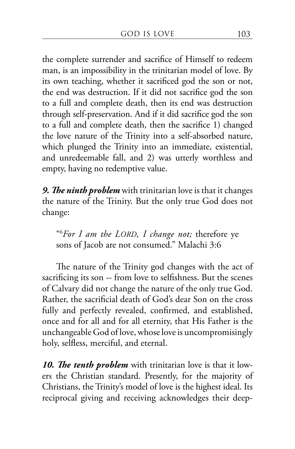the complete surrender and sacrifice of Himself to redeem man, is an impossibility in the trinitarian model of love. By its own teaching, whether it sacrificed god the son or not, the end was destruction. If it did not sacrifice god the son to a full and complete death, then its end was destruction through self-preservation. And if it did sacrifice god the son to a full and complete death, then the sacrifice 1) changed the love nature of the Trinity into a self-absorbed nature, which plunged the Trinity into an immediate, existential, and unredeemable fall, and 2) was utterly worthless and empty, having no redemptive value.

*9. The ninth problem* with trinitarian love is that it changes the nature of the Trinity. But the only true God does not change:

"6 *For I am the LORD, I change not;* therefore ye sons of Jacob are not consumed." Malachi 3:6

The nature of the Trinity god changes with the act of sacrificing its son -- from love to selfishness. But the scenes of Calvary did not change the nature of the only true God. Rather, the sacrificial death of God's dear Son on the cross fully and perfectly revealed, confirmed, and established, once and for all and for all eternity, that His Father is the unchangeable God of love, whose love is uncompromisingly holy, selfless, merciful, and eternal.

*10. The tenth problem* with trinitarian love is that it lowers the Christian standard. Presently, for the majority of Christians, the Trinity's model of love is the highest ideal. Its reciprocal giving and receiving acknowledges their deep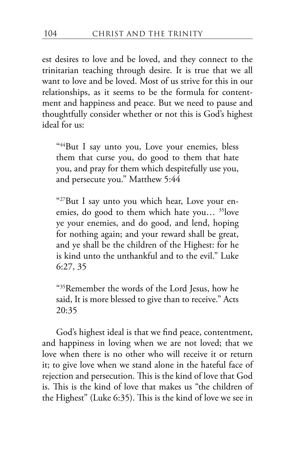est desires to love and be loved, and they connect to the trinitarian teaching through desire. It is true that we all want to love and be loved. Most of us strive for this in our relationships, as it seems to be the formula for contentment and happiness and peace. But we need to pause and thoughtfully consider whether or not this is God's highest ideal for us:

"<sup>44</sup>But I say unto you, Love your enemies, bless them that curse you, do good to them that hate you, and pray for them which despitefully use you, and persecute you." Matthew 5:44

"27But I say unto you which hear, Love your enemies, do good to them which hate you… 35love ye your enemies, and do good, and lend, hoping for nothing again; and your reward shall be great, and ye shall be the children of the Highest: for he is kind unto the unthankful and to the evil." Luke 6:27, 35

"35Remember the words of the Lord Jesus, how he said, It is more blessed to give than to receive." Acts 20:35

God's highest ideal is that we find peace, contentment, and happiness in loving when we are not loved; that we love when there is no other who will receive it or return it; to give love when we stand alone in the hateful face of rejection and persecution. This is the kind of love that God is. This is the kind of love that makes us "the children of the Highest" (Luke 6:35). This is the kind of love we see in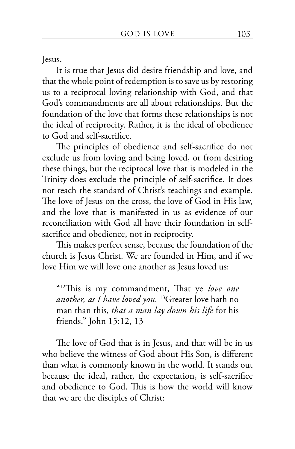Jesus.

It is true that Jesus did desire friendship and love, and that the whole point of redemption is to save us by restoring us to a reciprocal loving relationship with God, and that God's commandments are all about relationships. But the foundation of the love that forms these relationships is not the ideal of reciprocity. Rather, it is the ideal of obedience to God and self-sacrifice.

The principles of obedience and self-sacrifice do not exclude us from loving and being loved, or from desiring these things, but the reciprocal love that is modeled in the Trinity does exclude the principle of self-sacrifice. It does not reach the standard of Christ's teachings and example. The love of Jesus on the cross, the love of God in His law, and the love that is manifested in us as evidence of our reconciliation with God all have their foundation in selfsacrifice and obedience, not in reciprocity.

This makes perfect sense, because the foundation of the church is Jesus Christ. We are founded in Him, and if we love Him we will love one another as Jesus loved us:

"12This is my commandment, That ye *love one another, as I have loved you.* 13Greater love hath no man than this, *that a man lay down his life* for his friends." John 15:12, 13

The love of God that is in Jesus, and that will be in us who believe the witness of God about His Son, is different than what is commonly known in the world. It stands out because the ideal, rather, the expectation, is self-sacrifice and obedience to God. This is how the world will know that we are the disciples of Christ: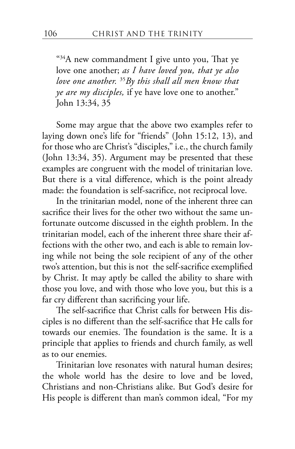$434A$  new commandment I give unto you, That ye love one another; *as I have loved you, that ye also love one another.* <sup>35</sup>*By this shall all men know that ye are my disciples,* if ye have love one to another." John 13:34, 35

Some may argue that the above two examples refer to laying down one's life for "friends" (John 15:12, 13), and for those who are Christ's "disciples," i.e., the church family (John 13:34, 35). Argument may be presented that these examples are congruent with the model of trinitarian love. But there is a vital difference, which is the point already made: the foundation is self-sacrifice, not reciprocal love.

In the trinitarian model, none of the inherent three can sacrifice their lives for the other two without the same unfortunate outcome discussed in the eighth problem. In the trinitarian model, each of the inherent three share their affections with the other two, and each is able to remain loving while not being the sole recipient of any of the other two's attention, but this is not the self-sacrifice exemplified by Christ. It may aptly be called the ability to share with those you love, and with those who love you, but this is a far cry different than sacrificing your life.

The self-sacrifice that Christ calls for between His disciples is no different than the self-sacrifice that He calls for towards our enemies. The foundation is the same. It is a principle that applies to friends and church family, as well as to our enemies.

Trinitarian love resonates with natural human desires; the whole world has the desire to love and be loved, Christians and non-Christians alike. But God's desire for His people is different than man's common ideal, "For my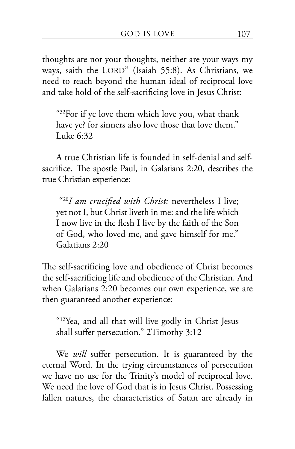thoughts are not your thoughts, neither are your ways my ways, saith the LORD" (Isaiah 55:8). As Christians, we need to reach beyond the human ideal of reciprocal love and take hold of the self-sacrificing love in Jesus Christ:

"32For if ye love them which love you, what thank have ye? for sinners also love those that love them." Luke 6:32

A true Christian life is founded in self-denial and selfsacrifice. The apostle Paul, in Galatians 2:20, describes the true Christian experience:

 "20*I am crucified with Christ:* nevertheless I live; yet not I, but Christ liveth in me: and the life which I now live in the flesh I live by the faith of the Son of God, who loved me, and gave himself for me." Galatians 2:20

The self-sacrificing love and obedience of Christ becomes the self-sacrificing life and obedience of the Christian. And when Galatians 2:20 becomes our own experience, we are then guaranteed another experience:

"12Yea, and all that will live godly in Christ Jesus shall suffer persecution." 2Timothy 3:12

We *will* suffer persecution. It is guaranteed by the eternal Word. In the trying circumstances of persecution we have no use for the Trinity's model of reciprocal love. We need the love of God that is in Jesus Christ. Possessing fallen natures, the characteristics of Satan are already in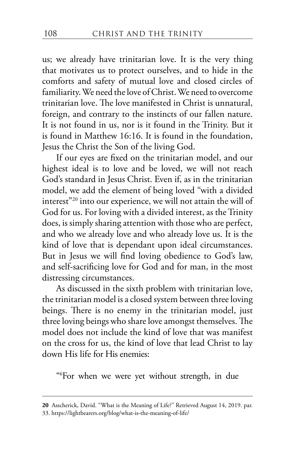us; we already have trinitarian love. It is the very thing that motivates us to protect ourselves, and to hide in the comforts and safety of mutual love and closed circles of familiarity. We need the love of Christ. We need to overcome trinitarian love. The love manifested in Christ is unnatural, foreign, and contrary to the instincts of our fallen nature. It is not found in us, nor is it found in the Trinity. But it is found in Matthew 16:16. It is found in the foundation, Jesus the Christ the Son of the living God.

If our eyes are fixed on the trinitarian model, and our highest ideal is to love and be loved, we will not reach God's standard in Jesus Christ. Even if, as in the trinitarian model, we add the element of being loved "with a divided interest"<sup>20</sup> into our experience, we will not attain the will of God for us. For loving with a divided interest, as the Trinity does, is simply sharing attention with those who are perfect, and who we already love and who already love us. It is the kind of love that is dependant upon ideal circumstances. But in Jesus we will find loving obedience to God's law, and self-sacrificing love for God and for man, in the most distressing circumstances.

As discussed in the sixth problem with trinitarian love, the trinitarian model is a closed system between three loving beings. There is no enemy in the trinitarian model, just three loving beings who share love amongst themselves. The model does not include the kind of love that was manifest on the cross for us, the kind of love that lead Christ to lay down His life for His enemies:

"6 For when we were yet without strength, in due

**<sup>20</sup>** Asscherick, David. "What is the Meaning of Life?" Retrieved August 14, 2019. par. 33. https://lightbearers.org/blog/what-is-the-meaning-of-life/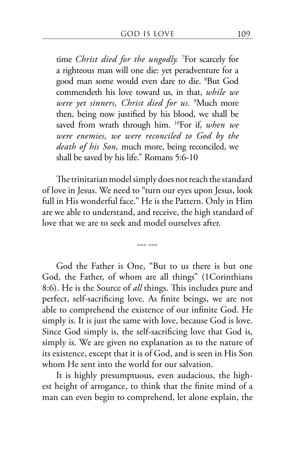time *Christ died for the ungodly.* <sup>7</sup> For scarcely for a righteous man will one die: yet peradventure for a good man some would even dare to die. <sup>8</sup> But God commendeth his love toward us, in that, *while we were yet sinners, Christ died for us.* <sup>9</sup> Much more then, being now justified by his blood, we shall be saved from wrath through him. 10For if, *when we were enemies, we were reconciled to God by the death of his Son,* much more, being reconciled, we shall be saved by his life." Romans 5:6-10

The trinitarian model simply does not reach the standard of love in Jesus. We need to "turn our eyes upon Jesus, look full in His wonderful face." He is the Pattern. Only in Him are we able to understand, and receive, the high standard of love that we are to seek and model ourselves after.

--- ---

God the Father is One, "But to us there is but one God, the Father, of whom are all things" (1Corinthians 8:6). He is the Source of *all* things. This includes pure and perfect, self-sacrificing love. As finite beings, we are not able to comprehend the existence of our infinite God. He simply is. It is just the same with love, because God is love. Since God simply is, the self-sacrificing love that God is, simply is. We are given no explanation as to the nature of its existence, except that it is of God, and is seen in His Son whom He sent into the world for our salvation.

It is highly presumptuous, even audacious, the highest height of arrogance, to think that the finite mind of a man can even begin to comprehend, let alone explain, the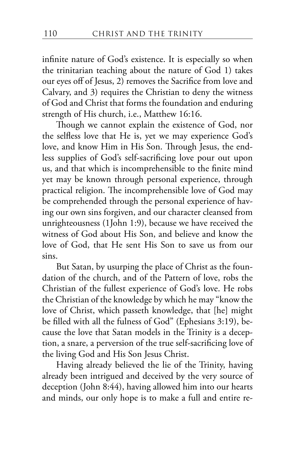infinite nature of God's existence. It is especially so when the trinitarian teaching about the nature of God 1) takes our eyes off of Jesus, 2) removes the Sacrifice from love and Calvary, and 3) requires the Christian to deny the witness of God and Christ that forms the foundation and enduring strength of His church, i.e., Matthew 16:16.

Though we cannot explain the existence of God, nor the selfless love that He is, yet we may experience God's love, and know Him in His Son. Through Jesus, the endless supplies of God's self-sacrificing love pour out upon us, and that which is incomprehensible to the finite mind yet may be known through personal experience, through practical religion. The incomprehensible love of God may be comprehended through the personal experience of having our own sins forgiven, and our character cleansed from unrighteousness (1John 1:9), because we have received the witness of God about His Son, and believe and know the love of God, that He sent His Son to save us from our sins.

But Satan, by usurping the place of Christ as the foundation of the church, and of the Pattern of love, robs the Christian of the fullest experience of God's love. He robs the Christian of the knowledge by which he may "know the love of Christ, which passeth knowledge, that [he] might be filled with all the fulness of God" (Ephesians 3:19), because the love that Satan models in the Trinity is a deception, a snare, a perversion of the true self-sacrificing love of the living God and His Son Jesus Christ.

Having already believed the lie of the Trinity, having already been intrigued and deceived by the very source of deception (John 8:44), having allowed him into our hearts and minds, our only hope is to make a full and entire re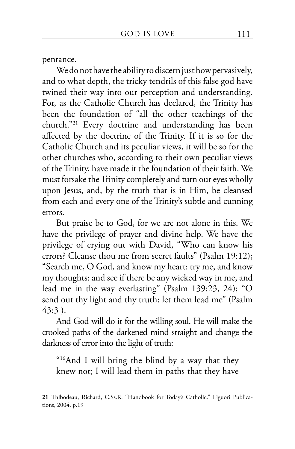pentance.

We do not have the ability to discern just how pervasively, and to what depth, the tricky tendrils of this false god have twined their way into our perception and understanding. For, as the Catholic Church has declared, the Trinity has been the foundation of "all the other teachings of the church."21 Every doctrine and understanding has been affected by the doctrine of the Trinity. If it is so for the Catholic Church and its peculiar views, it will be so for the other churches who, according to their own peculiar views of the Trinity, have made it the foundation of their faith. We must forsake the Trinity completely and turn our eyes wholly upon Jesus, and, by the truth that is in Him, be cleansed from each and every one of the Trinity's subtle and cunning errors.

But praise be to God, for we are not alone in this. We have the privilege of prayer and divine help. We have the privilege of crying out with David, "Who can know his errors? Cleanse thou me from secret faults" (Psalm 19:12); "Search me, O God, and know my heart: try me, and know my thoughts: and see if there be any wicked way in me, and lead me in the way everlasting" (Psalm 139:23, 24); "O send out thy light and thy truth: let them lead me" (Psalm 43:3 ).

And God will do it for the willing soul. He will make the crooked paths of the darkened mind straight and change the darkness of error into the light of truth:

"16And I will bring the blind by a way that they knew not; I will lead them in paths that they have

**<sup>21</sup>** Thibodeau, Richard, C.Ss.R. "Handbook for Today's Catholic." Liguori Publications, 2004. p.19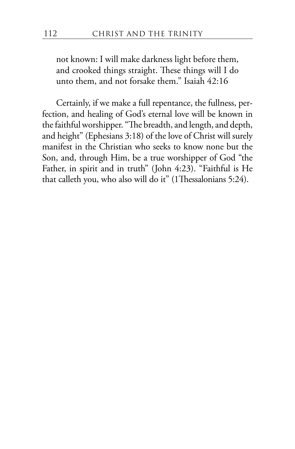not known: I will make darkness light before them, and crooked things straight. These things will I do unto them, and not forsake them." Isaiah 42:16

Certainly, if we make a full repentance, the fullness, perfection, and healing of God's eternal love will be known in the faithful worshipper. "The breadth, and length, and depth, and height" (Ephesians 3:18) of the love of Christ will surely manifest in the Christian who seeks to know none but the Son, and, through Him, be a true worshipper of God "the Father, in spirit and in truth" (John 4:23). "Faithful is He that calleth you, who also will do it" (1Thessalonians 5:24).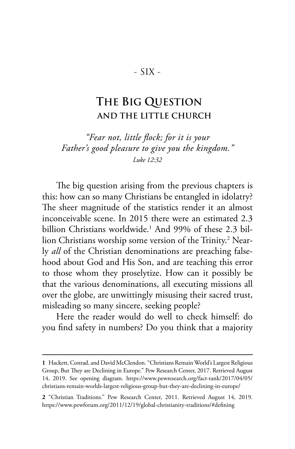## - SIX -

## **THE BIG QUESTION AND THE LITTLE CHURCH**

*"Fear not, little flock; for it is your Father's good pleasure to give you the kingdom." Luke 12:32*

The big question arising from the previous chapters is this: how can so many Christians be entangled in idolatry? The sheer magnitude of the statistics render it an almost inconceivable scene. In 2015 there were an estimated 2.3 billion Christians worldwide.1 And 99% of these 2.3 billion Christians worship some version of the Trinity.<sup>2</sup> Nearly *all* of the Christian denominations are preaching falsehood about God and His Son, and are teaching this error to those whom they proselytize. How can it possibly be that the various denominations, all executing missions all over the globe, are unwittingly misusing their sacred trust, misleading so many sincere, seeking people?

Here the reader would do well to check himself: do you find safety in numbers? Do you think that a majority

**<sup>1</sup>** Hackett, Conrad, and David McClendon. "Christians Remain World's Largest Religious Group, But They are Declining in Europe." Pew Research Center, 2017. Retrieved August 14, 2019. See opening diagram. https://www.pewresearch.org/fact-tank/2017/04/05/ christians-remain-worlds-largest-religious-group-but-they-are-declining-in-europe/

**<sup>2</sup>** "Christian Traditions." Pew Research Center, 2011. Retrieved August 14, 2019. https://www.pewforum.org/2011/12/19/global-christianity-traditions/#defining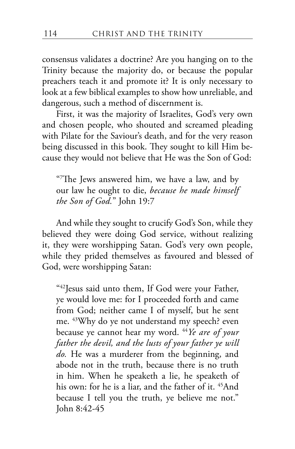consensus validates a doctrine? Are you hanging on to the Trinity because the majority do, or because the popular preachers teach it and promote it? It is only necessary to look at a few biblical examples to show how unreliable, and dangerous, such a method of discernment is.

First, it was the majority of Israelites, God's very own and chosen people, who shouted and screamed pleading with Pilate for the Saviour's death, and for the very reason being discussed in this book. They sought to kill Him because they would not believe that He was the Son of God:

"7 The Jews answered him, we have a law, and by our law he ought to die, *because he made himself the Son of God.*" John 19:7

And while they sought to crucify God's Son, while they believed they were doing God service, without realizing it, they were worshipping Satan. God's very own people, while they prided themselves as favoured and blessed of God, were worshipping Satan:

"42Jesus said unto them, If God were your Father, ye would love me: for I proceeded forth and came from God; neither came I of myself, but he sent me. 43Why do ye not understand my speech? even because ye cannot hear my word. 44*Ye are of your father the devil, and the lusts of your father ye will do.* He was a murderer from the beginning, and abode not in the truth, because there is no truth in him. When he speaketh a lie, he speaketh of his own: for he is a liar, and the father of it. <sup>45</sup>And because I tell you the truth, ye believe me not." John 8:42-45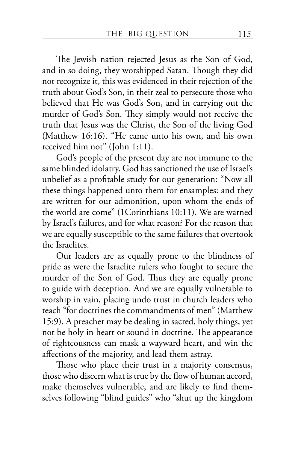The Jewish nation rejected Jesus as the Son of God, and in so doing, they worshipped Satan. Though they did not recognize it, this was evidenced in their rejection of the truth about God's Son, in their zeal to persecute those who believed that He was God's Son, and in carrying out the murder of God's Son. They simply would not receive the truth that Jesus was the Christ, the Son of the living God (Matthew 16:16). "He came unto his own, and his own received him not" (John 1:11).

God's people of the present day are not immune to the same blinded idolatry. God has sanctioned the use of Israel's unbelief as a profitable study for our generation: "Now all these things happened unto them for ensamples: and they are written for our admonition, upon whom the ends of the world are come" (1Corinthians 10:11). We are warned by Israel's failures, and for what reason? For the reason that we are equally susceptible to the same failures that overtook the Israelites.

Our leaders are as equally prone to the blindness of pride as were the Israelite rulers who fought to secure the murder of the Son of God. Thus they are equally prone to guide with deception. And we are equally vulnerable to worship in vain, placing undo trust in church leaders who teach "for doctrines the commandments of men" (Matthew 15:9). A preacher may be dealing in sacred, holy things, yet not be holy in heart or sound in doctrine. The appearance of righteousness can mask a wayward heart, and win the affections of the majority, and lead them astray.

Those who place their trust in a majority consensus, those who discern what is true by the flow of human accord, make themselves vulnerable, and are likely to find themselves following "blind guides" who "shut up the kingdom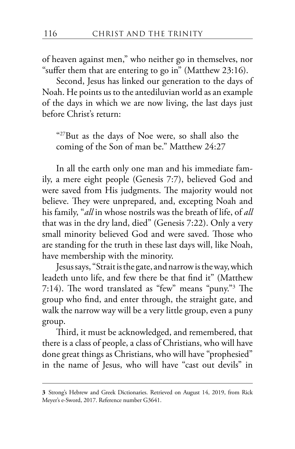of heaven against men," who neither go in themselves, nor "suffer them that are entering to go in" (Matthew 23:16).

Second, Jesus has linked our generation to the days of Noah. He points us to the antediluvian world as an example of the days in which we are now living, the last days just before Christ's return:

"27But as the days of Noe were, so shall also the coming of the Son of man be." Matthew 24:27

In all the earth only one man and his immediate family, a mere eight people (Genesis 7:7), believed God and were saved from His judgments. The majority would not believe. They were unprepared, and, excepting Noah and his family, "*all* in whose nostrils was the breath of life, of *all* that was in the dry land, died" (Genesis 7:22). Only a very small minority believed God and were saved. Those who are standing for the truth in these last days will, like Noah, have membership with the minority.

Jesus says, "Strait is the gate, and narrow is the way, which leadeth unto life, and few there be that find it" (Matthew 7:14). The word translated as "few" means "puny."3 The group who find, and enter through, the straight gate, and walk the narrow way will be a very little group, even a puny group.

Third, it must be acknowledged, and remembered, that there is a class of people, a class of Christians, who will have done great things as Christians, who will have "prophesied" in the name of Jesus, who will have "cast out devils" in

**<sup>3</sup>** Strong's Hebrew and Greek Dictionaries. Retrieved on August 14, 2019, from Rick Meyer's e-Sword, 2017. Reference number G3641.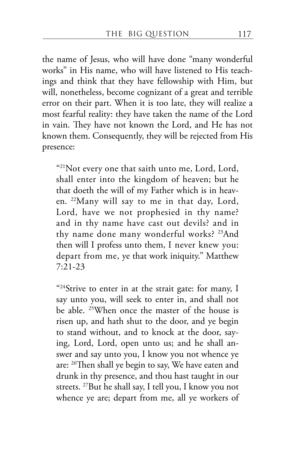the name of Jesus, who will have done "many wonderful works" in His name, who will have listened to His teachings and think that they have fellowship with Him, but will, nonetheless, become cognizant of a great and terrible error on their part. When it is too late, they will realize a most fearful reality: they have taken the name of the Lord in vain. They have not known the Lord, and He has not known them. Consequently, they will be rejected from His presence:

"21Not every one that saith unto me, Lord, Lord, shall enter into the kingdom of heaven; but he that doeth the will of my Father which is in heaven. 22Many will say to me in that day, Lord, Lord, have we not prophesied in thy name? and in thy name have cast out devils? and in thy name done many wonderful works? <sup>23</sup>And then will I profess unto them, I never knew you: depart from me, ye that work iniquity." Matthew 7:21-23

"<sup>24</sup>Strive to enter in at the strait gate: for many, I say unto you, will seek to enter in, and shall not be able. 25When once the master of the house is risen up, and hath shut to the door, and ye begin to stand without, and to knock at the door, saying, Lord, Lord, open unto us; and he shall answer and say unto you, I know you not whence ye are: 26Then shall ye begin to say, We have eaten and drunk in thy presence, and thou hast taught in our streets. 27But he shall say, I tell you, I know you not whence ye are; depart from me, all ye workers of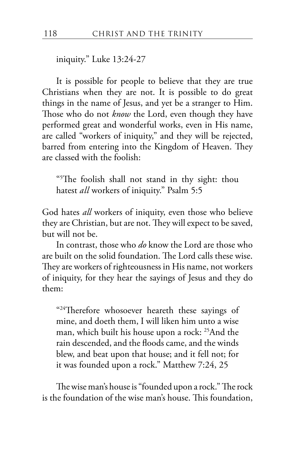iniquity." Luke 13:24-27

It is possible for people to believe that they are true Christians when they are not. It is possible to do great things in the name of Jesus, and yet be a stranger to Him. Those who do not *know* the Lord, even though they have performed great and wonderful works, even in His name, are called "workers of iniquity," and they will be rejected, barred from entering into the Kingdom of Heaven. They are classed with the foolish:

"5 The foolish shall not stand in thy sight: thou hatest *all* workers of iniquity." Psalm 5:5

God hates *all* workers of iniquity, even those who believe they are Christian, but are not. They will expect to be saved, but will not be.

In contrast, those who *do* know the Lord are those who are built on the solid foundation. The Lord calls these wise. They are workers of righteousness in His name, not workers of iniquity, for they hear the sayings of Jesus and they do them:

"<sup>24</sup>Therefore whosoever heareth these sayings of mine, and doeth them, I will liken him unto a wise man, which built his house upon a rock: 25And the rain descended, and the floods came, and the winds blew, and beat upon that house; and it fell not; for it was founded upon a rock." Matthew 7:24, 25

The wise man's house is "founded upon a rock." The rock is the foundation of the wise man's house. This foundation,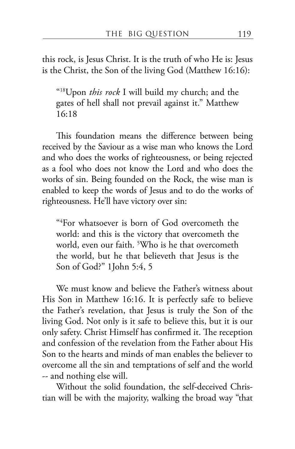this rock, is Jesus Christ. It is the truth of who He is: Jesus is the Christ, the Son of the living God (Matthew 16:16):

"18Upon *this rock* I will build my church; and the gates of hell shall not prevail against it." Matthew 16:18

This foundation means the difference between being received by the Saviour as a wise man who knows the Lord and who does the works of righteousness, or being rejected as a fool who does not know the Lord and who does the works of sin. Being founded on the Rock, the wise man is enabled to keep the words of Jesus and to do the works of righteousness. He'll have victory over sin:

"4 For whatsoever is born of God overcometh the world: and this is the victory that overcometh the world, even our faith. 5 Who is he that overcometh the world, but he that believeth that Jesus is the Son of God?" 1John 5:4, 5

We must know and believe the Father's witness about His Son in Matthew 16:16. It is perfectly safe to believe the Father's revelation, that Jesus is truly the Son of the living God. Not only is it safe to believe this, but it is our only safety. Christ Himself has confirmed it. The reception and confession of the revelation from the Father about His Son to the hearts and minds of man enables the believer to overcome all the sin and temptations of self and the world -- and nothing else will.

Without the solid foundation, the self-deceived Christian will be with the majority, walking the broad way "that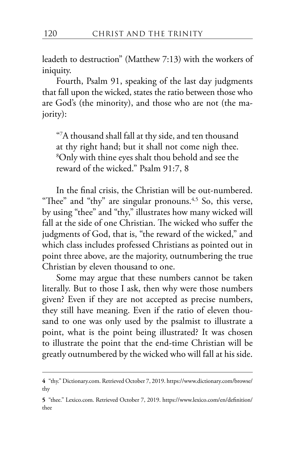leadeth to destruction" (Matthew 7:13) with the workers of iniquity.

Fourth, Psalm 91, speaking of the last day judgments that fall upon the wicked, states the ratio between those who are God's (the minority), and those who are not (the majority):

"7 A thousand shall fall at thy side, and ten thousand at thy right hand; but it shall not come nigh thee. 8 Only with thine eyes shalt thou behold and see the reward of the wicked." Psalm 91:7, 8

In the final crisis, the Christian will be out-numbered. "Thee" and "thy" are singular pronouns. $4,5$  So, this verse, by using "thee" and "thy," illustrates how many wicked will fall at the side of one Christian. The wicked who suffer the judgments of God, that is, "the reward of the wicked," and which class includes professed Christians as pointed out in point three above, are the majority, outnumbering the true Christian by eleven thousand to one.

Some may argue that these numbers cannot be taken literally. But to those I ask, then why were those numbers given? Even if they are not accepted as precise numbers, they still have meaning. Even if the ratio of eleven thousand to one was only used by the psalmist to illustrate a point, what is the point being illustrated? It was chosen to illustrate the point that the end-time Christian will be greatly outnumbered by the wicked who will fall at his side.

**<sup>4</sup>** "thy." Dictionary.com. Retrieved October 7, 2019. https://www.dictionary.com/browse/ thy

**<sup>5</sup>** "thee." Lexico.com. Retrieved October 7, 2019. https://www.lexico.com/en/definition/ thee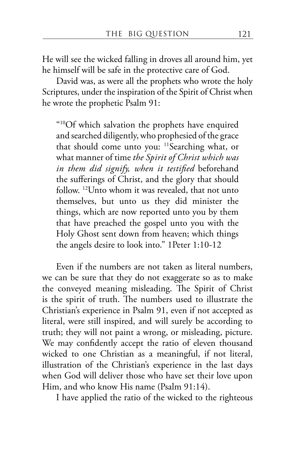He will see the wicked falling in droves all around him, yet he himself will be safe in the protective care of God.

David was, as were all the prophets who wrote the holy Scriptures, under the inspiration of the Spirit of Christ when he wrote the prophetic Psalm 91:

"10Of which salvation the prophets have enquired and searched diligently, who prophesied of the grace that should come unto you: 11Searching what, or what manner of time *the Spirit of Christ which was in them did signify, when it testified* beforehand the sufferings of Christ, and the glory that should follow. 12Unto whom it was revealed, that not unto themselves, but unto us they did minister the things, which are now reported unto you by them that have preached the gospel unto you with the Holy Ghost sent down from heaven; which things the angels desire to look into." 1Peter 1:10-12

Even if the numbers are not taken as literal numbers, we can be sure that they do not exaggerate so as to make the conveyed meaning misleading. The Spirit of Christ is the spirit of truth. The numbers used to illustrate the Christian's experience in Psalm 91, even if not accepted as literal, were still inspired, and will surely be according to truth; they will not paint a wrong, or misleading, picture. We may confidently accept the ratio of eleven thousand wicked to one Christian as a meaningful, if not literal, illustration of the Christian's experience in the last days when God will deliver those who have set their love upon Him, and who know His name (Psalm 91:14).

I have applied the ratio of the wicked to the righteous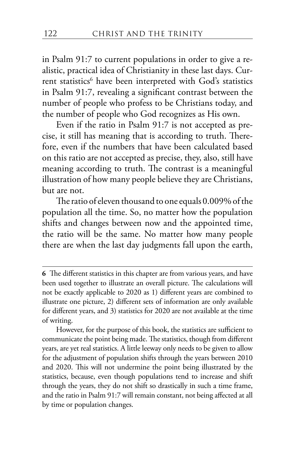in Psalm 91:7 to current populations in order to give a realistic, practical idea of Christianity in these last days. Current statistics<sup>6</sup> have been interpreted with God's statistics in Psalm 91:7, revealing a significant contrast between the number of people who profess to be Christians today, and the number of people who God recognizes as His own.

Even if the ratio in Psalm 91:7 is not accepted as precise, it still has meaning that is according to truth. Therefore, even if the numbers that have been calculated based on this ratio are not accepted as precise, they, also, still have meaning according to truth. The contrast is a meaningful illustration of how many people believe they are Christians, but are not.

The ratio of eleven thousand to one equals 0.009% of the population all the time. So, no matter how the population shifts and changes between now and the appointed time, the ratio will be the same. No matter how many people there are when the last day judgments fall upon the earth,

However, for the purpose of this book, the statistics are sufficient to communicate the point being made. The statistics, though from different years, are yet real statistics. A little leeway only needs to be given to allow for the adjustment of population shifts through the years between 2010 and 2020. This will not undermine the point being illustrated by the statistics, because, even though populations tend to increase and shift through the years, they do not shift so drastically in such a time frame, and the ratio in Psalm 91:7 will remain constant, not being affected at all by time or population changes.

**<sup>6</sup>** The different statistics in this chapter are from various years, and have been used together to illustrate an overall picture. The calculations will not be exactly applicable to 2020 as 1) different years are combined to illustrate one picture, 2) different sets of information are only available for different years, and 3) statistics for 2020 are not available at the time of writing.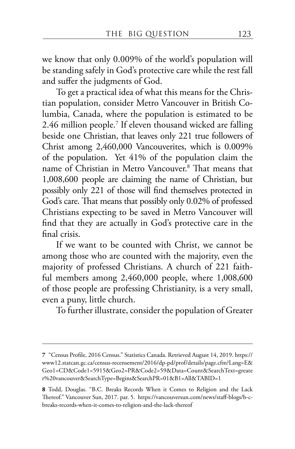we know that only 0.009% of the world's population will be standing safely in God's protective care while the rest fall and suffer the judgments of God.

To get a practical idea of what this means for the Christian population, consider Metro Vancouver in British Columbia, Canada, where the population is estimated to be 2.46 million people.<sup>7</sup> If eleven thousand wicked are falling beside one Christian, that leaves only 221 true followers of Christ among 2,460,000 Vancouverites, which is 0.009% of the population. Yet 41% of the population claim the name of Christian in Metro Vancouver.8 That means that 1,008,600 people are claiming the name of Christian, but possibly only 221 of those will find themselves protected in God's care. That means that possibly only 0.02% of professed Christians expecting to be saved in Metro Vancouver will find that they are actually in God's protective care in the final crisis.

If we want to be counted with Christ, we cannot be among those who are counted with the majority, even the majority of professed Christians. A church of 221 faithful members among 2,460,000 people, where 1,008,600 of those people are professing Christianity, is a very small, even a puny, little church.

To further illustrate, consider the population of Greater

**<sup>7</sup>** "Census Profile, 2016 Census." Statistics Canada. Retrieved August 14, 2019. https:// www12.statcan.gc.ca/census-recensement/2016/dp-pd/prof/details/page.cfm?Lang=E& Geo1=CD&Code1=5915&Geo2=PR&Code2=59&Data=Count&SearchText=greate r%20vancouver&SearchType=Begins&SearchPR=01&B1=All&TABID=1

**<sup>8</sup>** Todd, Douglas. "B.C. Breaks Records When it Comes to Religion and the Lack Thereof." Vancouver Sun, 2017. par. 5. https://vancouversun.com/news/staff-blogs/b-cbreaks-records-when-it-comes-to-religion-and-the-lack-thereof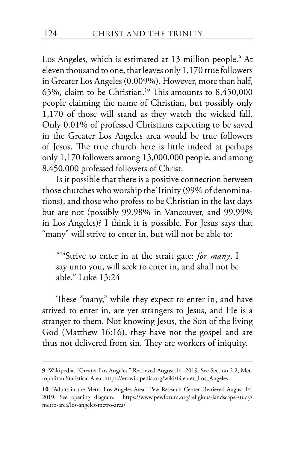Los Angeles, which is estimated at 13 million people.<sup>9</sup> At eleven thousand to one, that leaves only 1,170 true followers in Greater Los Angeles (0.009%). However, more than half, 65%, claim to be Christian.<sup>10</sup> This amounts to  $8,450,000$ people claiming the name of Christian, but possibly only 1,170 of those will stand as they watch the wicked fall. Only 0.01% of professed Christians expecting to be saved in the Greater Los Angeles area would be true followers of Jesus. The true church here is little indeed at perhaps only 1,170 followers among 13,000,000 people, and among 8,450,000 professed followers of Christ.

Is it possible that there is a positive connection between those churches who worship the Trinity (99% of denominations), and those who profess to be Christian in the last days but are not (possibly 99.98% in Vancouver, and 99.99% in Los Angeles)? I think it is possible. For Jesus says that "many" will strive to enter in, but will not be able to:

"24Strive to enter in at the strait gate: *for many*, I say unto you, will seek to enter in, and shall not be able." Luke 13:24

These "many," while they expect to enter in, and have strived to enter in, are yet strangers to Jesus, and He is a stranger to them. Not knowing Jesus, the Son of the living God (Matthew 16:16), they have not the gospel and are thus not delivered from sin. They are workers of iniquity.

**<sup>9</sup>** Wikipedia. "Greater Los Angeles." Retrieved August 14, 2019. See Section 2.2, Metropolitan Statistical Area. https://en.wikipedia.org/wiki/Greater\_Los\_Angeles

**<sup>10</sup>** "Adults in the Metro Los Angeles Area." Pew Research Center. Retrieved August 14, 2019. See opening diagram. https://www.pewforum.org/religious-landscape-study/ metro-area/los-angeles-metro-area/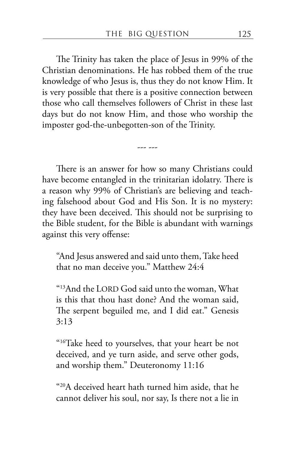The Trinity has taken the place of Jesus in 99% of the Christian denominations. He has robbed them of the true knowledge of who Jesus is, thus they do not know Him. It is very possible that there is a positive connection between those who call themselves followers of Christ in these last days but do not know Him, and those who worship the imposter god-the-unbegotten-son of the Trinity.

There is an answer for how so many Christians could have become entangled in the trinitarian idolatry. There is a reason why 99% of Christian's are believing and teaching falsehood about God and His Son. It is no mystery: they have been deceived. This should not be surprising to the Bible student, for the Bible is abundant with warnings against this very offense:

--- ---

"And Jesus answered and said unto them, Take heed that no man deceive you." Matthew 24:4

"13And the LORD God said unto the woman, What is this that thou hast done? And the woman said, The serpent beguiled me, and I did eat." Genesis 3:13

"16Take heed to yourselves, that your heart be not deceived, and ye turn aside, and serve other gods, and worship them." Deuteronomy 11:16

"20A deceived heart hath turned him aside, that he cannot deliver his soul, nor say, Is there not a lie in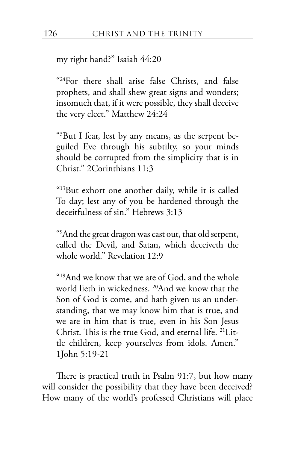my right hand?" Isaiah 44:20

"24For there shall arise false Christs, and false prophets, and shall shew great signs and wonders; insomuch that, if it were possible, they shall deceive the very elect." Matthew 24:24

"3 But I fear, lest by any means, as the serpent beguiled Eve through his subtilty, so your minds should be corrupted from the simplicity that is in Christ." 2Corinthians 11:3

"13But exhort one another daily, while it is called To day; lest any of you be hardened through the deceitfulness of sin." Hebrews 3:13

"9 And the great dragon was cast out, that old serpent, called the Devil, and Satan, which deceiveth the whole world." Revelation 12:9

"19And we know that we are of God, and the whole world lieth in wickedness. 20And we know that the Son of God is come, and hath given us an understanding, that we may know him that is true, and we are in him that is true, even in his Son Jesus Christ. This is the true God, and eternal life. 21Little children, keep yourselves from idols. Amen." 1John 5:19-21

There is practical truth in Psalm 91:7, but how many will consider the possibility that they have been deceived? How many of the world's professed Christians will place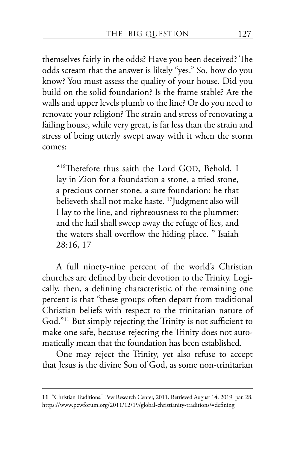themselves fairly in the odds? Have you been deceived? The odds scream that the answer is likely "yes." So, how do you know? You must assess the quality of your house. Did you build on the solid foundation? Is the frame stable? Are the walls and upper levels plumb to the line? Or do you need to renovate your religion? The strain and stress of renovating a failing house, while very great, is far less than the strain and stress of being utterly swept away with it when the storm comes:

"16Therefore thus saith the Lord GOD, Behold, I lay in Zion for a foundation a stone, a tried stone, a precious corner stone, a sure foundation: he that believeth shall not make haste. 17Judgment also will I lay to the line, and righteousness to the plummet: and the hail shall sweep away the refuge of lies, and the waters shall overflow the hiding place. " Isaiah 28:16, 17

A full ninety-nine percent of the world's Christian churches are defined by their devotion to the Trinity. Logically, then, a defining characteristic of the remaining one percent is that "these groups often depart from traditional Christian beliefs with respect to the trinitarian nature of God."11 But simply rejecting the Trinity is not sufficient to make one safe, because rejecting the Trinity does not automatically mean that the foundation has been established.

One may reject the Trinity, yet also refuse to accept that Jesus is the divine Son of God, as some non-trinitarian

**<sup>11</sup>** "Christian Traditions." Pew Research Center, 2011. Retrieved August 14, 2019. par. 28. https://www.pewforum.org/2011/12/19/global-christianity-traditions/#defining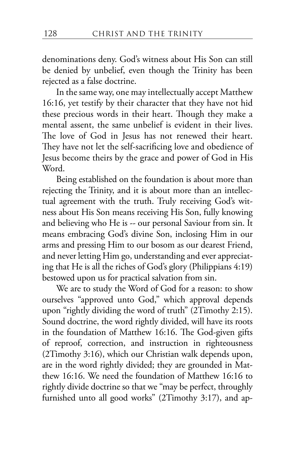denominations deny. God's witness about His Son can still be denied by unbelief, even though the Trinity has been rejected as a false doctrine.

In the same way, one may intellectually accept Matthew 16:16, yet testify by their character that they have not hid these precious words in their heart. Though they make a mental assent, the same unbelief is evident in their lives. The love of God in Jesus has not renewed their heart. They have not let the self-sacrificing love and obedience of Jesus become theirs by the grace and power of God in His Word.

Being established on the foundation is about more than rejecting the Trinity, and it is about more than an intellectual agreement with the truth. Truly receiving God's witness about His Son means receiving His Son, fully knowing and believing who He is -- our personal Saviour from sin. It means embracing God's divine Son, inclosing Him in our arms and pressing Him to our bosom as our dearest Friend, and never letting Him go, understanding and ever appreciating that He is all the riches of God's glory (Philippians 4:19) bestowed upon us for practical salvation from sin.

We are to study the Word of God for a reason: to show ourselves "approved unto God," which approval depends upon "rightly dividing the word of truth" (2Timothy 2:15). Sound doctrine, the word rightly divided, will have its roots in the foundation of Matthew 16:16. The God-given gifts of reproof, correction, and instruction in righteousness (2Timothy 3:16), which our Christian walk depends upon, are in the word rightly divided; they are grounded in Matthew 16:16. We need the foundation of Matthew 16:16 to rightly divide doctrine so that we "may be perfect, throughly furnished unto all good works" (2Timothy 3:17), and ap-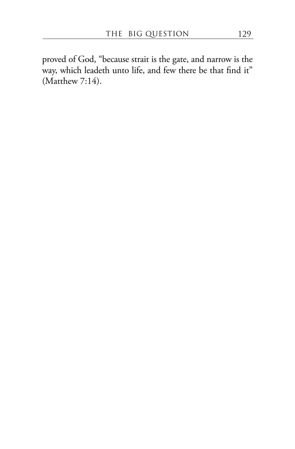proved of God, "because strait is the gate, and narrow is the way, which leadeth unto life, and few there be that find it" (Matthew 7:14).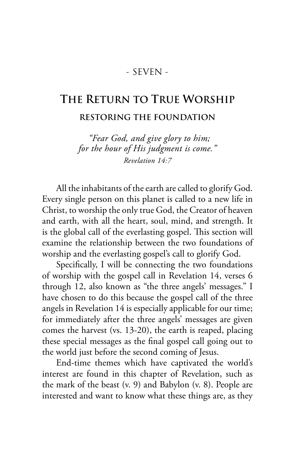## - SEVEN -

## **THE RETURN TO TRUE WORSHIP RESTORING THE FOUNDATION**

*"Fear God, and give glory to him; for the hour of His judgment is come." Revelation 14:7*

All the inhabitants of the earth are called to glorify God. Every single person on this planet is called to a new life in Christ, to worship the only true God, the Creator of heaven and earth, with all the heart, soul, mind, and strength. It is the global call of the everlasting gospel. This section will examine the relationship between the two foundations of worship and the everlasting gospel's call to glorify God.

Specifically, I will be connecting the two foundations of worship with the gospel call in Revelation 14, verses 6 through 12, also known as "the three angels' messages." I have chosen to do this because the gospel call of the three angels in Revelation 14 is especially applicable for our time; for immediately after the three angels' messages are given comes the harvest (vs. 13-20), the earth is reaped, placing these special messages as the final gospel call going out to the world just before the second coming of Jesus.

End-time themes which have captivated the world's interest are found in this chapter of Revelation, such as the mark of the beast (v. 9) and Babylon (v. 8). People are interested and want to know what these things are, as they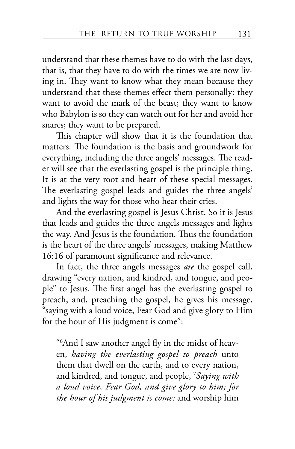understand that these themes have to do with the last days, that is, that they have to do with the times we are now living in. They want to know what they mean because they understand that these themes effect them personally: they want to avoid the mark of the beast; they want to know who Babylon is so they can watch out for her and avoid her snares; they want to be prepared.

This chapter will show that it is the foundation that matters. The foundation is the basis and groundwork for everything, including the three angels' messages. The reader will see that the everlasting gospel is the principle thing. It is at the very root and heart of these special messages. The everlasting gospel leads and guides the three angels' and lights the way for those who hear their cries.

And the everlasting gospel is Jesus Christ. So it is Jesus that leads and guides the three angels messages and lights the way. And Jesus is the foundation. Thus the foundation is the heart of the three angels' messages, making Matthew 16:16 of paramount significance and relevance.

In fact, the three angels messages *are* the gospel call, drawing "every nation, and kindred, and tongue, and people" to Jesus. The first angel has the everlasting gospel to preach, and, preaching the gospel, he gives his message, "saying with a loud voice, Fear God and give glory to Him for the hour of His judgment is come":

"6 And I saw another angel fly in the midst of heaven, *having the everlasting gospel to preach* unto them that dwell on the earth, and to every nation, and kindred, and tongue, and people, <sup>7</sup> *Saying with a loud voice, Fear God, and give glory to him; for the hour of his judgment is come:* and worship him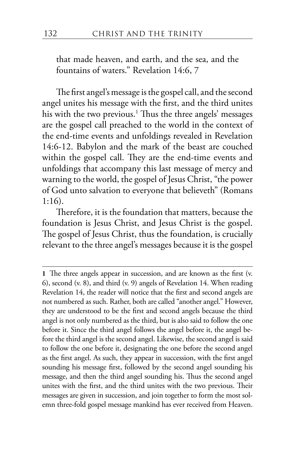that made heaven, and earth, and the sea, and the fountains of waters." Revelation 14:6, 7

The first angel's message is the gospel call, and the second angel unites his message with the first, and the third unites his with the two previous.1 Thus the three angels' messages are the gospel call preached to the world in the context of the end-time events and unfoldings revealed in Revelation 14:6-12. Babylon and the mark of the beast are couched within the gospel call. They are the end-time events and unfoldings that accompany this last message of mercy and warning to the world, the gospel of Jesus Christ, "the power of God unto salvation to everyone that believeth" (Romans 1:16).

Therefore, it is the foundation that matters, because the foundation is Jesus Christ, and Jesus Christ is the gospel. The gospel of Jesus Christ, thus the foundation, is crucially relevant to the three angel's messages because it is the gospel

**<sup>1</sup>** The three angels appear in succession, and are known as the first (v. 6), second (v. 8), and third (v. 9) angels of Revelation 14. When reading Revelation 14, the reader will notice that the first and second angels are not numbered as such. Rather, both are called "another angel." However, they are understood to be the first and second angels because the third angel is not only numbered as the third, but is also said to follow the one before it. Since the third angel follows the angel before it, the angel before the third angel is the second angel. Likewise, the second angel is said to follow the one before it, designating the one before the second angel as the first angel. As such, they appear in succession, with the first angel sounding his message first, followed by the second angel sounding his message, and then the third angel sounding his. Thus the second angel unites with the first, and the third unites with the two previous. Their messages are given in succession, and join together to form the most solemn three-fold gospel message mankind has ever received from Heaven.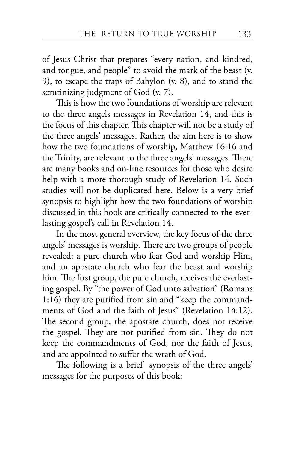of Jesus Christ that prepares "every nation, and kindred, and tongue, and people" to avoid the mark of the beast (v. 9), to escape the traps of Babylon (v. 8), and to stand the scrutinizing judgment of God (v. 7).

This is how the two foundations of worship are relevant to the three angels messages in Revelation 14, and this is the focus of this chapter. This chapter will not be a study of the three angels' messages. Rather, the aim here is to show how the two foundations of worship, Matthew 16:16 and the Trinity, are relevant to the three angels' messages. There are many books and on-line resources for those who desire help with a more thorough study of Revelation 14. Such studies will not be duplicated here. Below is a very brief synopsis to highlight how the two foundations of worship discussed in this book are critically connected to the everlasting gospel's call in Revelation 14.

In the most general overview, the key focus of the three angels' messages is worship. There are two groups of people revealed: a pure church who fear God and worship Him, and an apostate church who fear the beast and worship him. The first group, the pure church, receives the everlasting gospel. By "the power of God unto salvation" (Romans 1:16) they are purified from sin and "keep the commandments of God and the faith of Jesus" (Revelation 14:12). The second group, the apostate church, does not receive the gospel. They are not purified from sin. They do not keep the commandments of God, nor the faith of Jesus, and are appointed to suffer the wrath of God.

The following is a brief synopsis of the three angels' messages for the purposes of this book: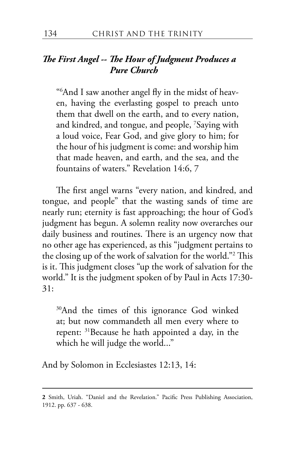### *The First Angel -- The Hour of Judgment Produces a Pure Church*

"6 And I saw another angel fly in the midst of heaven, having the everlasting gospel to preach unto them that dwell on the earth, and to every nation, and kindred, and tongue, and people, <sup>7</sup> Saying with a loud voice, Fear God, and give glory to him; for the hour of his judgment is come: and worship him that made heaven, and earth, and the sea, and the fountains of waters." Revelation 14:6, 7

The first angel warns "every nation, and kindred, and tongue, and people" that the wasting sands of time are nearly run; eternity is fast approaching; the hour of God's judgment has begun. A solemn reality now overarches our daily business and routines. There is an urgency now that no other age has experienced, as this "judgment pertains to the closing up of the work of salvation for the world."2 This is it. This judgment closes "up the work of salvation for the world." It is the judgment spoken of by Paul in Acts 17:30- 31:

<sup>30</sup>And the times of this ignorance God winked at; but now commandeth all men every where to repent: 31Because he hath appointed a day, in the which he will judge the world..."

And by Solomon in Ecclesiastes 12:13, 14:

**<sup>2</sup>** Smith, Uriah. "Daniel and the Revelation." Pacific Press Publishing Association, 1912. pp. 637 - 638.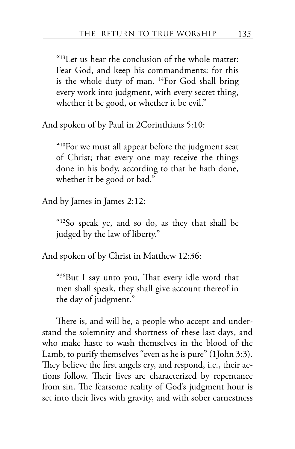"13Let us hear the conclusion of the whole matter: Fear God, and keep his commandments: for this is the whole duty of man. 14For God shall bring every work into judgment, with every secret thing, whether it be good, or whether it be evil."

And spoken of by Paul in 2Corinthians 5:10:

"10For we must all appear before the judgment seat of Christ; that every one may receive the things done in his body, according to that he hath done, whether it be good or bad."

And by James in James 2:12:

"12So speak ye, and so do, as they that shall be judged by the law of liberty."

And spoken of by Christ in Matthew 12:36:

"36But I say unto you, That every idle word that men shall speak, they shall give account thereof in the day of judgment."

There is, and will be, a people who accept and understand the solemnity and shortness of these last days, and who make haste to wash themselves in the blood of the Lamb, to purify themselves "even as he is pure" (1John 3:3). They believe the first angels cry, and respond, i.e., their actions follow. Their lives are characterized by repentance from sin. The fearsome reality of God's judgment hour is set into their lives with gravity, and with sober earnestness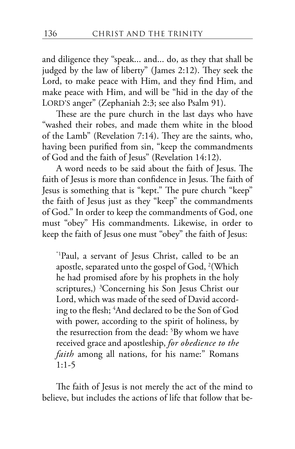and diligence they "speak... and... do, as they that shall be judged by the law of liberty" (James 2:12). They seek the Lord, to make peace with Him, and they find Him, and make peace with Him, and will be "hid in the day of the LORD'S anger" (Zephaniah 2:3; see also Psalm 91).

These are the pure church in the last days who have "washed their robes, and made them white in the blood of the Lamb" (Revelation 7:14). They are the saints, who, having been purified from sin, "keep the commandments of God and the faith of Jesus" (Revelation 14:12).

A word needs to be said about the faith of Jesus. The faith of Jesus is more than confidence in Jesus. The faith of Jesus is something that is "kept." The pure church "keep" the faith of Jesus just as they "keep" the commandments of God." In order to keep the commandments of God, one must "obey" His commandments. Likewise, in order to keep the faith of Jesus one must "obey" the faith of Jesus:

"1Paul, a servant of Jesus Christ, called to be an apostle, separated unto the gospel of God,  $^{2}$ (Which he had promised afore by his prophets in the holy scriptures,) <sup>3</sup>Concerning his Son Jesus Christ our Lord, which was made of the seed of David according to the flesh; <sup>4</sup> And declared to be the Son of God with power, according to the spirit of holiness, by the resurrection from the dead: <sup>5</sup>By whom we have received grace and apostleship, *for obedience to the faith* among all nations, for his name:" Romans 1:1-5

The faith of Jesus is not merely the act of the mind to believe, but includes the actions of life that follow that be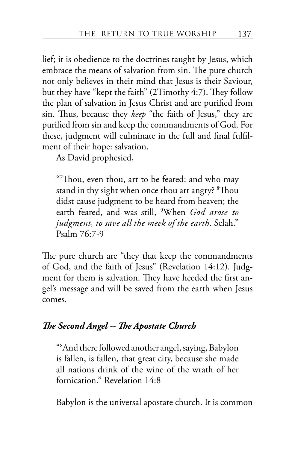lief; it is obedience to the doctrines taught by Jesus, which embrace the means of salvation from sin. The pure church not only believes in their mind that Jesus is their Saviour, but they have "kept the faith" (2Timothy 4:7). They follow the plan of salvation in Jesus Christ and are purified from sin. Thus, because they *keep* "the faith of Jesus," they are purified from sin and keep the commandments of God. For these, judgment will culminate in the full and final fulfilment of their hope: salvation.

As David prophesied,

"7 Thou, even thou, art to be feared: and who may stand in thy sight when once thou art angry? <sup>8</sup>Thou didst cause judgment to be heard from heaven; the earth feared, and was still, <sup>9</sup> When *God arose to judgment, to save all the meek of the earth.* Selah." Psalm 76:7-9

The pure church are "they that keep the commandments of God, and the faith of Jesus" (Revelation 14:12). Judgment for them is salvation. They have heeded the first angel's message and will be saved from the earth when Jesus comes.

## *The Second Angel -- The Apostate Church*

"8 And there followed another angel, saying, Babylon is fallen, is fallen, that great city, because she made all nations drink of the wine of the wrath of her fornication." Revelation 14:8

Babylon is the universal apostate church. It is common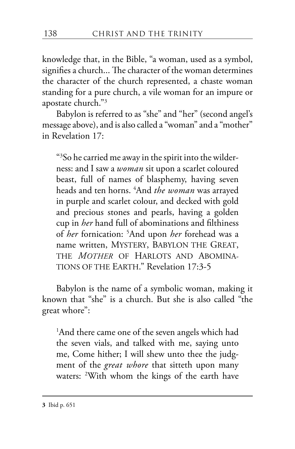knowledge that, in the Bible, "a woman, used as a symbol, signifies a church... The character of the woman determines the character of the church represented, a chaste woman standing for a pure church, a vile woman for an impure or apostate church."3

Babylon is referred to as "she" and "her" (second angel's message above), and is also called a "woman" and a "mother" in Revelation 17:

"3 So he carried me away in the spirit into the wilderness: and I saw a *woman* sit upon a scarlet coloured beast, full of names of blasphemy, having seven heads and ten horns. <sup>4</sup> And *the woman* was arrayed in purple and scarlet colour, and decked with gold and precious stones and pearls, having a golden cup in *her* hand full of abominations and filthiness of *her* fornication: <sup>5</sup> And upon *her* forehead was a name written, MYSTERY, BABYLON THE GREAT, THE *MOTHER* OF HARLOTS AND ABOMINA-TIONS OF THE EARTH." Revelation 17:3-5

Babylon is the name of a symbolic woman, making it known that "she" is a church. But she is also called "the great whore":

1 And there came one of the seven angels which had the seven vials, and talked with me, saying unto me, Come hither; I will shew unto thee the judgment of the *great whore* that sitteth upon many waters: <sup>2</sup> With whom the kings of the earth have

**3** Ibid p. 651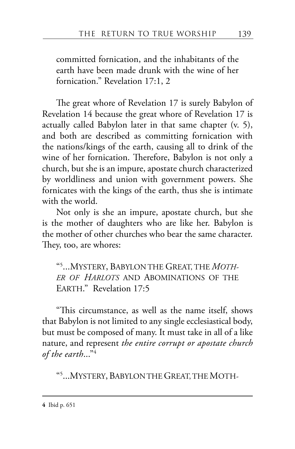committed fornication, and the inhabitants of the earth have been made drunk with the wine of her fornication." Revelation 17:1, 2

The great whore of Revelation 17 is surely Babylon of Revelation 14 because the great whore of Revelation 17 is actually called Babylon later in that same chapter (v. 5), and both are described as committing fornication with the nations/kings of the earth, causing all to drink of the wine of her fornication. Therefore, Babylon is not only a church, but she is an impure, apostate church characterized by worldliness and union with government powers. She fornicates with the kings of the earth, thus she is intimate with the world.

Not only is she an impure, apostate church, but she is the mother of daughters who are like her. Babylon is the mother of other churches who bear the same character. They, too, are whores:

"5 ...MYSTERY, BABYLON THE GREAT, THE *MOTH-ER OF HARLOTS* AND ABOMINATIONS OF THE EARTH." Revelation 17:5

"This circumstance, as well as the name itself, shows that Babylon is not limited to any single ecclesiastical body, but must be composed of many. It must take in all of a like nature, and represent *the entire corrupt or apostate church of the earth*..."4

"5 ...MYSTERY, BABYLON THE GREAT,THEMOTH-

**4** Ibid p. 651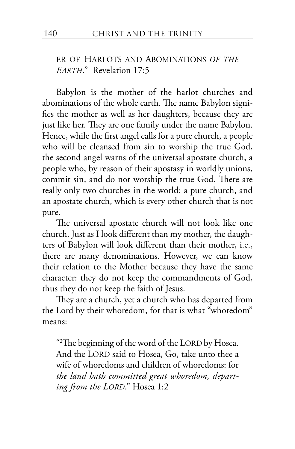#### ER OF HARLOTS AND ABOMINATIONS *OF THE EARTH*." Revelation 17:5

Babylon is the mother of the harlot churches and abominations of the whole earth. The name Babylon signifies the mother as well as her daughters, because they are just like her. They are one family under the name Babylon. Hence, while the first angel calls for a pure church, a people who will be cleansed from sin to worship the true God, the second angel warns of the universal apostate church, a people who, by reason of their apostasy in worldly unions, commit sin, and do not worship the true God. There are really only two churches in the world: a pure church, and an apostate church, which is every other church that is not pure.

The universal apostate church will not look like one church. Just as I look different than my mother, the daughters of Babylon will look different than their mother, i.e., there are many denominations. However, we can know their relation to the Mother because they have the same character: they do not keep the commandments of God, thus they do not keep the faith of Jesus.

They are a church, yet a church who has departed from the Lord by their whoredom, for that is what "whoredom" means:

"2 The beginning of the word of the LORD by Hosea. And the LORD said to Hosea, Go, take unto thee a wife of whoredoms and children of whoredoms: for *the land hath committed great whoredom, departing from the LORD*." Hosea 1:2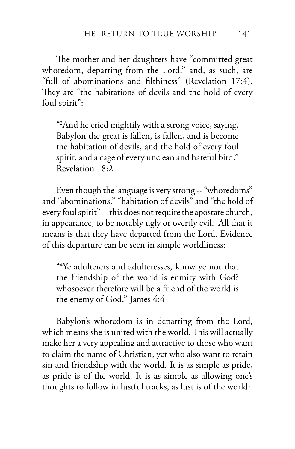The mother and her daughters have "committed great whoredom, departing from the Lord," and, as such, are "full of abominations and filthiness" (Revelation 17:4). They are "the habitations of devils and the hold of every foul spirit":

"2 And he cried mightily with a strong voice, saying, Babylon the great is fallen, is fallen, and is become the habitation of devils, and the hold of every foul spirit, and a cage of every unclean and hateful bird." Revelation 18:2

Even though the language is very strong -- "whoredoms" and "abominations," "habitation of devils" and "the hold of every foul spirit" -- this does not require the apostate church, in appearance, to be notably ugly or overtly evil. All that it means is that they have departed from the Lord. Evidence of this departure can be seen in simple worldliness:

"4 Ye adulterers and adulteresses, know ye not that the friendship of the world is enmity with God? whosoever therefore will be a friend of the world is the enemy of God." James 4:4

Babylon's whoredom is in departing from the Lord, which means she is united with the world. This will actually make her a very appealing and attractive to those who want to claim the name of Christian, yet who also want to retain sin and friendship with the world. It is as simple as pride, as pride is of the world. It is as simple as allowing one's thoughts to follow in lustful tracks, as lust is of the world: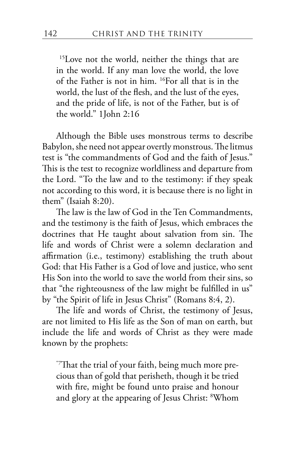<sup>15</sup>Love not the world, neither the things that are in the world. If any man love the world, the love of the Father is not in him. 16For all that is in the world, the lust of the flesh, and the lust of the eyes, and the pride of life, is not of the Father, but is of the world." 1John 2:16

Although the Bible uses monstrous terms to describe Babylon, she need not appear overtly monstrous. The litmus test is "the commandments of God and the faith of Jesus." This is the test to recognize worldliness and departure from the Lord. "To the law and to the testimony: if they speak not according to this word, it is because there is no light in them" (Isaiah 8:20).

The law is the law of God in the Ten Commandments, and the testimony is the faith of Jesus, which embraces the doctrines that He taught about salvation from sin. The life and words of Christ were a solemn declaration and affirmation (i.e., testimony) establishing the truth about God: that His Father is a God of love and justice, who sent His Son into the world to save the world from their sins, so that "the righteousness of the law might be fulfilled in us" by "the Spirit of life in Jesus Christ" (Romans 8:4, 2).

The life and words of Christ, the testimony of Jesus, are not limited to His life as the Son of man on earth, but include the life and words of Christ as they were made known by the prophets:

"7That the trial of your faith, being much more precious than of gold that perisheth, though it be tried with fire, might be found unto praise and honour and glory at the appearing of Jesus Christ: <sup>8</sup> Whom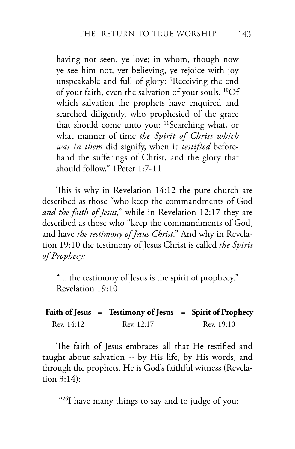having not seen, ye love; in whom, though now ye see him not, yet believing, ye rejoice with joy unspeakable and full of glory: <sup>9</sup> Receiving the end of your faith, even the salvation of your souls. 10Of which salvation the prophets have enquired and searched diligently, who prophesied of the grace that should come unto you: 11Searching what, or what manner of time *the Spirit of Christ which was in them* did signify, when it *testified* beforehand the sufferings of Christ, and the glory that should follow." 1Peter 1:7-11

This is why in Revelation 14:12 the pure church are described as those "who keep the commandments of God *and the faith of Jesus*," while in Revelation 12:17 they are described as those who "keep the commandments of God, and have *the testimony of Jesus Christ*." And why in Revelation 19:10 the testimony of Jesus Christ is called *the Spirit of Prophecy:*

"... the testimony of Jesus is the spirit of prophecy." Revelation 19:10

|            | Faith of Jesus = Testimony of Jesus = Spirit of Prophecy |            |
|------------|----------------------------------------------------------|------------|
| Rev. 14:12 | Rev. 12:17                                               | Rev. 19:10 |

The faith of Jesus embraces all that He testified and taught about salvation -- by His life, by His words, and through the prophets. He is God's faithful witness (Revelation 3:14):

"<sup>26</sup>I have many things to say and to judge of you: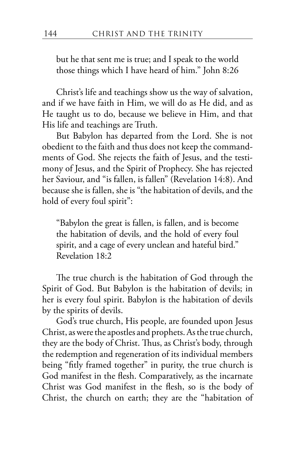but he that sent me is true; and I speak to the world those things which I have heard of him." John 8:26

Christ's life and teachings show us the way of salvation, and if we have faith in Him, we will do as He did, and as He taught us to do, because we believe in Him, and that His life and teachings are Truth.

But Babylon has departed from the Lord. She is not obedient to the faith and thus does not keep the commandments of God. She rejects the faith of Jesus, and the testimony of Jesus, and the Spirit of Prophecy. She has rejected her Saviour, and "is fallen, is fallen" (Revelation 14:8). And because she is fallen, she is "the habitation of devils, and the hold of every foul spirit":

"Babylon the great is fallen, is fallen, and is become the habitation of devils, and the hold of every foul spirit, and a cage of every unclean and hateful bird." Revelation 18:2

The true church is the habitation of God through the Spirit of God. But Babylon is the habitation of devils; in her is every foul spirit. Babylon is the habitation of devils by the spirits of devils.

God's true church, His people, are founded upon Jesus Christ, as were the apostles and prophets. As the true church, they are the body of Christ. Thus, as Christ's body, through the redemption and regeneration of its individual members being "fitly framed together" in purity, the true church is God manifest in the flesh. Comparatively, as the incarnate Christ was God manifest in the flesh, so is the body of Christ, the church on earth; they are the "habitation of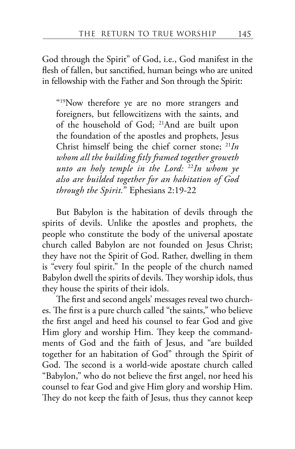God through the Spirit" of God, i.e., God manifest in the flesh of fallen, but sanctified, human beings who are united in fellowship with the Father and Son through the Spirit:

"19Now therefore ye are no more strangers and foreigners, but fellowcitizens with the saints, and of the household of God; 21And are built upon the foundation of the apostles and prophets, Jesus Christ himself being the chief corner stone; <sup>21</sup>*In whom all the building fitly framed together groweth unto an holy temple in the Lord:* <sup>22</sup>*In whom ye also are builded together for an habitation of God through the Spirit.*" Ephesians 2:19-22

But Babylon is the habitation of devils through the spirits of devils. Unlike the apostles and prophets, the people who constitute the body of the universal apostate church called Babylon are not founded on Jesus Christ; they have not the Spirit of God. Rather, dwelling in them is "every foul spirit." In the people of the church named Babylon dwell the spirits of devils. They worship idols, thus they house the spirits of their idols.

The first and second angels' messages reveal two churches. The first is a pure church called "the saints," who believe the first angel and heed his counsel to fear God and give Him glory and worship Him. They keep the commandments of God and the faith of Jesus, and "are builded together for an habitation of God" through the Spirit of God. The second is a world-wide apostate church called "Babylon," who do not believe the first angel, nor heed his counsel to fear God and give Him glory and worship Him. They do not keep the faith of Jesus, thus they cannot keep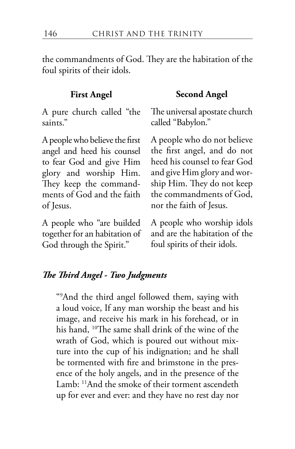the commandments of God. They are the habitation of the foul spirits of their idols.

A pure church called "the saints."

A people who believe the first angel and heed his counsel to fear God and give Him glory and worship Him. They keep the commandments of God and the faith of Jesus.

A people who "are builded together for an habitation of God through the Spirit."

#### **First Angel Second Angel**

The universal apostate church called "Babylon."

A people who do not believe the first angel, and do not heed his counsel to fear God and give Him glory and worship Him. They do not keep the commandments of God, nor the faith of Jesus.

A people who worship idols and are the habitation of the foul spirits of their idols.

#### *The Third Angel - Two Judgments*

"9 And the third angel followed them, saying with a loud voice, If any man worship the beast and his image, and receive his mark in his forehead, or in his hand, <sup>10</sup>The same shall drink of the wine of the wrath of God, which is poured out without mixture into the cup of his indignation; and he shall be tormented with fire and brimstone in the presence of the holy angels, and in the presence of the Lamb: 11And the smoke of their torment ascendeth up for ever and ever: and they have no rest day nor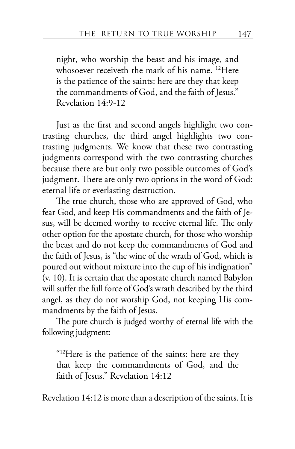night, who worship the beast and his image, and whosoever receiveth the mark of his name. 12Here is the patience of the saints: here are they that keep the commandments of God, and the faith of Jesus." Revelation 14:9-12

Just as the first and second angels highlight two contrasting churches, the third angel highlights two contrasting judgments. We know that these two contrasting judgments correspond with the two contrasting churches because there are but only two possible outcomes of God's judgment. There are only two options in the word of God: eternal life or everlasting destruction.

The true church, those who are approved of God, who fear God, and keep His commandments and the faith of Jesus, will be deemed worthy to receive eternal life. The only other option for the apostate church, for those who worship the beast and do not keep the commandments of God and the faith of Jesus, is "the wine of the wrath of God, which is poured out without mixture into the cup of his indignation" (v. 10). It is certain that the apostate church named Babylon will suffer the full force of God's wrath described by the third angel, as they do not worship God, not keeping His commandments by the faith of Jesus.

The pure church is judged worthy of eternal life with the following judgment:

"12Here is the patience of the saints: here are they that keep the commandments of God, and the faith of Jesus." Revelation 14:12

Revelation 14:12 is more than a description of the saints. It is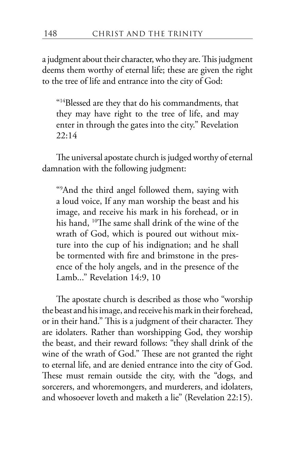a judgment about their character, who they are. This judgment deems them worthy of eternal life; these are given the right to the tree of life and entrance into the city of God:

"14Blessed are they that do his commandments, that they may have right to the tree of life, and may enter in through the gates into the city." Revelation 22:14

The universal apostate church is judged worthy of eternal damnation with the following judgment:

"9 And the third angel followed them, saying with a loud voice, If any man worship the beast and his image, and receive his mark in his forehead, or in his hand, <sup>10</sup>The same shall drink of the wine of the wrath of God, which is poured out without mixture into the cup of his indignation; and he shall be tormented with fire and brimstone in the presence of the holy angels, and in the presence of the Lamb..." Revelation 14:9, 10

The apostate church is described as those who "worship the beast and his image, and receive his mark in their forehead, or in their hand." This is a judgment of their character. They are idolaters. Rather than worshipping God, they worship the beast, and their reward follows: "they shall drink of the wine of the wrath of God." These are not granted the right to eternal life, and are denied entrance into the city of God. These must remain outside the city, with the "dogs, and sorcerers, and whoremongers, and murderers, and idolaters, and whosoever loveth and maketh a lie" (Revelation 22:15).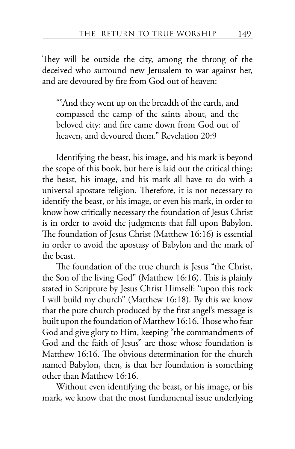They will be outside the city, among the throng of the deceived who surround new Jerusalem to war against her, and are devoured by fire from God out of heaven:

"9 And they went up on the breadth of the earth, and compassed the camp of the saints about, and the beloved city: and fire came down from God out of heaven, and devoured them." Revelation 20:9

Identifying the beast, his image, and his mark is beyond the scope of this book, but here is laid out the critical thing: the beast, his image, and his mark all have to do with a universal apostate religion. Therefore, it is not necessary to identify the beast, or his image, or even his mark, in order to know how critically necessary the foundation of Jesus Christ is in order to avoid the judgments that fall upon Babylon. The foundation of Jesus Christ (Matthew 16:16) is essential in order to avoid the apostasy of Babylon and the mark of the beast.

The foundation of the true church is Jesus "the Christ, the Son of the living God" (Matthew 16:16). This is plainly stated in Scripture by Jesus Christ Himself: "upon this rock I will build my church" (Matthew 16:18). By this we know that the pure church produced by the first angel's message is built upon the foundation of Matthew 16:16. Those who fear God and give glory to Him, keeping "the commandments of God and the faith of Jesus" are those whose foundation is Matthew 16:16. The obvious determination for the church named Babylon, then, is that her foundation is something other than Matthew 16:16.

Without even identifying the beast, or his image, or his mark, we know that the most fundamental issue underlying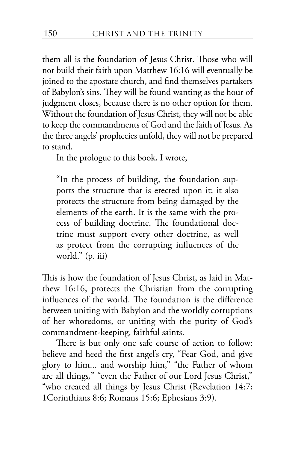them all is the foundation of Jesus Christ. Those who will not build their faith upon Matthew 16:16 will eventually be joined to the apostate church, and find themselves partakers of Babylon's sins. They will be found wanting as the hour of judgment closes, because there is no other option for them. Without the foundation of Jesus Christ, they will not be able to keep the commandments of God and the faith of Jesus. As the three angels' prophecies unfold, they will not be prepared to stand.

In the prologue to this book, I wrote,

"In the process of building, the foundation supports the structure that is erected upon it; it also protects the structure from being damaged by the elements of the earth. It is the same with the process of building doctrine. The foundational doctrine must support every other doctrine, as well as protect from the corrupting influences of the world." (p. iii)

This is how the foundation of Jesus Christ, as laid in Matthew 16:16, protects the Christian from the corrupting influences of the world. The foundation is the difference between uniting with Babylon and the worldly corruptions of her whoredoms, or uniting with the purity of God's commandment-keeping, faithful saints.

There is but only one safe course of action to follow: believe and heed the first angel's cry, "Fear God, and give glory to him... and worship him," "the Father of whom are all things*,*" "even the Father of our Lord Jesus Christ," "who created all things by Jesus Christ (Revelation 14:7; 1Corinthians 8:6; Romans 15:6; Ephesians 3:9).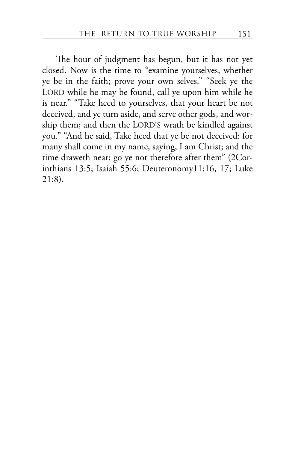The hour of judgment has begun, but it has not yet closed. Now is the time to "examine yourselves, whether ye be in the faith; prove your own selves." "Seek ye the LORD while he may be found, call ye upon him while he is near." "Take heed to yourselves, that your heart be not deceived, and ye turn aside, and serve other gods, and worship them; and then the LORD'S wrath be kindled against you." "And he said, Take heed that ye be not deceived: for many shall come in my name, saying, I am Christ; and the time draweth near: go ye not therefore after them" (2Corinthians 13:5; Isaiah 55:6; Deuteronomy11:16, 17; Luke 21:8).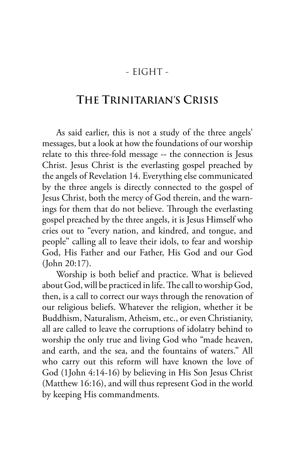### - EIGHT -

## **THE TRINITARIAN'S CRISIS**

As said earlier, this is not a study of the three angels' messages, but a look at how the foundations of our worship relate to this three-fold message -- the connection is Jesus Christ. Jesus Christ is the everlasting gospel preached by the angels of Revelation 14. Everything else communicated by the three angels is directly connected to the gospel of Jesus Christ, both the mercy of God therein, and the warnings for them that do not believe. Through the everlasting gospel preached by the three angels, it is Jesus Himself who cries out to "every nation, and kindred, and tongue, and people" calling all to leave their idols, to fear and worship God, His Father and our Father, His God and our God (John 20:17).

Worship is both belief and practice. What is believed about God, will be practiced in life. The call to worship God, then, is a call to correct our ways through the renovation of our religious beliefs. Whatever the religion, whether it be Buddhism, Naturalism, Atheism, etc., or even Christianity, all are called to leave the corruptions of idolatry behind to worship the only true and living God who "made heaven, and earth, and the sea, and the fountains of waters." All who carry out this reform will have known the love of God (1John 4:14-16) by believing in His Son Jesus Christ (Matthew 16:16), and will thus represent God in the world by keeping His commandments.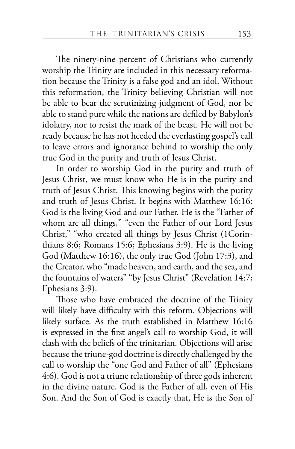The ninety-nine percent of Christians who currently worship the Trinity are included in this necessary reformation because the Trinity is a false god and an idol. Without this reformation, the Trinity believing Christian will not be able to bear the scrutinizing judgment of God, nor be able to stand pure while the nations are defiled by Babylon's idolatry, nor to resist the mark of the beast. He will not be ready because he has not heeded the everlasting gospel's call to leave errors and ignorance behind to worship the only true God in the purity and truth of Jesus Christ.

In order to worship God in the purity and truth of Jesus Christ, we must know who He is in the purity and truth of Jesus Christ. This knowing begins with the purity and truth of Jesus Christ. It begins with Matthew 16:16: God is the living God and our Father. He is the "Father of whom are all things*,*" "even the Father of our Lord Jesus Christ," "who created all things by Jesus Christ (1Corinthians 8:6; Romans 15:6; Ephesians 3:9). He is the living God (Matthew 16:16), the only true God (John 17:3), and the Creator, who "made heaven, and earth, and the sea, and the fountains of waters" "by Jesus Christ" (Revelation 14:7; Ephesians 3:9).

Those who have embraced the doctrine of the Trinity will likely have difficulty with this reform. Objections will likely surface. As the truth established in Matthew 16:16 is expressed in the first angel's call to worship God, it will clash with the beliefs of the trinitarian. Objections will arise because the triune-god doctrine is directly challenged by the call to worship the "one God and Father of all" (Ephesians 4:6). God is not a triune relationship of three gods inherent in the divine nature. God is the Father of all, even of His Son. And the Son of God is exactly that, He is the Son of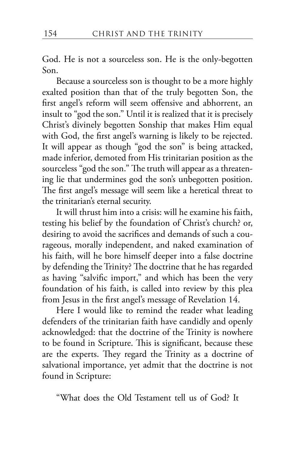God. He is not a sourceless son. He is the only-begotten Son.

Because a sourceless son is thought to be a more highly exalted position than that of the truly begotten Son, the first angel's reform will seem offensive and abhorrent, an insult to "god the son." Until it is realized that it is precisely Christ's divinely begotten Sonship that makes Him equal with God, the first angel's warning is likely to be rejected. It will appear as though "god the son" is being attacked, made inferior, demoted from His trinitarian position as the sourceless "god the son." The truth will appear as a threatening lie that undermines god the son's unbegotten position. The first angel's message will seem like a heretical threat to the trinitarian's eternal security.

It will thrust him into a crisis: will he examine his faith, testing his belief by the foundation of Christ's church? or, desiring to avoid the sacrifices and demands of such a courageous, morally independent, and naked examination of his faith, will he bore himself deeper into a false doctrine by defending the Trinity? The doctrine that he has regarded as having "salvific import," and which has been the very foundation of his faith, is called into review by this plea from Jesus in the first angel's message of Revelation 14.

Here I would like to remind the reader what leading defenders of the trinitarian faith have candidly and openly acknowledged: that the doctrine of the Trinity is nowhere to be found in Scripture. This is significant, because these are the experts. They regard the Trinity as a doctrine of salvational importance, yet admit that the doctrine is not found in Scripture:

"What does the Old Testament tell us of God? It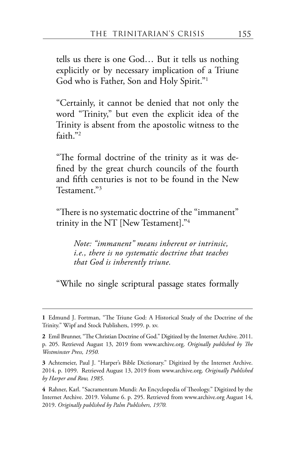tells us there is one God… But it tells us nothing explicitly or by necessary implication of a Triune God who is Father, Son and Holy Spirit."1

"Certainly, it cannot be denied that not only the word "Trinity," but even the explicit idea of the Trinity is absent from the apostolic witness to the faith."2

"The formal doctrine of the trinity as it was defined by the great church councils of the fourth and fifth centuries is not to be found in the New Testament."3

"There is no systematic doctrine of the "immanent" trinity in the NT [New Testament]."4

*Note: "immanent" means inherent or intrinsic, i.e., there is no systematic doctrine that teaches that God is inherently triune.*

"While no single scriptural passage states formally

**<sup>1</sup>** Edmund J. Fortman, "The Triune God: A Historical Study of the Doctrine of the Trinity." Wipf and Stock Publishers, 1999. p. xv.

**<sup>2</sup>** Emil Brunner, "The Christian Doctrine of God." Digitized by the Internet Archive. 2011. p. 205. Retrieved August 13, 2019 from www.archive.org. *Originally published by The Westminster Press, 1950.*

**<sup>3</sup>** Achtemeier, Paul J. "Harper's Bible Dictionary." Digitized by the Internet Archive. 2014. p. 1099. Retrieved August 13, 2019 from www.archive.org. *Originally Published by Harper and Row, 1985.*

**<sup>4</sup>** Rahner, Karl. "Sacramentum Mundi: An Encyclopedia of Theology." Digitized by the Internet Archive. 2019. Volume 6. p. 295. Retrieved from www.archive.org August 14, 2019. *Originally published by Palm Publishers, 1970.*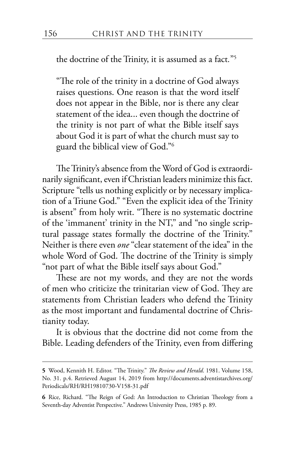the doctrine of the Trinity, it is assumed as a fact*.*"5

"The role of the trinity in a doctrine of God always raises questions. One reason is that the word itself does not appear in the Bible, nor is there any clear statement of the idea... even though the doctrine of the trinity is not part of what the Bible itself says about God it is part of what the church must say to guard the biblical view of God."6

The Trinity's absence from the Word of God is extraordinarily significant, even if Christian leaders minimize this fact. Scripture "tells us nothing explicitly or by necessary implication of a Triune God." "Even the explicit idea of the Trinity is absent" from holy writ. "There is no systematic doctrine of the 'immanent' trinity in the NT," and "no single scriptural passage states formally the doctrine of the Trinity." Neither is there even *one* "clear statement of the idea" in the whole Word of God. The doctrine of the Trinity is simply "not part of what the Bible itself says about God."

These are not my words, and they are not the words of men who criticize the trinitarian view of God. They are statements from Christian leaders who defend the Trinity as the most important and fundamental doctrine of Christianity today.

It is obvious that the doctrine did not come from the Bible. Leading defenders of the Trinity, even from differing

**<sup>5</sup>** Wood, Kennith H. Editor. "The Trinity." *The Review and Herald*. 1981. Volume 158, No. 31. p.4. Retrieved August 14, 2019 from http://documents.adventistarchives.org/ Periodicals/RH/RH19810730-V158-31.pdf

**<sup>6</sup>** Rice, Richard. "The Reign of God: An Introduction to Christian Theology from a Seventh-day Adventist Perspective." Andrews University Press, 1985 p. 89.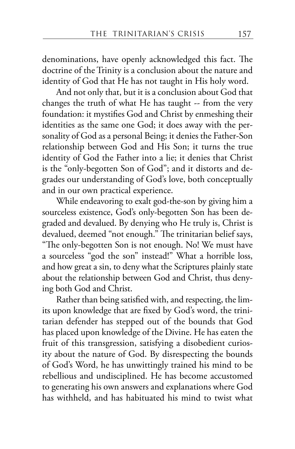denominations, have openly acknowledged this fact. The doctrine of the Trinity is a conclusion about the nature and identity of God that He has not taught in His holy word.

And not only that, but it is a conclusion about God that changes the truth of what He has taught -- from the very foundation: it mystifies God and Christ by enmeshing their identities as the same one God; it does away with the personality of God as a personal Being; it denies the Father-Son relationship between God and His Son; it turns the true identity of God the Father into a lie; it denies that Christ is the "only-begotten Son of God"; and it distorts and degrades our understanding of God's love, both conceptually and in our own practical experience.

While endeavoring to exalt god-the-son by giving him a sourceless existence, God's only-begotten Son has been degraded and devalued. By denying who He truly is, Christ is devalued, deemed "not enough." The trinitarian belief says, "The only-begotten Son is not enough. No! We must have a sourceless "god the son" instead!" What a horrible loss, and how great a sin, to deny what the Scriptures plainly state about the relationship between God and Christ, thus denying both God and Christ.

Rather than being satisfied with, and respecting, the limits upon knowledge that are fixed by God's word, the trinitarian defender has stepped out of the bounds that God has placed upon knowledge of the Divine. He has eaten the fruit of this transgression, satisfying a disobedient curiosity about the nature of God. By disrespecting the bounds of God's Word, he has unwittingly trained his mind to be rebellious and undisciplined. He has become accustomed to generating his own answers and explanations where God has withheld, and has habituated his mind to twist what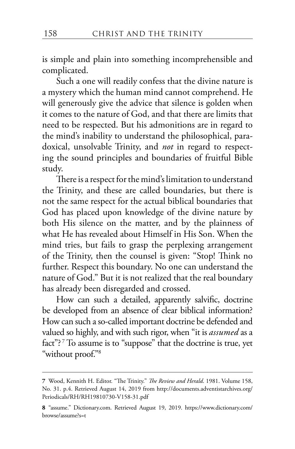is simple and plain into something incomprehensible and complicated.

Such a one will readily confess that the divine nature is a mystery which the human mind cannot comprehend. He will generously give the advice that silence is golden when it comes to the nature of God, and that there are limits that need to be respected. But his admonitions are in regard to the mind's inability to understand the philosophical, paradoxical, unsolvable Trinity, and *not* in regard to respecting the sound principles and boundaries of fruitful Bible study.

There is a respect for the mind's limitation to understand the Trinity, and these are called boundaries, but there is not the same respect for the actual biblical boundaries that God has placed upon knowledge of the divine nature by both His silence on the matter, and by the plainness of what He has revealed about Himself in His Son. When the mind tries, but fails to grasp the perplexing arrangement of the Trinity, then the counsel is given: "Stop! Think no further. Respect this boundary. No one can understand the nature of God." But it is not realized that the real boundary has already been disregarded and crossed.

How can such a detailed, apparently salvific, doctrine be developed from an absence of clear biblical information? How can such a so-called important doctrine be defended and valued so highly, and with such rigor, when "it is *assumed* as a fact"?<sup>7</sup> To assume is to "suppose" that the doctrine is true, yet "without proof."8

**<sup>7</sup>** Wood, Kennith H. Editor. "The Trinity." *The Review and Herald*. 1981. Volume 158, No. 31. p.4. Retrieved August 14, 2019 from http://documents.adventistarchives.org/ Periodicals/RH/RH19810730-V158-31.pdf

**<sup>8</sup>** "assume." Dictionary.com. Retrieved August 19, 2019. https://www.dictionary.com/ browse/assume?s=t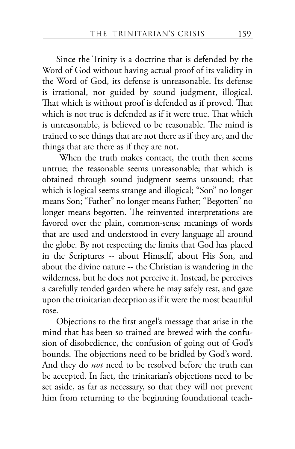Since the Trinity is a doctrine that is defended by the Word of God without having actual proof of its validity in the Word of God, its defense is unreasonable. Its defense is irrational, not guided by sound judgment, illogical. That which is without proof is defended as if proved. That which is not true is defended as if it were true. That which is unreasonable, is believed to be reasonable. The mind is trained to see things that are not there as if they are, and the things that are there as if they are not.

 When the truth makes contact, the truth then seems untrue; the reasonable seems unreasonable; that which is obtained through sound judgment seems unsound; that which is logical seems strange and illogical; "Son" no longer means Son; "Father" no longer means Father; "Begotten" no longer means begotten. The reinvented interpretations are favored over the plain, common-sense meanings of words that are used and understood in every language all around the globe. By not respecting the limits that God has placed in the Scriptures -- about Himself, about His Son, and about the divine nature -- the Christian is wandering in the wilderness, but he does not perceive it. Instead, he perceives a carefully tended garden where he may safely rest, and gaze upon the trinitarian deception as if it were the most beautiful rose.

Objections to the first angel's message that arise in the mind that has been so trained are brewed with the confusion of disobedience, the confusion of going out of God's bounds. The objections need to be bridled by God's word. And they do *not* need to be resolved before the truth can be accepted. In fact, the trinitarian's objections need to be set aside, as far as necessary, so that they will not prevent him from returning to the beginning foundational teach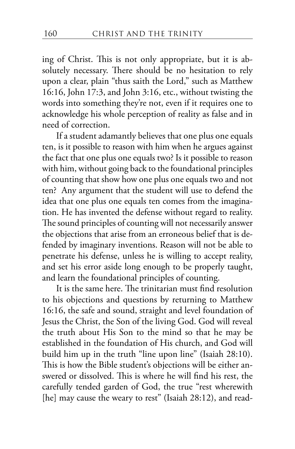ing of Christ. This is not only appropriate, but it is absolutely necessary. There should be no hesitation to rely upon a clear, plain "thus saith the Lord," such as Matthew 16:16, John 17:3, and John 3:16, etc., without twisting the words into something they're not, even if it requires one to acknowledge his whole perception of reality as false and in need of correction.

If a student adamantly believes that one plus one equals ten, is it possible to reason with him when he argues against the fact that one plus one equals two? Is it possible to reason with him, without going back to the foundational principles of counting that show how one plus one equals two and not ten? Any argument that the student will use to defend the idea that one plus one equals ten comes from the imagination. He has invented the defense without regard to reality. The sound principles of counting will not necessarily answer the objections that arise from an erroneous belief that is defended by imaginary inventions. Reason will not be able to penetrate his defense, unless he is willing to accept reality, and set his error aside long enough to be properly taught, and learn the foundational principles of counting.

It is the same here. The trinitarian must find resolution to his objections and questions by returning to Matthew 16:16, the safe and sound, straight and level foundation of Jesus the Christ, the Son of the living God. God will reveal the truth about His Son to the mind so that he may be established in the foundation of His church, and God will build him up in the truth "line upon line" (Isaiah 28:10). This is how the Bible student's objections will be either answered or dissolved. This is where he will find his rest, the carefully tended garden of God, the true "rest wherewith [he] may cause the weary to rest" (Isaiah 28:12), and read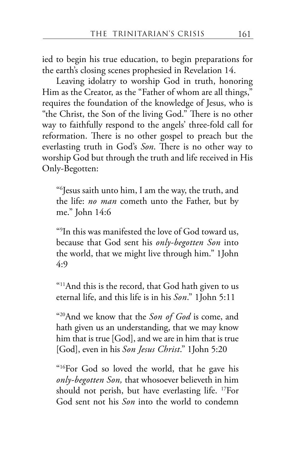ied to begin his true education, to begin preparations for the earth's closing scenes prophesied in Revelation 14.

Leaving idolatry to worship God in truth, honoring Him as the Creator, as the "Father of whom are all things," requires the foundation of the knowledge of Jesus, who is "the Christ, the Son of the living God." There is no other way to faithfully respond to the angels' three-fold call for reformation. There is no other gospel to preach but the everlasting truth in God's *Son*. There is no other way to worship God but through the truth and life received in His Only-Begotten:

"6 Jesus saith unto him, I am the way, the truth, and the life: *no man* cometh unto the Father, but by me." John 14:6

"9 In this was manifested the love of God toward us, because that God sent his *only-begotten Son* into the world, that we might live through him." 1John 4:9

"<sup>11</sup>And this is the record, that God hath given to us eternal life, and this life is in his *Son*." 1John 5:11

"20And we know that the *Son of God* is come, and hath given us an understanding, that we may know him that is true [God], and we are in him that is true [God], even in his *Son Jesus Christ*." 1John 5:20

"16For God so loved the world, that he gave his *only-begotten Son,* that whosoever believeth in him should not perish, but have everlasting life. 17For God sent not his *Son* into the world to condemn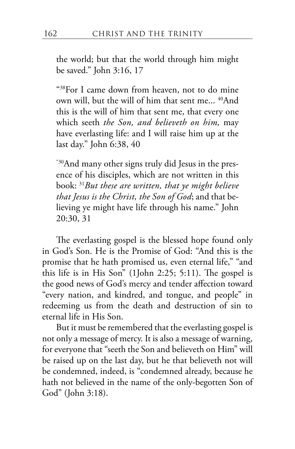the world; but that the world through him might be saved." John 3:16, 17

"38For I came down from heaven, not to do mine own will, but the will of him that sent me... <sup>40</sup>And this is the will of him that sent me, that every one which seeth *the Son, and believeth on him,* may have everlasting life: and I will raise him up at the last day." John 6:38, 40

"30And many other signs truly did Jesus in the presence of his disciples, which are not written in this book: <sup>31</sup>*But these are written, that ye might believe that Jesus is the Christ, the Son of God*; and that believing ye might have life through his name." John 20:30, 31

The everlasting gospel is the blessed hope found only in God's Son. He is the Promise of God: "And this is the promise that he hath promised us, even eternal life," "and this life is in His Son" (1John 2:25; 5:11). The gospel is the good news of God's mercy and tender affection toward "every nation, and kindred, and tongue, and people" in redeeming us from the death and destruction of sin to eternal life in His Son.

But it must be remembered that the everlasting gospel is not only a message of mercy. It is also a message of warning, for everyone that "seeth the Son and believeth on Him" will be raised up on the last day, but he that believeth not will be condemned, indeed, is "condemned already, because he hath not believed in the name of the only-begotten Son of God" (John 3:18).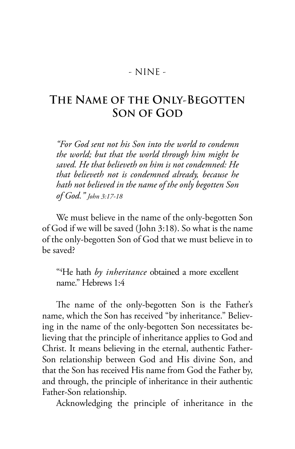#### - NINE -

# **THE NAME OF THE ONLY-BEGOTTEN SON OF GOD**

*"For God sent not his Son into the world to condemn the world; but that the world through him might be saved. He that believeth on him is not condemned: He that believeth not is condemned already, because he hath not believed in the name of the only begotten Son of God." John 3:17-18*

We must believe in the name of the only-begotten Son of God if we will be saved (John 3:18). So what is the name of the only-begotten Son of God that we must believe in to be saved?

"4 He hath *by inheritance* obtained a more excellent name." Hebrews 1:4

The name of the only-begotten Son is the Father's name, which the Son has received "by inheritance." Believing in the name of the only-begotten Son necessitates believing that the principle of inheritance applies to God and Christ. It means believing in the eternal, authentic Father-Son relationship between God and His divine Son, and that the Son has received His name from God the Father by, and through, the principle of inheritance in their authentic Father-Son relationship.

Acknowledging the principle of inheritance in the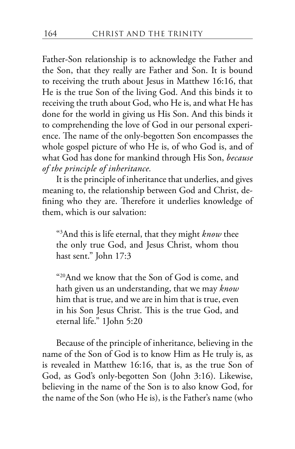Father-Son relationship is to acknowledge the Father and the Son, that they really are Father and Son. It is bound to receiving the truth about Jesus in Matthew 16:16, that He is the true Son of the living God. And this binds it to receiving the truth about God, who He is, and what He has done for the world in giving us His Son. And this binds it to comprehending the love of God in our personal experience. The name of the only-begotten Son encompasses the whole gospel picture of who He is, of who God is, and of what God has done for mankind through His Son, *because of the principle of inheritance.*

It is the principle of inheritance that underlies, and gives meaning to, the relationship between God and Christ, defining who they are. Therefore it underlies knowledge of them, which is our salvation:

"3 And this is life eternal, that they might *know* thee the only true God, and Jesus Christ, whom thou hast sent." John 17:3

"20And we know that the Son of God is come, and hath given us an understanding, that we may *know* him that is true, and we are in him that is true, even in his Son Jesus Christ. This is the true God, and eternal life." 1John 5:20

Because of the principle of inheritance, believing in the name of the Son of God is to know Him as He truly is, as is revealed in Matthew 16:16, that is, as the true Son of God, as God's only-begotten Son (John 3:16). Likewise, believing in the name of the Son is to also know God, for the name of the Son (who He is), is the Father's name (who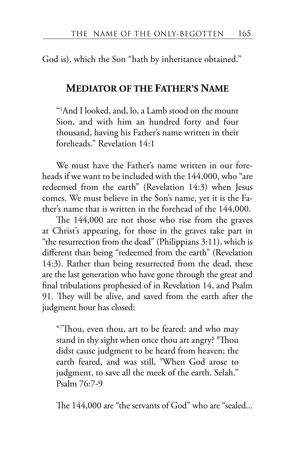God is), which the Son "hath by inheritance obtained."

#### **MEDIATOR OF THE FATHER'S NAME**

"1 And I looked, and, lo, a Lamb stood on the mount Sion, and with him an hundred forty and four thousand, having his Father's name written in their foreheads." Revelation 14:1

We must have the Father's name written in our foreheads if we want to be included with the 144,000, who "are redeemed from the earth" (Revelation 14:3) when Jesus comes. We must believe in the Son's name, yet it is the Father's name that is written in the forehead of the 144,000.

The 144,000 are not those who rise from the graves at Christ's appearing, for those in the graves take part in "the resurrection from the dead" (Philippians 3:11), which is different than being "redeemed from the earth" (Revelation 14:3). Rather than being resurrected from the dead, these are the last generation who have gone through the great and final tribulations prophesied of in Revelation 14, and Psalm 91. They will be alive, and saved from the earth after the judgment hour has closed:

"7 Thou, even thou, art to be feared: and who may stand in thy sight when once thou art angry? <sup>8</sup>Thou didst cause judgment to be heard from heaven; the earth feared, and was still, <sup>9</sup> When God arose to judgment, to save all the meek of the earth. Selah." Psalm 76:7-9

The 144,000 are "the servants of God" who are "sealed...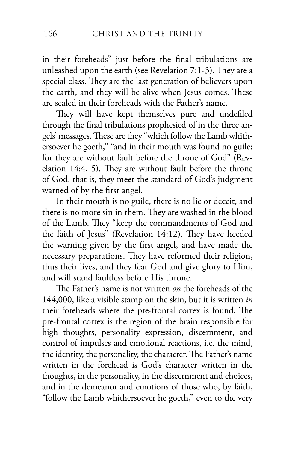in their foreheads" just before the final tribulations are unleashed upon the earth (see Revelation 7:1-3). They are a special class. They are the last generation of believers upon the earth, and they will be alive when Jesus comes. These are sealed in their foreheads with the Father's name.

They will have kept themselves pure and undefiled through the final tribulations prophesied of in the three angels' messages. These are they "which follow the Lamb whithersoever he goeth," "and in their mouth was found no guile: for they are without fault before the throne of God" (Revelation 14:4, 5). They are without fault before the throne of God, that is, they meet the standard of God's judgment warned of by the first angel.

In their mouth is no guile, there is no lie or deceit, and there is no more sin in them. They are washed in the blood of the Lamb. They "keep the commandments of God and the faith of Jesus" (Revelation 14:12). They have heeded the warning given by the first angel, and have made the necessary preparations. They have reformed their religion, thus their lives, and they fear God and give glory to Him, and will stand faultless before His throne.

The Father's name is not written *on* the foreheads of the 144,000, like a visible stamp on the skin, but it is written *in*  their foreheads where the pre-frontal cortex is found. The pre-frontal cortex is the region of the brain responsible for high thoughts, personality expression, discernment, and control of impulses and emotional reactions, i.e. the mind, the identity, the personality, the character. The Father's name written in the forehead is God's character written in the thoughts, in the personality, in the discernment and choices, and in the demeanor and emotions of those who, by faith, "follow the Lamb whithersoever he goeth," even to the very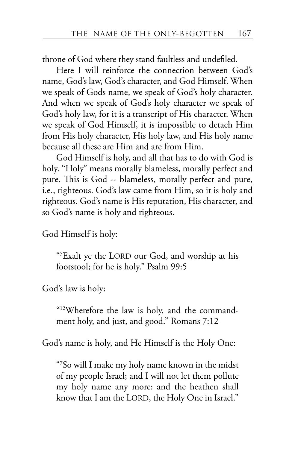throne of God where they stand faultless and undefiled.

Here I will reinforce the connection between God's name, God's law, God's character, and God Himself. When we speak of Gods name, we speak of God's holy character. And when we speak of God's holy character we speak of God's holy law, for it is a transcript of His character. When we speak of God Himself, it is impossible to detach Him from His holy character, His holy law, and His holy name because all these are Him and are from Him.

God Himself is holy, and all that has to do with God is holy. "Holy" means morally blameless, morally perfect and pure. This is God -- blameless, morally perfect and pure, i.e., righteous. God's law came from Him, so it is holy and righteous. God's name is His reputation, His character, and so God's name is holy and righteous.

God Himself is holy:

"5 Exalt ye the LORD our God, and worship at his footstool; for he is holy." Psalm 99:5

God's law is holy:

"12Wherefore the law is holy, and the commandment holy, and just, and good." Romans 7:12

God's name is holy, and He Himself is the Holy One:

"7 So will I make my holy name known in the midst of my people Israel; and I will not let them pollute my holy name any more: and the heathen shall know that I am the LORD, the Holy One in Israel."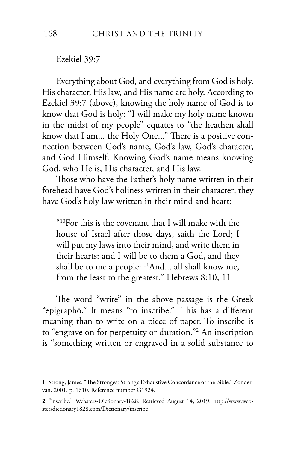Ezekiel 39:7

Everything about God, and everything from God is holy. His character, His law, and His name are holy. According to Ezekiel 39:7 (above), knowing the holy name of God is to know that God is holy: "I will make my holy name known in the midst of my people" equates to "the heathen shall know that I am... the Holy One..." There is a positive connection between God's name, God's law, God's character, and God Himself. Knowing God's name means knowing God, who He is, His character, and His law.

Those who have the Father's holy name written in their forehead have God's holiness written in their character; they have God's holy law written in their mind and heart:

"10For this is the covenant that I will make with the house of Israel after those days, saith the Lord; I will put my laws into their mind, and write them in their hearts: and I will be to them a God, and they shall be to me a people: 11And... all shall know me, from the least to the greatest." Hebrews 8:10, 11

The word "write" in the above passage is the Greek "epigraphō." It means "to inscribe."1 This has a different meaning than to write on a piece of paper. To inscribe is to "engrave on for perpetuity or duration."2 An inscription is "something written or engraved in a solid substance to

**<sup>1</sup>** Strong, James. "The Strongest Strong's Exhaustive Concordance of the Bible." Zondervan. 2001. p. 1610. Reference number G1924.

**<sup>2</sup>** "inscribe." Websters-Dictionary-1828. Retrieved August 14, 2019. http://www.webstersdictionary1828.com/Dictionary/inscribe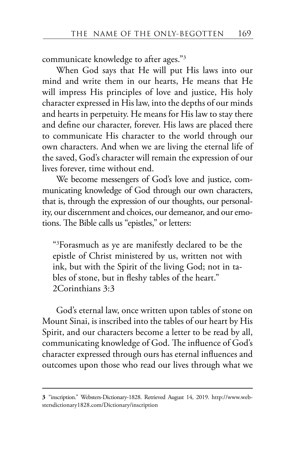communicate knowledge to after ages."3

When God says that He will put His laws into our mind and write them in our hearts, He means that He will impress His principles of love and justice, His holy character expressed in His law, into the depths of our minds and hearts in perpetuity. He means for His law to stay there and define our character, forever. His laws are placed there to communicate His character to the world through our own characters. And when we are living the eternal life of the saved, God's character will remain the expression of our lives forever, time without end.

We become messengers of God's love and justice, communicating knowledge of God through our own characters, that is, through the expression of our thoughts, our personality, our discernment and choices, our demeanor, and our emotions. The Bible calls us "epistles," or letters:

"3 Forasmuch as ye are manifestly declared to be the epistle of Christ ministered by us, written not with ink, but with the Spirit of the living God; not in tables of stone, but in fleshy tables of the heart." 2Corinthians 3:3

God's eternal law, once written upon tables of stone on Mount Sinai, is inscribed into the tables of our heart by His Spirit, and our characters become a letter to be read by all, communicating knowledge of God. The influence of God's character expressed through ours has eternal influences and outcomes upon those who read our lives through what we

**<sup>3</sup>** "inscription." Websters-Dictionary-1828. Retrieved August 14, 2019. http://www.webstersdictionary1828.com/Dictionary/inscription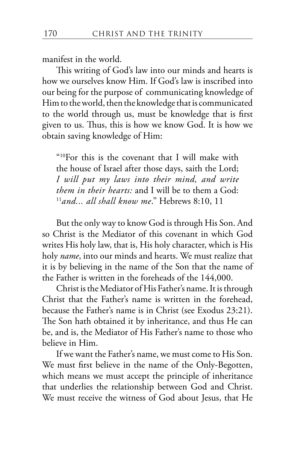manifest in the world.

This writing of God's law into our minds and hearts is how we ourselves know Him. If God's law is inscribed into our being for the purpose of communicating knowledge of Him to the world, then the knowledge that is communicated to the world through us, must be knowledge that is first given to us. Thus, this is how we know God. It is how we obtain saving knowledge of Him:

"10For this is the covenant that I will make with the house of Israel after those days, saith the Lord; *I will put my laws into their mind, and write them in their hearts:* and I will be to them a God: 11*and... all shall know me*." Hebrews 8:10, 11

But the only way to know God is through His Son. And so Christ is the Mediator of this covenant in which God writes His holy law, that is, His holy character, which is His holy *name*, into our minds and hearts. We must realize that it is by believing in the name of the Son that the name of the Father is written in the foreheads of the 144,000.

Christ is the Mediator of His Father's name. It is through Christ that the Father's name is written in the forehead, because the Father's name is in Christ (see Exodus 23:21). The Son hath obtained it by inheritance, and thus He can be, and is, the Mediator of His Father's name to those who believe in Him.

If we want the Father's name, we must come to His Son. We must first believe in the name of the Only-Begotten, which means we must accept the principle of inheritance that underlies the relationship between God and Christ. We must receive the witness of God about Jesus, that He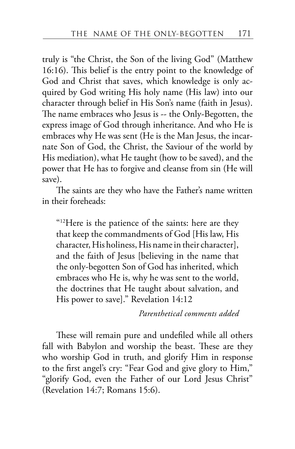truly is "the Christ, the Son of the living God" (Matthew 16:16). This belief is the entry point to the knowledge of God and Christ that saves, which knowledge is only acquired by God writing His holy name (His law) into our character through belief in His Son's name (faith in Jesus). The name embraces who Jesus is -- the Only-Begotten, the express image of God through inheritance. And who He is embraces why He was sent (He is the Man Jesus, the incarnate Son of God, the Christ, the Saviour of the world by His mediation), what He taught (how to be saved), and the power that He has to forgive and cleanse from sin (He will save).

The saints are they who have the Father's name written in their foreheads:

"12Here is the patience of the saints: here are they that keep the commandments of God [His law, His character, His holiness, His name in their character], and the faith of Jesus [believing in the name that the only-begotten Son of God has inherited, which embraces who He is, why he was sent to the world, the doctrines that He taught about salvation, and His power to save]." Revelation 14:12

*Parenthetical comments added*

These will remain pure and undefiled while all others fall with Babylon and worship the beast. These are they who worship God in truth, and glorify Him in response to the first angel's cry: "Fear God and give glory to Him," "glorify God, even the Father of our Lord Jesus Christ" (Revelation 14:7; Romans 15:6).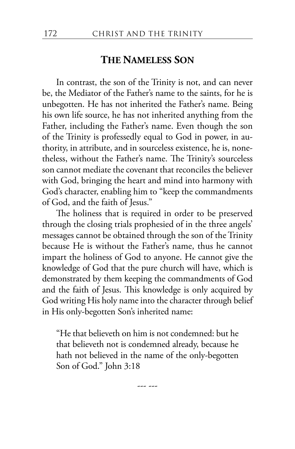## **THE NAMELESS SON**

In contrast, the son of the Trinity is not, and can never be, the Mediator of the Father's name to the saints, for he is unbegotten. He has not inherited the Father's name. Being his own life source, he has not inherited anything from the Father, including the Father's name. Even though the son of the Trinity is professedly equal to God in power, in authority, in attribute, and in sourceless existence, he is, nonetheless, without the Father's name. The Trinity's sourceless son cannot mediate the covenant that reconciles the believer with God, bringing the heart and mind into harmony with God's character, enabling him to "keep the commandments of God, and the faith of Jesus."

The holiness that is required in order to be preserved through the closing trials prophesied of in the three angels' messages cannot be obtained through the son of the Trinity because He is without the Father's name, thus he cannot impart the holiness of God to anyone. He cannot give the knowledge of God that the pure church will have, which is demonstrated by them keeping the commandments of God and the faith of Jesus. This knowledge is only acquired by God writing His holy name into the character through belief in His only-begotten Son's inherited name:

"He that believeth on him is not condemned: but he that believeth not is condemned already, because he hath not believed in the name of the only-begotten Son of God." John 3:18

--- ---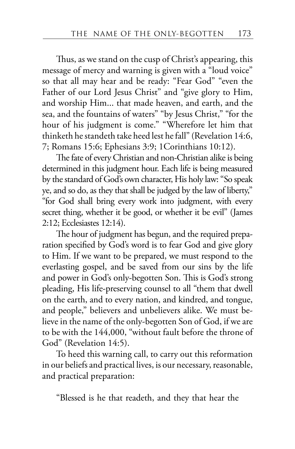Thus, as we stand on the cusp of Christ's appearing, this message of mercy and warning is given with a "loud voice" so that all may hear and be ready: "Fear God" "even the Father of our Lord Jesus Christ" and "give glory to Him, and worship Him... that made heaven, and earth, and the sea, and the fountains of waters" "by Jesus Christ," "for the hour of his judgment is come." "Wherefore let him that thinketh he standeth take heed lest he fall" (Revelation 14:6, 7; Romans 15:6; Ephesians 3:9; 1Corinthians 10:12).

The fate of every Christian and non-Christian alike is being determined in this judgment hour. Each life is being measured by the standard of God's own character, His holy law: "So speak ye, and so do, as they that shall be judged by the law of liberty," "for God shall bring every work into judgment, with every secret thing, whether it be good, or whether it be evil" (James 2:12; Ecclesiastes 12:14).

The hour of judgment has begun, and the required preparation specified by God's word is to fear God and give glory to Him. If we want to be prepared, we must respond to the everlasting gospel, and be saved from our sins by the life and power in God's only-begotten Son. This is God's strong pleading, His life-preserving counsel to all "them that dwell on the earth, and to every nation, and kindred, and tongue, and people," believers and unbelievers alike. We must believe in the name of the only-begotten Son of God, if we are to be with the 144,000, "without fault before the throne of God" (Revelation 14:5).

To heed this warning call, to carry out this reformation in our beliefs and practical lives, is our necessary, reasonable, and practical preparation:

"Blessed is he that readeth, and they that hear the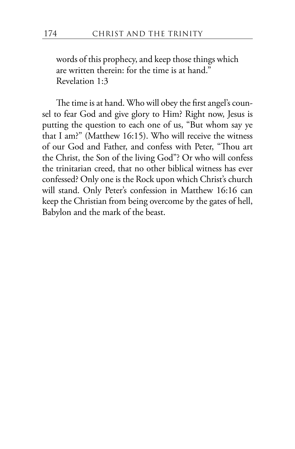words of this prophecy, and keep those things which are written therein: for the time is at hand." Revelation 1:3

The time is at hand. Who will obey the first angel's counsel to fear God and give glory to Him? Right now, Jesus is putting the question to each one of us, "But whom say ye that I am?" (Matthew 16:15). Who will receive the witness of our God and Father, and confess with Peter, "Thou art the Christ, the Son of the living God"? Or who will confess the trinitarian creed, that no other biblical witness has ever confessed? Only one is the Rock upon which Christ's church will stand. Only Peter's confession in Matthew 16:16 can keep the Christian from being overcome by the gates of hell, Babylon and the mark of the beast.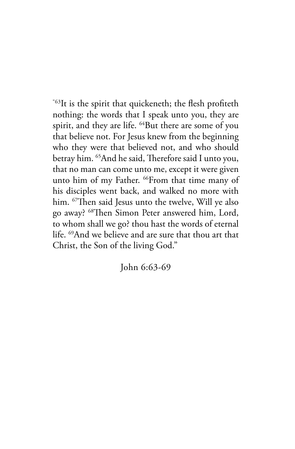"63It is the spirit that quickeneth; the flesh profiteth nothing: the words that I speak unto you, they are spirit, and they are life. <sup>64</sup>But there are some of you that believe not. For Jesus knew from the beginning who they were that believed not, and who should betray him. 65And he said, Therefore said I unto you, that no man can come unto me, except it were given unto him of my Father. <sup>66</sup>From that time many of his disciples went back, and walked no more with him. <sup>67</sup>Then said Jesus unto the twelve, Will ye also go away? 68Then Simon Peter answered him, Lord, to whom shall we go? thou hast the words of eternal life. 69And we believe and are sure that thou art that Christ, the Son of the living God."

John 6:63-69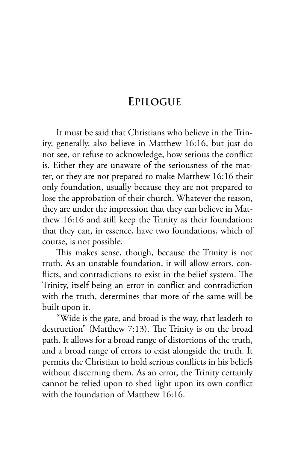## **EPILOGUE**

It must be said that Christians who believe in the Trinity, generally, also believe in Matthew 16:16, but just do not see, or refuse to acknowledge, how serious the conflict is. Either they are unaware of the seriousness of the matter, or they are not prepared to make Matthew 16:16 their only foundation, usually because they are not prepared to lose the approbation of their church. Whatever the reason, they are under the impression that they can believe in Matthew 16:16 and still keep the Trinity as their foundation; that they can, in essence, have two foundations, which of course, is not possible.

This makes sense, though, because the Trinity is not truth. As an unstable foundation, it will allow errors, conflicts, and contradictions to exist in the belief system. The Trinity, itself being an error in conflict and contradiction with the truth, determines that more of the same will be built upon it.

"Wide is the gate, and broad is the way, that leadeth to destruction" (Matthew 7:13). The Trinity is on the broad path. It allows for a broad range of distortions of the truth, and a broad range of errors to exist alongside the truth. It permits the Christian to hold serious conflicts in his beliefs without discerning them. As an error, the Trinity certainly cannot be relied upon to shed light upon its own conflict with the foundation of Matthew 16:16.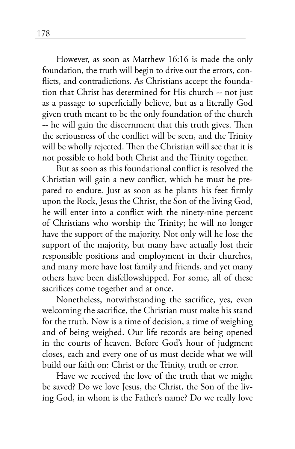However, as soon as Matthew 16:16 is made the only foundation, the truth will begin to drive out the errors, conflicts, and contradictions. As Christians accept the foundation that Christ has determined for His church -- not just as a passage to superficially believe, but as a literally God given truth meant to be the only foundation of the church -- he will gain the discernment that this truth gives. Then the seriousness of the conflict will be seen, and the Trinity will be wholly rejected. Then the Christian will see that it is not possible to hold both Christ and the Trinity together.

But as soon as this foundational conflict is resolved the Christian will gain a new conflict, which he must be prepared to endure. Just as soon as he plants his feet firmly upon the Rock, Jesus the Christ, the Son of the living God, he will enter into a conflict with the ninety-nine percent of Christians who worship the Trinity; he will no longer have the support of the majority. Not only will he lose the support of the majority, but many have actually lost their responsible positions and employment in their churches, and many more have lost family and friends, and yet many others have been disfellowshipped. For some, all of these sacrifices come together and at once.

Nonetheless, notwithstanding the sacrifice, yes, even welcoming the sacrifice, the Christian must make his stand for the truth. Now is a time of decision, a time of weighing and of being weighed. Our life records are being opened in the courts of heaven. Before God's hour of judgment closes, each and every one of us must decide what we will build our faith on: Christ or the Trinity, truth or error.

Have we received the love of the truth that we might be saved? Do we love Jesus, the Christ, the Son of the living God, in whom is the Father's name? Do we really love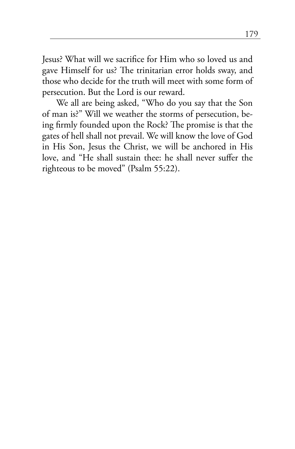Jesus? What will we sacrifice for Him who so loved us and gave Himself for us? The trinitarian error holds sway, and those who decide for the truth will meet with some form of persecution. But the Lord is our reward.

We all are being asked, "Who do you say that the Son of man is?" Will we weather the storms of persecution, being firmly founded upon the Rock? The promise is that the gates of hell shall not prevail. We will know the love of God in His Son, Jesus the Christ, we will be anchored in His love, and "He shall sustain thee: he shall never suffer the righteous to be moved" (Psalm 55:22).